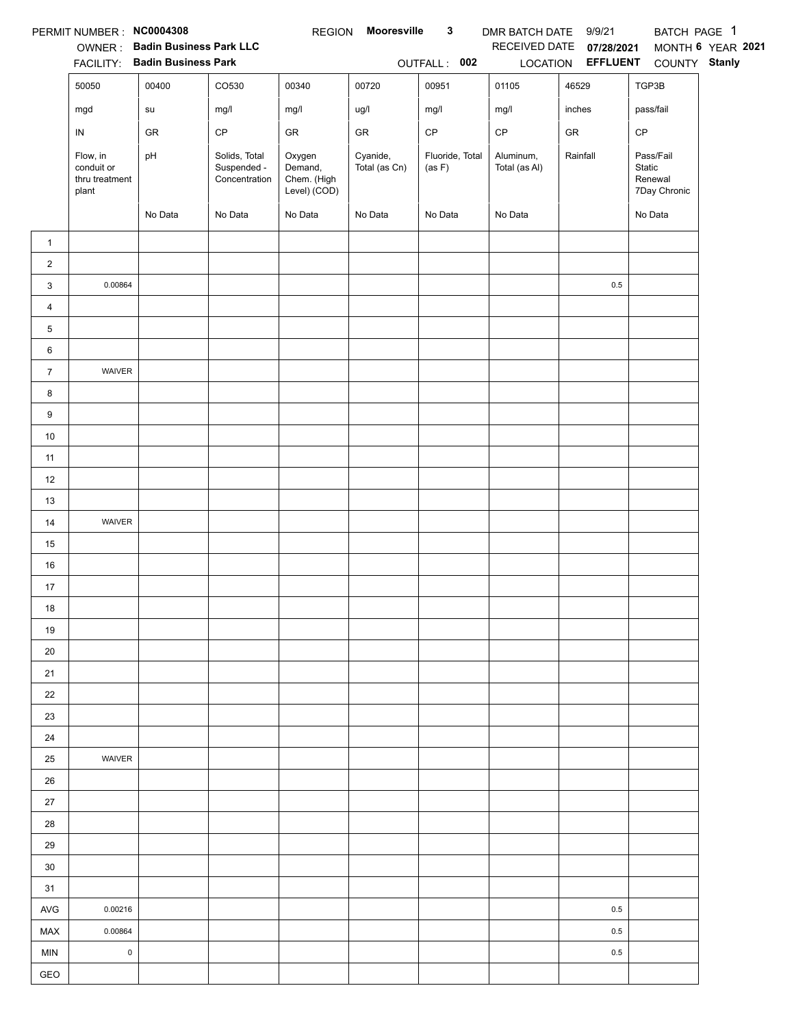|                | PERMIT NUMBER: NC0004308                          |                                |                                               | <b>REGION</b>                                    | <b>Mooresville</b>        | $\mathbf{3}$              | DMR BATCH DATE 9/9/21      |                   | BATCH PAGE 1                                   |                   |
|----------------|---------------------------------------------------|--------------------------------|-----------------------------------------------|--------------------------------------------------|---------------------------|---------------------------|----------------------------|-------------------|------------------------------------------------|-------------------|
|                |                                                   | OWNER: Badin Business Park LLC |                                               |                                                  |                           |                           | RECEIVED DATE              | 07/28/2021        |                                                | MONTH 6 YEAR 2021 |
|                |                                                   | FACILITY: Badin Business Park  |                                               |                                                  |                           | OUTFALL: 002              |                            | LOCATION EFFLUENT | COUNTY Stanly                                  |                   |
|                | 50050                                             | 00400                          | CO530                                         | 00340                                            | 00720                     | 00951                     | 01105                      | 46529             | TGP3B                                          |                   |
|                | mgd                                               | su                             | mg/l                                          | mg/l                                             | ug/l                      | mg/l                      | mg/l                       | inches            | pass/fail                                      |                   |
|                | IN                                                | GR                             | $\mathsf{CP}$                                 | ${\sf GR}$                                       | GR                        | $\mathsf{CP}$             | $\mathsf{CP}$              | ${\sf GR}$        | CP                                             |                   |
|                | Flow, in<br>conduit or<br>thru treatment<br>plant | pH                             | Solids, Total<br>Suspended -<br>Concentration | Oxygen<br>Demand,<br>Chem. (High<br>Level) (COD) | Cyanide,<br>Total (as Cn) | Fluoride, Total<br>(as F) | Aluminum,<br>Total (as Al) | Rainfall          | Pass/Fail<br>Static<br>Renewal<br>7Day Chronic |                   |
|                |                                                   | No Data                        | No Data                                       | No Data                                          | No Data                   | No Data                   | No Data                    |                   | No Data                                        |                   |
| $\mathbf{1}$   |                                                   |                                |                                               |                                                  |                           |                           |                            |                   |                                                |                   |
| $\overline{2}$ |                                                   |                                |                                               |                                                  |                           |                           |                            |                   |                                                |                   |
| 3              | 0.00864                                           |                                |                                               |                                                  |                           |                           |                            | $0.5\,$           |                                                |                   |
| 4              |                                                   |                                |                                               |                                                  |                           |                           |                            |                   |                                                |                   |
| 5              |                                                   |                                |                                               |                                                  |                           |                           |                            |                   |                                                |                   |
| 6              |                                                   |                                |                                               |                                                  |                           |                           |                            |                   |                                                |                   |
| $\overline{7}$ | WAIVER                                            |                                |                                               |                                                  |                           |                           |                            |                   |                                                |                   |
| 8              |                                                   |                                |                                               |                                                  |                           |                           |                            |                   |                                                |                   |
| 9              |                                                   |                                |                                               |                                                  |                           |                           |                            |                   |                                                |                   |
| $10\,$         |                                                   |                                |                                               |                                                  |                           |                           |                            |                   |                                                |                   |
| 11             |                                                   |                                |                                               |                                                  |                           |                           |                            |                   |                                                |                   |
| 12             |                                                   |                                |                                               |                                                  |                           |                           |                            |                   |                                                |                   |
| 13             |                                                   |                                |                                               |                                                  |                           |                           |                            |                   |                                                |                   |
| 14             | WAIVER                                            |                                |                                               |                                                  |                           |                           |                            |                   |                                                |                   |
| 15             |                                                   |                                |                                               |                                                  |                           |                           |                            |                   |                                                |                   |
| 16             |                                                   |                                |                                               |                                                  |                           |                           |                            |                   |                                                |                   |
| 17             |                                                   |                                |                                               |                                                  |                           |                           |                            |                   |                                                |                   |
| 18             |                                                   |                                |                                               |                                                  |                           |                           |                            |                   |                                                |                   |
| 19             |                                                   |                                |                                               |                                                  |                           |                           |                            |                   |                                                |                   |
| 20             |                                                   |                                |                                               |                                                  |                           |                           |                            |                   |                                                |                   |
| 21             |                                                   |                                |                                               |                                                  |                           |                           |                            |                   |                                                |                   |
| 22             |                                                   |                                |                                               |                                                  |                           |                           |                            |                   |                                                |                   |
| 23             |                                                   |                                |                                               |                                                  |                           |                           |                            |                   |                                                |                   |
| 24             |                                                   |                                |                                               |                                                  |                           |                           |                            |                   |                                                |                   |
| 25             | WAIVER                                            |                                |                                               |                                                  |                           |                           |                            |                   |                                                |                   |
| 26             |                                                   |                                |                                               |                                                  |                           |                           |                            |                   |                                                |                   |
| $27\,$         |                                                   |                                |                                               |                                                  |                           |                           |                            |                   |                                                |                   |
| 28             |                                                   |                                |                                               |                                                  |                           |                           |                            |                   |                                                |                   |
| 29             |                                                   |                                |                                               |                                                  |                           |                           |                            |                   |                                                |                   |
| 30             |                                                   |                                |                                               |                                                  |                           |                           |                            |                   |                                                |                   |
| 31             |                                                   |                                |                                               |                                                  |                           |                           |                            |                   |                                                |                   |
| AVG            | 0.00216                                           |                                |                                               |                                                  |                           |                           |                            | 0.5               |                                                |                   |
| <b>MAX</b>     | 0.00864                                           |                                |                                               |                                                  |                           |                           |                            | 0.5               |                                                |                   |
| <b>MIN</b>     | $\pmb{0}$                                         |                                |                                               |                                                  |                           |                           |                            | 0.5               |                                                |                   |
| GEO            |                                                   |                                |                                               |                                                  |                           |                           |                            |                   |                                                |                   |
|                |                                                   |                                |                                               |                                                  |                           |                           |                            |                   |                                                |                   |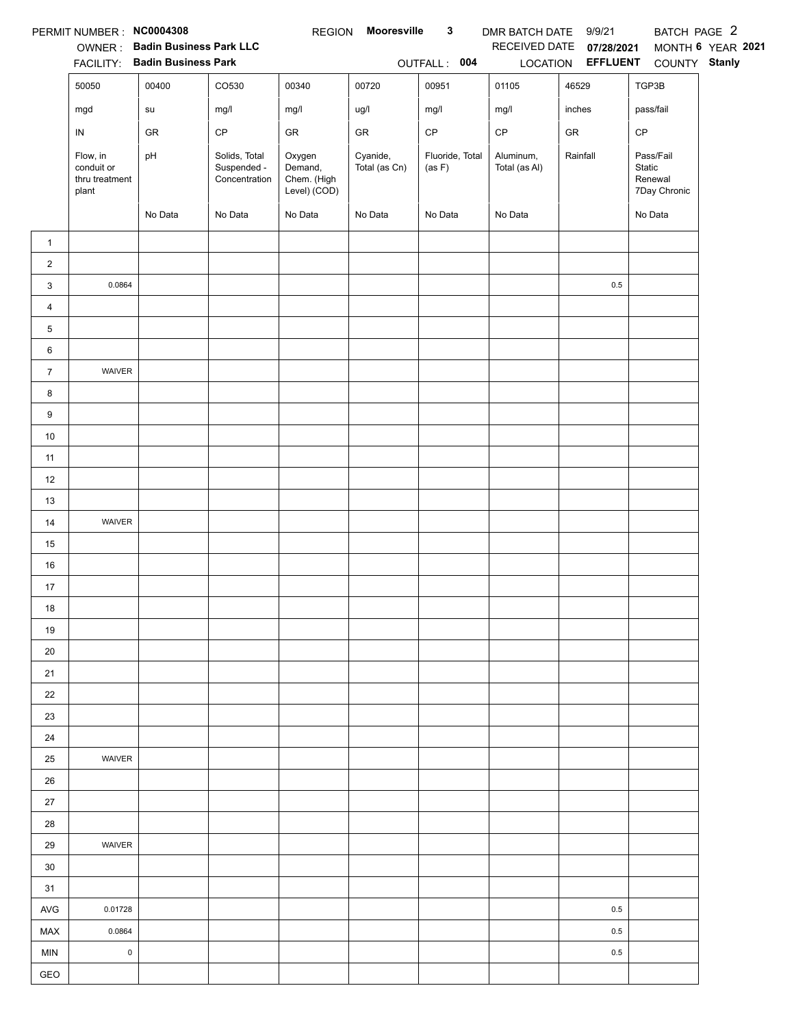|                | PERMIT NUMBER : NC0004308                         |                                |                                               | <b>REGION</b>                                    | Mooresville               | 3                         | DMR BATCH DATE 9/9/21      |                   | BATCH PAGE 2                                   |                   |
|----------------|---------------------------------------------------|--------------------------------|-----------------------------------------------|--------------------------------------------------|---------------------------|---------------------------|----------------------------|-------------------|------------------------------------------------|-------------------|
|                |                                                   | OWNER: Badin Business Park LLC |                                               |                                                  |                           |                           | RECEIVED DATE              | 07/28/2021        |                                                | MONTH 6 YEAR 2021 |
|                |                                                   | FACILITY: Badin Business Park  |                                               |                                                  |                           | OUTFALL: 004              |                            | LOCATION EFFLUENT | COUNTY Stanly                                  |                   |
|                | 50050                                             | 00400                          | CO530                                         | 00340                                            | 00720                     | 00951                     | 01105                      | 46529             | TGP3B                                          |                   |
|                | mgd                                               | su                             | mg/l                                          | mg/l                                             | ug/l                      | mg/l                      | mg/l                       | inches            | pass/fail                                      |                   |
|                | IN                                                | GR                             | $\mathsf{CP}$                                 | GR                                               | GR                        | $\mathsf{CP}$             | $\mathsf{CP}$              | ${\sf GR}$        | CP                                             |                   |
|                | Flow, in<br>conduit or<br>thru treatment<br>plant | pH                             | Solids, Total<br>Suspended -<br>Concentration | Oxygen<br>Demand,<br>Chem. (High<br>Level) (COD) | Cyanide,<br>Total (as Cn) | Fluoride, Total<br>(as F) | Aluminum,<br>Total (as Al) | Rainfall          | Pass/Fail<br>Static<br>Renewal<br>7Day Chronic |                   |
|                |                                                   | No Data                        | No Data                                       | No Data                                          | No Data                   | No Data                   | No Data                    |                   | No Data                                        |                   |
| $\mathbf{1}$   |                                                   |                                |                                               |                                                  |                           |                           |                            |                   |                                                |                   |
| $\overline{2}$ |                                                   |                                |                                               |                                                  |                           |                           |                            |                   |                                                |                   |
| 3              | 0.0864                                            |                                |                                               |                                                  |                           |                           |                            | $0.5\,$           |                                                |                   |
| 4              |                                                   |                                |                                               |                                                  |                           |                           |                            |                   |                                                |                   |
| 5              |                                                   |                                |                                               |                                                  |                           |                           |                            |                   |                                                |                   |
| 6              |                                                   |                                |                                               |                                                  |                           |                           |                            |                   |                                                |                   |
| $\overline{7}$ | <b>WAIVER</b>                                     |                                |                                               |                                                  |                           |                           |                            |                   |                                                |                   |
| 8              |                                                   |                                |                                               |                                                  |                           |                           |                            |                   |                                                |                   |
| 9              |                                                   |                                |                                               |                                                  |                           |                           |                            |                   |                                                |                   |
| $10\,$         |                                                   |                                |                                               |                                                  |                           |                           |                            |                   |                                                |                   |
| 11             |                                                   |                                |                                               |                                                  |                           |                           |                            |                   |                                                |                   |
| 12             |                                                   |                                |                                               |                                                  |                           |                           |                            |                   |                                                |                   |
| 13             |                                                   |                                |                                               |                                                  |                           |                           |                            |                   |                                                |                   |
| 14             | WAIVER                                            |                                |                                               |                                                  |                           |                           |                            |                   |                                                |                   |
| 15             |                                                   |                                |                                               |                                                  |                           |                           |                            |                   |                                                |                   |
| 16             |                                                   |                                |                                               |                                                  |                           |                           |                            |                   |                                                |                   |
| 17             |                                                   |                                |                                               |                                                  |                           |                           |                            |                   |                                                |                   |
| 18             |                                                   |                                |                                               |                                                  |                           |                           |                            |                   |                                                |                   |
| 19             |                                                   |                                |                                               |                                                  |                           |                           |                            |                   |                                                |                   |
| 20             |                                                   |                                |                                               |                                                  |                           |                           |                            |                   |                                                |                   |
| 21             |                                                   |                                |                                               |                                                  |                           |                           |                            |                   |                                                |                   |
| 22             |                                                   |                                |                                               |                                                  |                           |                           |                            |                   |                                                |                   |
| 23             |                                                   |                                |                                               |                                                  |                           |                           |                            |                   |                                                |                   |
| 24             |                                                   |                                |                                               |                                                  |                           |                           |                            |                   |                                                |                   |
| 25             | WAIVER                                            |                                |                                               |                                                  |                           |                           |                            |                   |                                                |                   |
| 26             |                                                   |                                |                                               |                                                  |                           |                           |                            |                   |                                                |                   |
| $27\,$         |                                                   |                                |                                               |                                                  |                           |                           |                            |                   |                                                |                   |
| 28             |                                                   |                                |                                               |                                                  |                           |                           |                            |                   |                                                |                   |
| 29             | WAIVER                                            |                                |                                               |                                                  |                           |                           |                            |                   |                                                |                   |
| 30             |                                                   |                                |                                               |                                                  |                           |                           |                            |                   |                                                |                   |
| 31             |                                                   |                                |                                               |                                                  |                           |                           |                            |                   |                                                |                   |
| <b>AVG</b>     | 0.01728                                           |                                |                                               |                                                  |                           |                           |                            | 0.5               |                                                |                   |
| <b>MAX</b>     | 0.0864                                            |                                |                                               |                                                  |                           |                           |                            | 0.5               |                                                |                   |
| <b>MIN</b>     | $\mathsf 0$                                       |                                |                                               |                                                  |                           |                           |                            | 0.5               |                                                |                   |
| GEO            |                                                   |                                |                                               |                                                  |                           |                           |                            |                   |                                                |                   |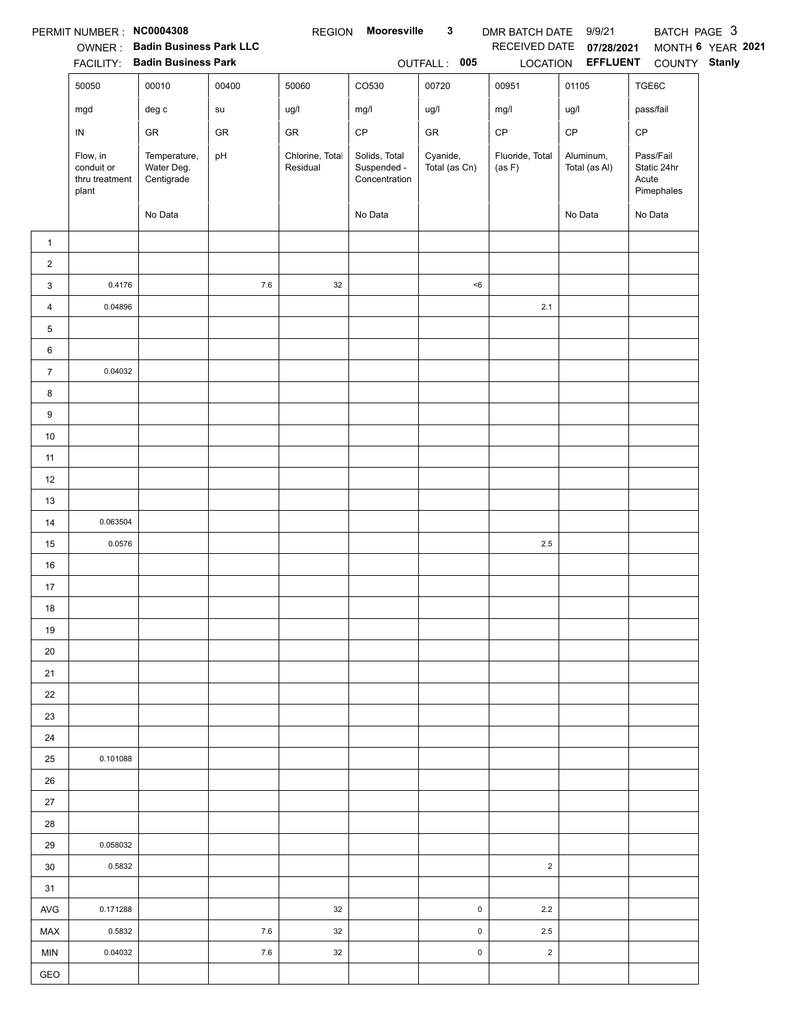|                  | PERMIT NUMBER : NC0004308                         |                                                                 |            | <b>REGION</b>               | Mooresville                                   | $\mathbf{3}$              | DMR BATCH DATE 9/9/21     |                                        | BATCH PAGE 3                                    |                   |
|------------------|---------------------------------------------------|-----------------------------------------------------------------|------------|-----------------------------|-----------------------------------------------|---------------------------|---------------------------|----------------------------------------|-------------------------------------------------|-------------------|
|                  |                                                   | OWNER: Badin Business Park LLC<br>FACILITY: Badin Business Park |            |                             |                                               | OUTFALL: 005              | RECEIVED DATE             | 07/28/2021<br>LOCATION <b>EFFLUENT</b> | COUNTY Stanly                                   | MONTH 6 YEAR 2021 |
|                  | 50050                                             | 00010                                                           | 00400      | 50060                       | CO530                                         | 00720                     | 00951                     | 01105                                  | TGE6C                                           |                   |
|                  |                                                   |                                                                 |            |                             |                                               |                           |                           |                                        |                                                 |                   |
|                  | mgd                                               | $\deg$ $\mathtt{c}$                                             | su         | ug/l                        | mg/l                                          | ug/l                      | mg/l                      | ug/l                                   | pass/fail                                       |                   |
|                  | IN                                                | GR                                                              | ${\sf GR}$ | ${\sf GR}$                  | $\mathsf{CP}$                                 | ${\sf GR}$                | $\mathsf{CP}$             | $\mathsf{CP}$                          | CP                                              |                   |
|                  | Flow, in<br>conduit or<br>thru treatment<br>plant | Temperature,<br>Water Deg.<br>Centigrade                        | pH         | Chlorine, Total<br>Residual | Solids, Total<br>Suspended -<br>Concentration | Cyanide,<br>Total (as Cn) | Fluoride, Total<br>(as F) | Aluminum,<br>Total (as Al)             | Pass/Fail<br>Static 24hr<br>Acute<br>Pimephales |                   |
|                  |                                                   | No Data                                                         |            |                             | No Data                                       |                           |                           | No Data                                | No Data                                         |                   |
| $\mathbf{1}$     |                                                   |                                                                 |            |                             |                                               |                           |                           |                                        |                                                 |                   |
| $\boldsymbol{2}$ |                                                   |                                                                 |            |                             |                                               |                           |                           |                                        |                                                 |                   |
| 3                | 0.4176                                            |                                                                 | $7.6\,$    | 32                          |                                               | < 6                       |                           |                                        |                                                 |                   |
| $\overline{4}$   | 0.04896                                           |                                                                 |            |                             |                                               |                           | $2.1$                     |                                        |                                                 |                   |
| 5                |                                                   |                                                                 |            |                             |                                               |                           |                           |                                        |                                                 |                   |
| 6                |                                                   |                                                                 |            |                             |                                               |                           |                           |                                        |                                                 |                   |
| $\overline{7}$   | 0.04032                                           |                                                                 |            |                             |                                               |                           |                           |                                        |                                                 |                   |
| 8                |                                                   |                                                                 |            |                             |                                               |                           |                           |                                        |                                                 |                   |
| 9                |                                                   |                                                                 |            |                             |                                               |                           |                           |                                        |                                                 |                   |
| $10\,$           |                                                   |                                                                 |            |                             |                                               |                           |                           |                                        |                                                 |                   |
| 11               |                                                   |                                                                 |            |                             |                                               |                           |                           |                                        |                                                 |                   |
| 12               |                                                   |                                                                 |            |                             |                                               |                           |                           |                                        |                                                 |                   |
| 13               |                                                   |                                                                 |            |                             |                                               |                           |                           |                                        |                                                 |                   |
| $14$             | 0.063504                                          |                                                                 |            |                             |                                               |                           |                           |                                        |                                                 |                   |
| 15               | 0.0576                                            |                                                                 |            |                             |                                               |                           | $2.5\,$                   |                                        |                                                 |                   |
| $16\,$           |                                                   |                                                                 |            |                             |                                               |                           |                           |                                        |                                                 |                   |
| 17               |                                                   |                                                                 |            |                             |                                               |                           |                           |                                        |                                                 |                   |
| 18               |                                                   |                                                                 |            |                             |                                               |                           |                           |                                        |                                                 |                   |
| 19               |                                                   |                                                                 |            |                             |                                               |                           |                           |                                        |                                                 |                   |
| 20               |                                                   |                                                                 |            |                             |                                               |                           |                           |                                        |                                                 |                   |
| 21               |                                                   |                                                                 |            |                             |                                               |                           |                           |                                        |                                                 |                   |
| 22               |                                                   |                                                                 |            |                             |                                               |                           |                           |                                        |                                                 |                   |
| 23               |                                                   |                                                                 |            |                             |                                               |                           |                           |                                        |                                                 |                   |
| 24               |                                                   |                                                                 |            |                             |                                               |                           |                           |                                        |                                                 |                   |
| 25               | 0.101088                                          |                                                                 |            |                             |                                               |                           |                           |                                        |                                                 |                   |
| $26\,$           |                                                   |                                                                 |            |                             |                                               |                           |                           |                                        |                                                 |                   |
| 27               |                                                   |                                                                 |            |                             |                                               |                           |                           |                                        |                                                 |                   |
| 28               |                                                   |                                                                 |            |                             |                                               |                           |                           |                                        |                                                 |                   |
| 29               | 0.058032                                          |                                                                 |            |                             |                                               |                           |                           |                                        |                                                 |                   |
| 30               | 0.5832                                            |                                                                 |            |                             |                                               |                           | $\overline{2}$            |                                        |                                                 |                   |
| 31               |                                                   |                                                                 |            |                             |                                               |                           |                           |                                        |                                                 |                   |
| AVG              | 0.171288                                          |                                                                 |            | 32                          |                                               | $\pmb{0}$                 | 2.2                       |                                        |                                                 |                   |
| MAX              | 0.5832                                            |                                                                 | 7.6        | 32                          |                                               | $\pmb{0}$                 | $2.5\,$                   |                                        |                                                 |                   |
| MIN              | 0.04032                                           |                                                                 | 7.6        | 32                          |                                               | $\pmb{0}$                 | $\overline{2}$            |                                        |                                                 |                   |
| GEO              |                                                   |                                                                 |            |                             |                                               |                           |                           |                                        |                                                 |                   |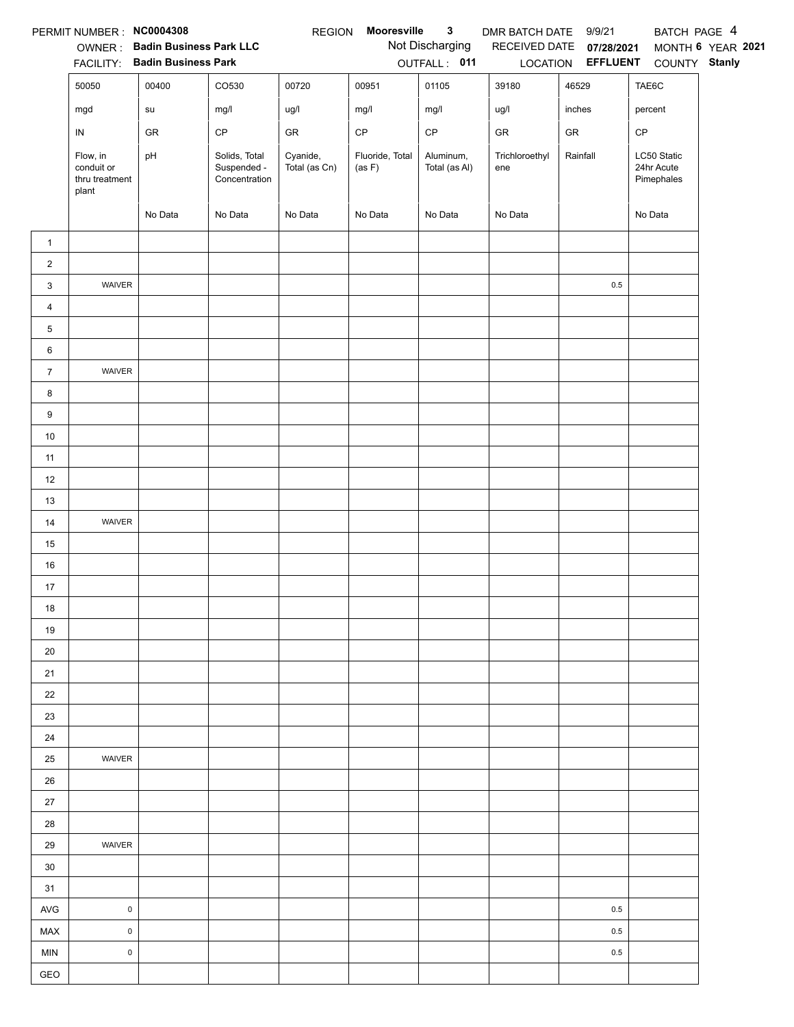|                | PERMIT NUMBER : NC0004308                         |                                                                 |                                               | <b>REGION</b>             | Mooresville               | $\mathbf{3}$                    | DMR BATCH DATE 9/9/21 |                          | BATCH PAGE 4                            |                   |
|----------------|---------------------------------------------------|-----------------------------------------------------------------|-----------------------------------------------|---------------------------|---------------------------|---------------------------------|-----------------------|--------------------------|-----------------------------------------|-------------------|
|                |                                                   | OWNER: Badin Business Park LLC<br>FACILITY: Badin Business Park |                                               |                           |                           | Not Discharging<br>OUTFALL: 011 |                       | RECEIVED DATE 07/28/2021 | LOCATION EFFLUENT COUNTY Stanly         | MONTH 6 YEAR 2021 |
|                | 50050                                             | 00400                                                           | CO530                                         | 00720                     | 00951                     | 01105                           | 39180                 | 46529                    | TAE6C                                   |                   |
|                | mgd                                               | su                                                              | mg/l                                          | ug/l                      | mg/l                      | mg/l                            | ug/l                  | inches                   | percent                                 |                   |
|                | IN                                                | GR                                                              | $\mathsf{CP}$                                 | GR                        | $\mathsf{CP}$             | $\mathsf{CP}$                   | ${\sf GR}$            | ${\sf GR}$               | CP                                      |                   |
|                | Flow, in<br>conduit or<br>thru treatment<br>plant | pH                                                              | Solids, Total<br>Suspended -<br>Concentration | Cyanide,<br>Total (as Cn) | Fluoride, Total<br>(as F) | Aluminum,<br>Total (as Al)      | Trichloroethyl<br>ene | Rainfall                 | LC50 Static<br>24hr Acute<br>Pimephales |                   |
|                |                                                   | No Data                                                         | No Data                                       | No Data                   | No Data                   | No Data                         | No Data               |                          | No Data                                 |                   |
| $\mathbf{1}$   |                                                   |                                                                 |                                               |                           |                           |                                 |                       |                          |                                         |                   |
| $\overline{2}$ |                                                   |                                                                 |                                               |                           |                           |                                 |                       |                          |                                         |                   |
| 3              | WAIVER                                            |                                                                 |                                               |                           |                           |                                 |                       | $0.5\,$                  |                                         |                   |
| 4              |                                                   |                                                                 |                                               |                           |                           |                                 |                       |                          |                                         |                   |
| 5              |                                                   |                                                                 |                                               |                           |                           |                                 |                       |                          |                                         |                   |
| 6              |                                                   |                                                                 |                                               |                           |                           |                                 |                       |                          |                                         |                   |
| $\overline{7}$ | WAIVER                                            |                                                                 |                                               |                           |                           |                                 |                       |                          |                                         |                   |
| 8              |                                                   |                                                                 |                                               |                           |                           |                                 |                       |                          |                                         |                   |
| 9              |                                                   |                                                                 |                                               |                           |                           |                                 |                       |                          |                                         |                   |
| $10\,$         |                                                   |                                                                 |                                               |                           |                           |                                 |                       |                          |                                         |                   |
| 11             |                                                   |                                                                 |                                               |                           |                           |                                 |                       |                          |                                         |                   |
| 12             |                                                   |                                                                 |                                               |                           |                           |                                 |                       |                          |                                         |                   |
| 13             |                                                   |                                                                 |                                               |                           |                           |                                 |                       |                          |                                         |                   |
| 14             | WAIVER                                            |                                                                 |                                               |                           |                           |                                 |                       |                          |                                         |                   |
| 15             |                                                   |                                                                 |                                               |                           |                           |                                 |                       |                          |                                         |                   |
| 16             |                                                   |                                                                 |                                               |                           |                           |                                 |                       |                          |                                         |                   |
| 17             |                                                   |                                                                 |                                               |                           |                           |                                 |                       |                          |                                         |                   |
| 18             |                                                   |                                                                 |                                               |                           |                           |                                 |                       |                          |                                         |                   |
| 19             |                                                   |                                                                 |                                               |                           |                           |                                 |                       |                          |                                         |                   |
| 20             |                                                   |                                                                 |                                               |                           |                           |                                 |                       |                          |                                         |                   |
| 21             |                                                   |                                                                 |                                               |                           |                           |                                 |                       |                          |                                         |                   |
| 22             |                                                   |                                                                 |                                               |                           |                           |                                 |                       |                          |                                         |                   |
| 23             |                                                   |                                                                 |                                               |                           |                           |                                 |                       |                          |                                         |                   |
| 24             | WAIVER                                            |                                                                 |                                               |                           |                           |                                 |                       |                          |                                         |                   |
| 25             |                                                   |                                                                 |                                               |                           |                           |                                 |                       |                          |                                         |                   |
| 26<br>$27\,$   |                                                   |                                                                 |                                               |                           |                           |                                 |                       |                          |                                         |                   |
| 28             |                                                   |                                                                 |                                               |                           |                           |                                 |                       |                          |                                         |                   |
| 29             | WAIVER                                            |                                                                 |                                               |                           |                           |                                 |                       |                          |                                         |                   |
| 30             |                                                   |                                                                 |                                               |                           |                           |                                 |                       |                          |                                         |                   |
| 31             |                                                   |                                                                 |                                               |                           |                           |                                 |                       |                          |                                         |                   |
| AVG            | $\mathsf 0$                                       |                                                                 |                                               |                           |                           |                                 |                       | 0.5                      |                                         |                   |
| MAX            | $\mathsf 0$                                       |                                                                 |                                               |                           |                           |                                 |                       | 0.5                      |                                         |                   |
| <b>MIN</b>     | $\mathsf 0$                                       |                                                                 |                                               |                           |                           |                                 |                       | $0.5\,$                  |                                         |                   |
| GEO            |                                                   |                                                                 |                                               |                           |                           |                                 |                       |                          |                                         |                   |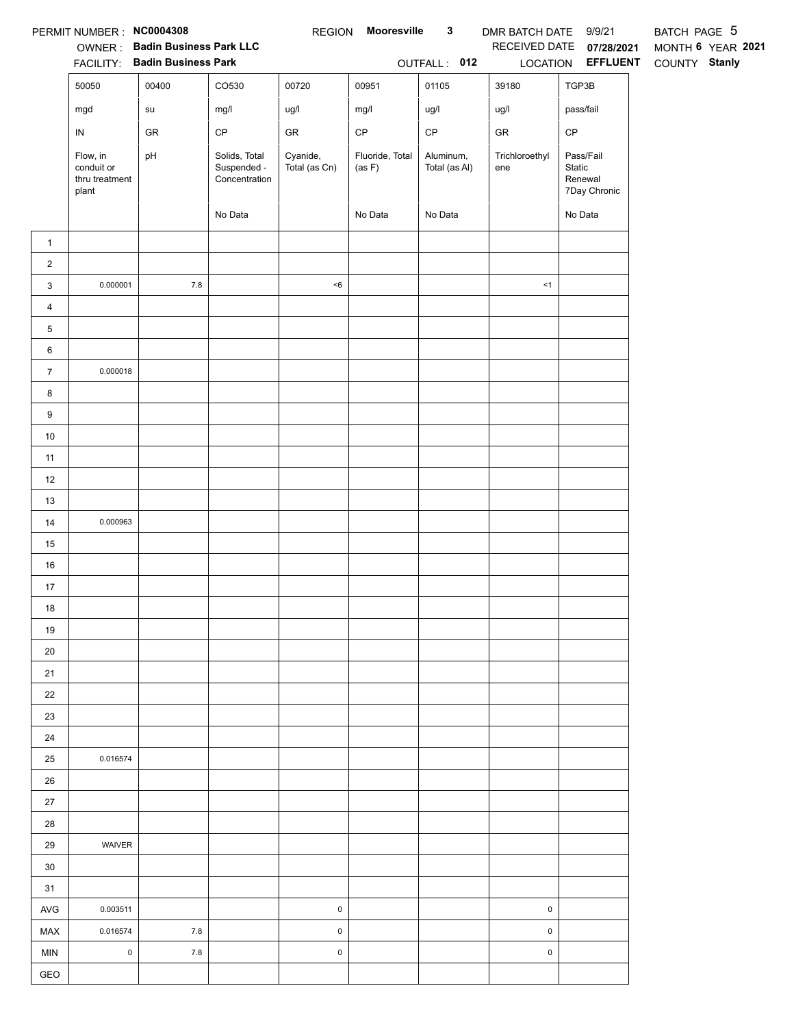|                         | PERMIT NUMBER: NC0004308                          | <b>OWNER: Badin Business Park LLC</b><br>FACILITY: Badin Business Park |                                               |                           | REGION Mooresville        | $\mathbf{3}$<br>OUTFALL: 012 | DMR BATCH DATE 9/9/21<br>LOCATION | RECEIVED DATE 07/28/2021<br><b>EFFLUENT</b>    | BATCH PAGE 5<br>MONTH 6 YEAR 2021<br>COUNTY Stanly |
|-------------------------|---------------------------------------------------|------------------------------------------------------------------------|-----------------------------------------------|---------------------------|---------------------------|------------------------------|-----------------------------------|------------------------------------------------|----------------------------------------------------|
|                         | 50050                                             | 00400                                                                  | CO530                                         | 00720                     | 00951                     | 01105                        | 39180                             | TGP3B                                          |                                                    |
|                         | mgd                                               | su                                                                     | mg/l                                          | ug/l                      | mg/l                      | ug/l                         | ug/l                              | pass/fail                                      |                                                    |
|                         | ${\sf IN}$                                        | GR                                                                     | $\mathsf{CP}$                                 | ${\sf GR}$                | $\mathsf{CP}$             | $\mathsf{CP}$                | ${\sf GR}$                        | $\mathsf{CP}$                                  |                                                    |
|                         | Flow, in<br>conduit or<br>thru treatment<br>plant | pH                                                                     | Solids, Total<br>Suspended -<br>Concentration | Cyanide,<br>Total (as Cn) | Fluoride, Total<br>(as F) | Aluminum,<br>Total (as Al)   | Trichloroethyl<br>ene             | Pass/Fail<br>Static<br>Renewal<br>7Day Chronic |                                                    |
|                         |                                                   |                                                                        | No Data                                       |                           | No Data                   | No Data                      |                                   | No Data                                        |                                                    |
| $\mathbf{1}$            |                                                   |                                                                        |                                               |                           |                           |                              |                                   |                                                |                                                    |
| $\overline{a}$          |                                                   |                                                                        |                                               |                           |                           |                              |                                   |                                                |                                                    |
| 3                       | 0.000001                                          | $7.8$                                                                  |                                               | < 6                       |                           |                              | <1                                |                                                |                                                    |
| $\overline{\mathbf{4}}$ |                                                   |                                                                        |                                               |                           |                           |                              |                                   |                                                |                                                    |
| 5                       |                                                   |                                                                        |                                               |                           |                           |                              |                                   |                                                |                                                    |
| 6                       |                                                   |                                                                        |                                               |                           |                           |                              |                                   |                                                |                                                    |
| $\boldsymbol{7}$        | 0.000018                                          |                                                                        |                                               |                           |                           |                              |                                   |                                                |                                                    |
| 8                       |                                                   |                                                                        |                                               |                           |                           |                              |                                   |                                                |                                                    |
| 9                       |                                                   |                                                                        |                                               |                           |                           |                              |                                   |                                                |                                                    |
| $10$                    |                                                   |                                                                        |                                               |                           |                           |                              |                                   |                                                |                                                    |
| 11                      |                                                   |                                                                        |                                               |                           |                           |                              |                                   |                                                |                                                    |
| 12                      |                                                   |                                                                        |                                               |                           |                           |                              |                                   |                                                |                                                    |
| 13                      |                                                   |                                                                        |                                               |                           |                           |                              |                                   |                                                |                                                    |
| 14                      | 0.000963                                          |                                                                        |                                               |                           |                           |                              |                                   |                                                |                                                    |
| 15                      |                                                   |                                                                        |                                               |                           |                           |                              |                                   |                                                |                                                    |
| 16                      |                                                   |                                                                        |                                               |                           |                           |                              |                                   |                                                |                                                    |
| 17                      |                                                   |                                                                        |                                               |                           |                           |                              |                                   |                                                |                                                    |
| 18                      |                                                   |                                                                        |                                               |                           |                           |                              |                                   |                                                |                                                    |
| 19                      |                                                   |                                                                        |                                               |                           |                           |                              |                                   |                                                |                                                    |
| 20<br>21                |                                                   |                                                                        |                                               |                           |                           |                              |                                   |                                                |                                                    |
| 22                      |                                                   |                                                                        |                                               |                           |                           |                              |                                   |                                                |                                                    |
| 23                      |                                                   |                                                                        |                                               |                           |                           |                              |                                   |                                                |                                                    |
| 24                      |                                                   |                                                                        |                                               |                           |                           |                              |                                   |                                                |                                                    |
| 25                      | 0.016574                                          |                                                                        |                                               |                           |                           |                              |                                   |                                                |                                                    |
| 26                      |                                                   |                                                                        |                                               |                           |                           |                              |                                   |                                                |                                                    |
| 27                      |                                                   |                                                                        |                                               |                           |                           |                              |                                   |                                                |                                                    |
| 28                      |                                                   |                                                                        |                                               |                           |                           |                              |                                   |                                                |                                                    |
| 29                      | WAIVER                                            |                                                                        |                                               |                           |                           |                              |                                   |                                                |                                                    |
| 30                      |                                                   |                                                                        |                                               |                           |                           |                              |                                   |                                                |                                                    |
| 31                      |                                                   |                                                                        |                                               |                           |                           |                              |                                   |                                                |                                                    |
| AVG                     | 0.003511                                          |                                                                        |                                               | $\pmb{0}$                 |                           |                              | $\pmb{0}$                         |                                                |                                                    |
| MAX                     | 0.016574                                          | $7.8$                                                                  |                                               | $\pmb{0}$                 |                           |                              | 0                                 |                                                |                                                    |
| <b>MIN</b>              | $\mathsf{O}$                                      | $7.8$                                                                  |                                               | $\pmb{0}$                 |                           |                              | $\pmb{0}$                         |                                                |                                                    |
| GEO                     |                                                   |                                                                        |                                               |                           |                           |                              |                                   |                                                |                                                    |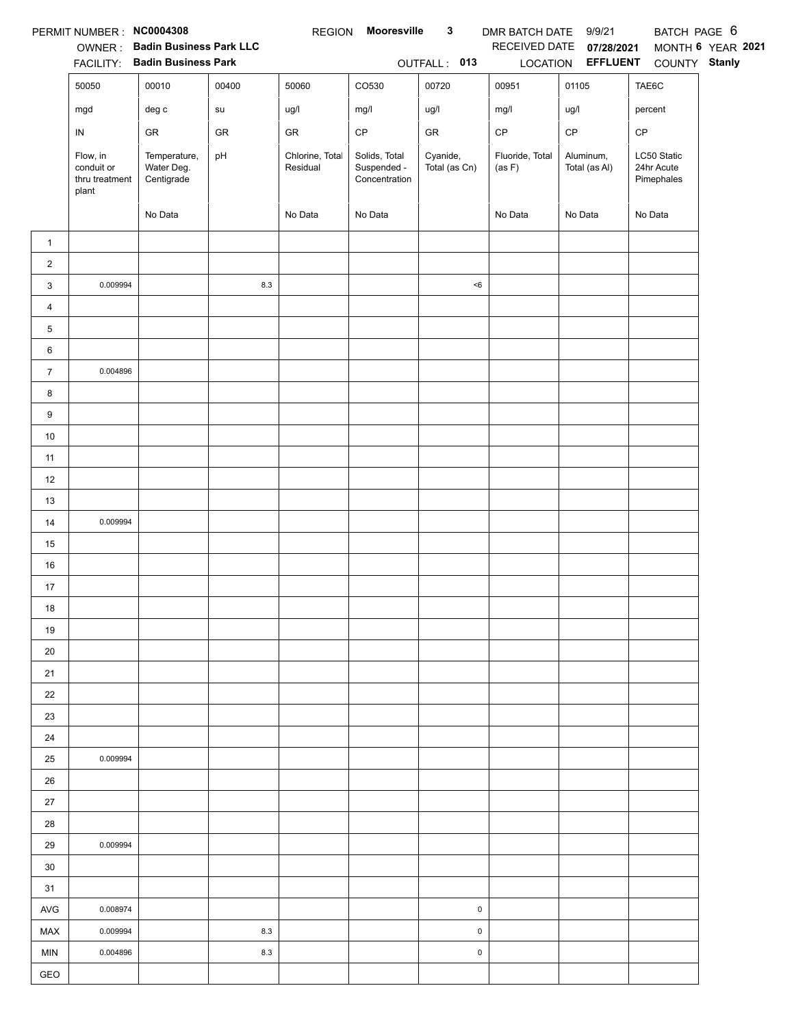|                         | PERMIT NUMBER : NC0004308                         |                                          |            | <b>REGION</b>               | Mooresville                                   | $\mathbf{3}$              | DMR BATCH DATE 9/9/21     |                                   | BATCH PAGE 6                            |                   |
|-------------------------|---------------------------------------------------|------------------------------------------|------------|-----------------------------|-----------------------------------------------|---------------------------|---------------------------|-----------------------------------|-----------------------------------------|-------------------|
|                         |                                                   | OWNER: Badin Business Park LLC           |            |                             |                                               |                           | RECEIVED DATE             | 07/28/2021                        |                                         | MONTH 6 YEAR 2021 |
|                         | 50050                                             | FACILITY: Badin Business Park<br>00010   | 00400      | 50060                       | CO530                                         | OUTFALL: 013<br>00720     | 00951                     | LOCATION <b>EFFLUENT</b><br>01105 | COUNTY Stanly<br>TAE6C                  |                   |
|                         |                                                   |                                          |            |                             |                                               |                           |                           |                                   |                                         |                   |
|                         | mgd                                               | $\deg$ $\mathtt{c}$                      | ${\sf su}$ | ug/l                        | mg/l                                          | ug/l                      | mg/l                      | ug/l                              | percent                                 |                   |
|                         | IN                                                | GR                                       | ${\sf GR}$ | GR                          | $\mathsf{CP}$                                 | ${\sf GR}$                | $\mathsf{CP}$             | $\mathsf{CP}$                     | CP                                      |                   |
|                         | Flow, in<br>conduit or<br>thru treatment<br>plant | Temperature,<br>Water Deg.<br>Centigrade | pH         | Chlorine, Total<br>Residual | Solids, Total<br>Suspended -<br>Concentration | Cyanide,<br>Total (as Cn) | Fluoride, Total<br>(as F) | Aluminum,<br>Total (as Al)        | LC50 Static<br>24hr Acute<br>Pimephales |                   |
|                         |                                                   | No Data                                  |            | No Data                     | No Data                                       |                           | No Data                   | No Data                           | No Data                                 |                   |
| $\mathbf{1}$            |                                                   |                                          |            |                             |                                               |                           |                           |                                   |                                         |                   |
| $\overline{\mathbf{c}}$ |                                                   |                                          |            |                             |                                               |                           |                           |                                   |                                         |                   |
| 3                       | 0.009994                                          |                                          | $8.3\,$    |                             |                                               | < 6                       |                           |                                   |                                         |                   |
| $\overline{4}$          |                                                   |                                          |            |                             |                                               |                           |                           |                                   |                                         |                   |
| 5                       |                                                   |                                          |            |                             |                                               |                           |                           |                                   |                                         |                   |
| 6                       |                                                   |                                          |            |                             |                                               |                           |                           |                                   |                                         |                   |
| $\overline{7}$          | 0.004896                                          |                                          |            |                             |                                               |                           |                           |                                   |                                         |                   |
| 8                       |                                                   |                                          |            |                             |                                               |                           |                           |                                   |                                         |                   |
| 9                       |                                                   |                                          |            |                             |                                               |                           |                           |                                   |                                         |                   |
| $10\,$                  |                                                   |                                          |            |                             |                                               |                           |                           |                                   |                                         |                   |
| 11                      |                                                   |                                          |            |                             |                                               |                           |                           |                                   |                                         |                   |
| 12                      |                                                   |                                          |            |                             |                                               |                           |                           |                                   |                                         |                   |
| 13                      |                                                   |                                          |            |                             |                                               |                           |                           |                                   |                                         |                   |
| $14$                    | 0.009994                                          |                                          |            |                             |                                               |                           |                           |                                   |                                         |                   |
| 15                      |                                                   |                                          |            |                             |                                               |                           |                           |                                   |                                         |                   |
| $16\,$                  |                                                   |                                          |            |                             |                                               |                           |                           |                                   |                                         |                   |
| 17                      |                                                   |                                          |            |                             |                                               |                           |                           |                                   |                                         |                   |
| 18                      |                                                   |                                          |            |                             |                                               |                           |                           |                                   |                                         |                   |
| 19                      |                                                   |                                          |            |                             |                                               |                           |                           |                                   |                                         |                   |
| 20                      |                                                   |                                          |            |                             |                                               |                           |                           |                                   |                                         |                   |
| 21                      |                                                   |                                          |            |                             |                                               |                           |                           |                                   |                                         |                   |
| 22                      |                                                   |                                          |            |                             |                                               |                           |                           |                                   |                                         |                   |
| 23                      |                                                   |                                          |            |                             |                                               |                           |                           |                                   |                                         |                   |
| 24                      |                                                   |                                          |            |                             |                                               |                           |                           |                                   |                                         |                   |
| 25<br>$26\,$            | 0.009994                                          |                                          |            |                             |                                               |                           |                           |                                   |                                         |                   |
|                         |                                                   |                                          |            |                             |                                               |                           |                           |                                   |                                         |                   |
| $27\,$<br>28            |                                                   |                                          |            |                             |                                               |                           |                           |                                   |                                         |                   |
| 29                      | 0.009994                                          |                                          |            |                             |                                               |                           |                           |                                   |                                         |                   |
| 30                      |                                                   |                                          |            |                             |                                               |                           |                           |                                   |                                         |                   |
| 31                      |                                                   |                                          |            |                             |                                               |                           |                           |                                   |                                         |                   |
| AVG                     | 0.008974                                          |                                          |            |                             |                                               | $\pmb{0}$                 |                           |                                   |                                         |                   |
| MAX                     | 0.009994                                          |                                          | 8.3        |                             |                                               | 0                         |                           |                                   |                                         |                   |
| MIN                     | 0.004896                                          |                                          | 8.3        |                             |                                               | 0                         |                           |                                   |                                         |                   |
| GEO                     |                                                   |                                          |            |                             |                                               |                           |                           |                                   |                                         |                   |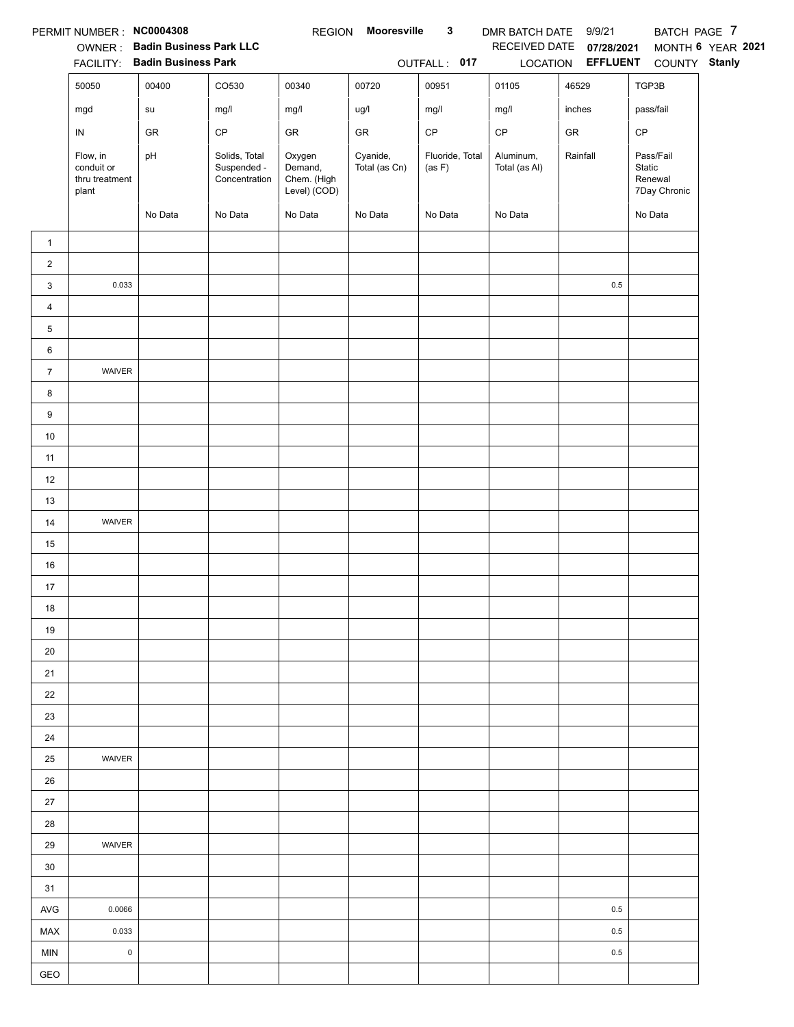|                | PERMIT NUMBER : NC0004308                         |                                        |                                               | <b>REGION</b>                                    | Mooresville               | $\mathbf{3}$              | DMR BATCH DATE 9/9/21      |                          | BATCH PAGE 7                                   |                   |
|----------------|---------------------------------------------------|----------------------------------------|-----------------------------------------------|--------------------------------------------------|---------------------------|---------------------------|----------------------------|--------------------------|------------------------------------------------|-------------------|
|                |                                                   | OWNER: Badin Business Park LLC         |                                               |                                                  |                           |                           |                            | RECEIVED DATE 07/28/2021 |                                                | MONTH 6 YEAR 2021 |
|                |                                                   | FACILITY: Badin Business Park<br>00400 | CO530                                         |                                                  |                           | OUTFALL: 017<br>00951     |                            | LOCATION <b>EFFLUENT</b> | COUNTY Stanly                                  |                   |
|                | 50050                                             |                                        |                                               | 00340                                            | 00720                     |                           | 01105                      | 46529                    | TGP3B                                          |                   |
|                | mgd                                               | su                                     | mg/l                                          | mg/l                                             | ug/l                      | mg/l                      | mg/l                       | inches                   | pass/fail                                      |                   |
|                | IN                                                | GR                                     | $\mathsf{CP}$                                 | GR                                               | ${\sf GR}$                | $\mathsf{CP}$             | $\mathsf{CP}$              | ${\sf GR}$               | CP                                             |                   |
|                | Flow, in<br>conduit or<br>thru treatment<br>plant | pH                                     | Solids, Total<br>Suspended -<br>Concentration | Oxygen<br>Demand,<br>Chem. (High<br>Level) (COD) | Cyanide,<br>Total (as Cn) | Fluoride, Total<br>(as F) | Aluminum,<br>Total (as Al) | Rainfall                 | Pass/Fail<br>Static<br>Renewal<br>7Day Chronic |                   |
|                |                                                   | No Data                                | No Data                                       | No Data                                          | No Data                   | No Data                   | No Data                    |                          | No Data                                        |                   |
| $\mathbf{1}$   |                                                   |                                        |                                               |                                                  |                           |                           |                            |                          |                                                |                   |
| $\overline{a}$ |                                                   |                                        |                                               |                                                  |                           |                           |                            |                          |                                                |                   |
| 3              | 0.033                                             |                                        |                                               |                                                  |                           |                           |                            | 0.5                      |                                                |                   |
| $\overline{4}$ |                                                   |                                        |                                               |                                                  |                           |                           |                            |                          |                                                |                   |
| 5              |                                                   |                                        |                                               |                                                  |                           |                           |                            |                          |                                                |                   |
| 6              |                                                   |                                        |                                               |                                                  |                           |                           |                            |                          |                                                |                   |
| $\overline{7}$ | WAIVER                                            |                                        |                                               |                                                  |                           |                           |                            |                          |                                                |                   |
| 8              |                                                   |                                        |                                               |                                                  |                           |                           |                            |                          |                                                |                   |
| 9              |                                                   |                                        |                                               |                                                  |                           |                           |                            |                          |                                                |                   |
| $10\,$         |                                                   |                                        |                                               |                                                  |                           |                           |                            |                          |                                                |                   |
| 11             |                                                   |                                        |                                               |                                                  |                           |                           |                            |                          |                                                |                   |
| 12             |                                                   |                                        |                                               |                                                  |                           |                           |                            |                          |                                                |                   |
| 13             |                                                   |                                        |                                               |                                                  |                           |                           |                            |                          |                                                |                   |
| $14$           | WAIVER                                            |                                        |                                               |                                                  |                           |                           |                            |                          |                                                |                   |
| 15             |                                                   |                                        |                                               |                                                  |                           |                           |                            |                          |                                                |                   |
| $16\,$         |                                                   |                                        |                                               |                                                  |                           |                           |                            |                          |                                                |                   |
| 17             |                                                   |                                        |                                               |                                                  |                           |                           |                            |                          |                                                |                   |
| 18             |                                                   |                                        |                                               |                                                  |                           |                           |                            |                          |                                                |                   |
| 19             |                                                   |                                        |                                               |                                                  |                           |                           |                            |                          |                                                |                   |
| 20             |                                                   |                                        |                                               |                                                  |                           |                           |                            |                          |                                                |                   |
| 21             |                                                   |                                        |                                               |                                                  |                           |                           |                            |                          |                                                |                   |
| 22             |                                                   |                                        |                                               |                                                  |                           |                           |                            |                          |                                                |                   |
| 23             |                                                   |                                        |                                               |                                                  |                           |                           |                            |                          |                                                |                   |
| 24             |                                                   |                                        |                                               |                                                  |                           |                           |                            |                          |                                                |                   |
| 25             | WAIVER                                            |                                        |                                               |                                                  |                           |                           |                            |                          |                                                |                   |
| 26             |                                                   |                                        |                                               |                                                  |                           |                           |                            |                          |                                                |                   |
| $27\,$         |                                                   |                                        |                                               |                                                  |                           |                           |                            |                          |                                                |                   |
| 28             |                                                   |                                        |                                               |                                                  |                           |                           |                            |                          |                                                |                   |
| 29             | WAIVER                                            |                                        |                                               |                                                  |                           |                           |                            |                          |                                                |                   |
| 30             |                                                   |                                        |                                               |                                                  |                           |                           |                            |                          |                                                |                   |
| 31             |                                                   |                                        |                                               |                                                  |                           |                           |                            |                          |                                                |                   |
| $\mathsf{AVG}$ | 0.0066                                            |                                        |                                               |                                                  |                           |                           |                            | 0.5                      |                                                |                   |
| MAX            | 0.033                                             |                                        |                                               |                                                  |                           |                           |                            | 0.5                      |                                                |                   |
| MIN            | $\pmb{0}$                                         |                                        |                                               |                                                  |                           |                           |                            | 0.5                      |                                                |                   |
| GEO            |                                                   |                                        |                                               |                                                  |                           |                           |                            |                          |                                                |                   |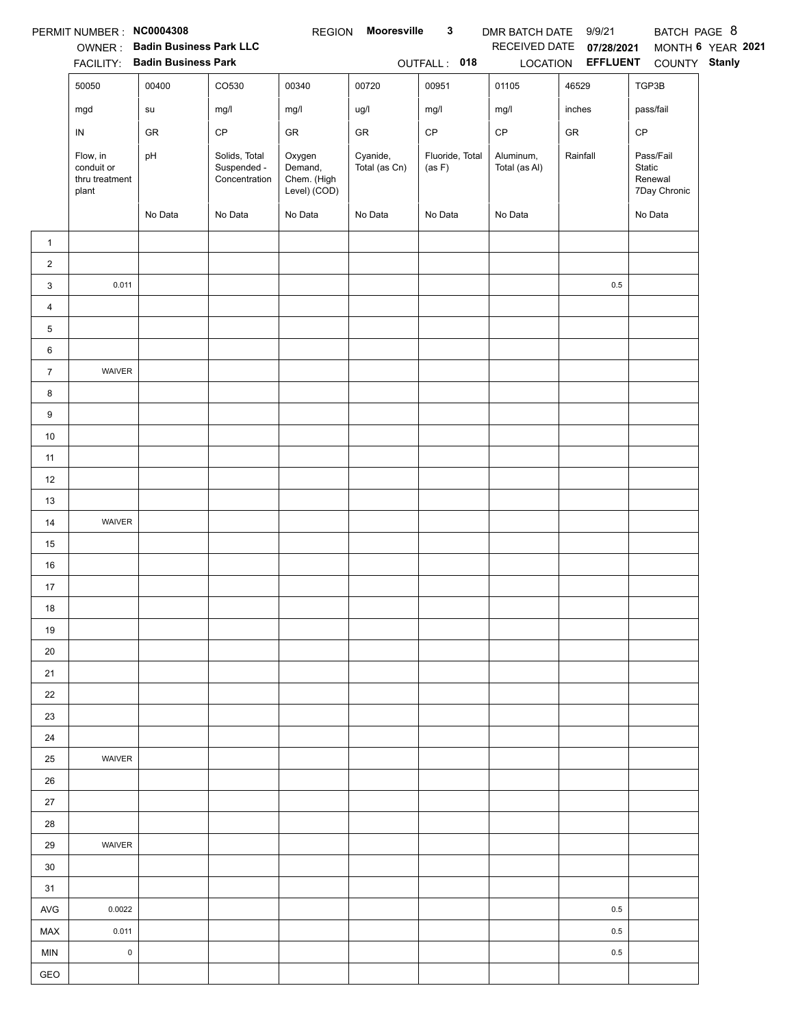|                | PERMIT NUMBER : NC0004308                         |                                        |                                               | <b>REGION</b>                                    | Mooresville               | $\mathbf{3}$              | DMR BATCH DATE 9/9/21      |                                   | BATCH PAGE 8                                   |                   |
|----------------|---------------------------------------------------|----------------------------------------|-----------------------------------------------|--------------------------------------------------|---------------------------|---------------------------|----------------------------|-----------------------------------|------------------------------------------------|-------------------|
|                |                                                   | OWNER: Badin Business Park LLC         |                                               |                                                  |                           |                           |                            | RECEIVED DATE 07/28/2021          |                                                | MONTH 6 YEAR 2021 |
|                | 50050                                             | FACILITY: Badin Business Park<br>00400 | CO530                                         | 00340                                            | 00720                     | OUTFALL: 018<br>00951     | 01105                      | LOCATION <b>EFFLUENT</b><br>46529 | COUNTY Stanly<br>TGP3B                         |                   |
|                |                                                   |                                        |                                               |                                                  |                           |                           |                            |                                   |                                                |                   |
|                | mgd                                               | su                                     | mg/l                                          | mg/l                                             | ug/l                      | mg/l                      | mg/l                       | inches                            | pass/fail                                      |                   |
|                | IN                                                | GR                                     | $\mathsf{CP}$                                 | GR                                               | ${\sf GR}$                | $\mathsf{CP}$             | $\mathsf{CP}$              | ${\sf GR}$                        | CP                                             |                   |
|                | Flow, in<br>conduit or<br>thru treatment<br>plant | pH                                     | Solids, Total<br>Suspended -<br>Concentration | Oxygen<br>Demand,<br>Chem. (High<br>Level) (COD) | Cyanide,<br>Total (as Cn) | Fluoride, Total<br>(as F) | Aluminum,<br>Total (as Al) | Rainfall                          | Pass/Fail<br>Static<br>Renewal<br>7Day Chronic |                   |
|                |                                                   | No Data                                | No Data                                       | No Data                                          | No Data                   | No Data                   | No Data                    |                                   | No Data                                        |                   |
| $\mathbf{1}$   |                                                   |                                        |                                               |                                                  |                           |                           |                            |                                   |                                                |                   |
| $\overline{a}$ |                                                   |                                        |                                               |                                                  |                           |                           |                            |                                   |                                                |                   |
| 3              | 0.011                                             |                                        |                                               |                                                  |                           |                           |                            | 0.5                               |                                                |                   |
| $\overline{4}$ |                                                   |                                        |                                               |                                                  |                           |                           |                            |                                   |                                                |                   |
| 5              |                                                   |                                        |                                               |                                                  |                           |                           |                            |                                   |                                                |                   |
| 6              |                                                   |                                        |                                               |                                                  |                           |                           |                            |                                   |                                                |                   |
| $\overline{7}$ | WAIVER                                            |                                        |                                               |                                                  |                           |                           |                            |                                   |                                                |                   |
| 8              |                                                   |                                        |                                               |                                                  |                           |                           |                            |                                   |                                                |                   |
| 9              |                                                   |                                        |                                               |                                                  |                           |                           |                            |                                   |                                                |                   |
| $10\,$         |                                                   |                                        |                                               |                                                  |                           |                           |                            |                                   |                                                |                   |
| 11             |                                                   |                                        |                                               |                                                  |                           |                           |                            |                                   |                                                |                   |
| 12             |                                                   |                                        |                                               |                                                  |                           |                           |                            |                                   |                                                |                   |
| 13             |                                                   |                                        |                                               |                                                  |                           |                           |                            |                                   |                                                |                   |
| $14$           | WAIVER                                            |                                        |                                               |                                                  |                           |                           |                            |                                   |                                                |                   |
| 15             |                                                   |                                        |                                               |                                                  |                           |                           |                            |                                   |                                                |                   |
| $16\,$         |                                                   |                                        |                                               |                                                  |                           |                           |                            |                                   |                                                |                   |
| 17             |                                                   |                                        |                                               |                                                  |                           |                           |                            |                                   |                                                |                   |
| 18             |                                                   |                                        |                                               |                                                  |                           |                           |                            |                                   |                                                |                   |
| 19             |                                                   |                                        |                                               |                                                  |                           |                           |                            |                                   |                                                |                   |
| 20             |                                                   |                                        |                                               |                                                  |                           |                           |                            |                                   |                                                |                   |
| 21             |                                                   |                                        |                                               |                                                  |                           |                           |                            |                                   |                                                |                   |
| 22             |                                                   |                                        |                                               |                                                  |                           |                           |                            |                                   |                                                |                   |
| 23             |                                                   |                                        |                                               |                                                  |                           |                           |                            |                                   |                                                |                   |
| 24             |                                                   |                                        |                                               |                                                  |                           |                           |                            |                                   |                                                |                   |
| 25             | WAIVER                                            |                                        |                                               |                                                  |                           |                           |                            |                                   |                                                |                   |
| 26             |                                                   |                                        |                                               |                                                  |                           |                           |                            |                                   |                                                |                   |
| $27\,$         |                                                   |                                        |                                               |                                                  |                           |                           |                            |                                   |                                                |                   |
| 28             |                                                   |                                        |                                               |                                                  |                           |                           |                            |                                   |                                                |                   |
| 29             | WAIVER                                            |                                        |                                               |                                                  |                           |                           |                            |                                   |                                                |                   |
| 30             |                                                   |                                        |                                               |                                                  |                           |                           |                            |                                   |                                                |                   |
| 31             |                                                   |                                        |                                               |                                                  |                           |                           |                            |                                   |                                                |                   |
| $\mathsf{AVG}$ | 0.0022                                            |                                        |                                               |                                                  |                           |                           |                            | 0.5                               |                                                |                   |
| MAX            | 0.011<br>$\pmb{0}$                                |                                        |                                               |                                                  |                           |                           |                            | 0.5                               |                                                |                   |
| MIN<br>GEO     |                                                   |                                        |                                               |                                                  |                           |                           |                            | 0.5                               |                                                |                   |
|                |                                                   |                                        |                                               |                                                  |                           |                           |                            |                                   |                                                |                   |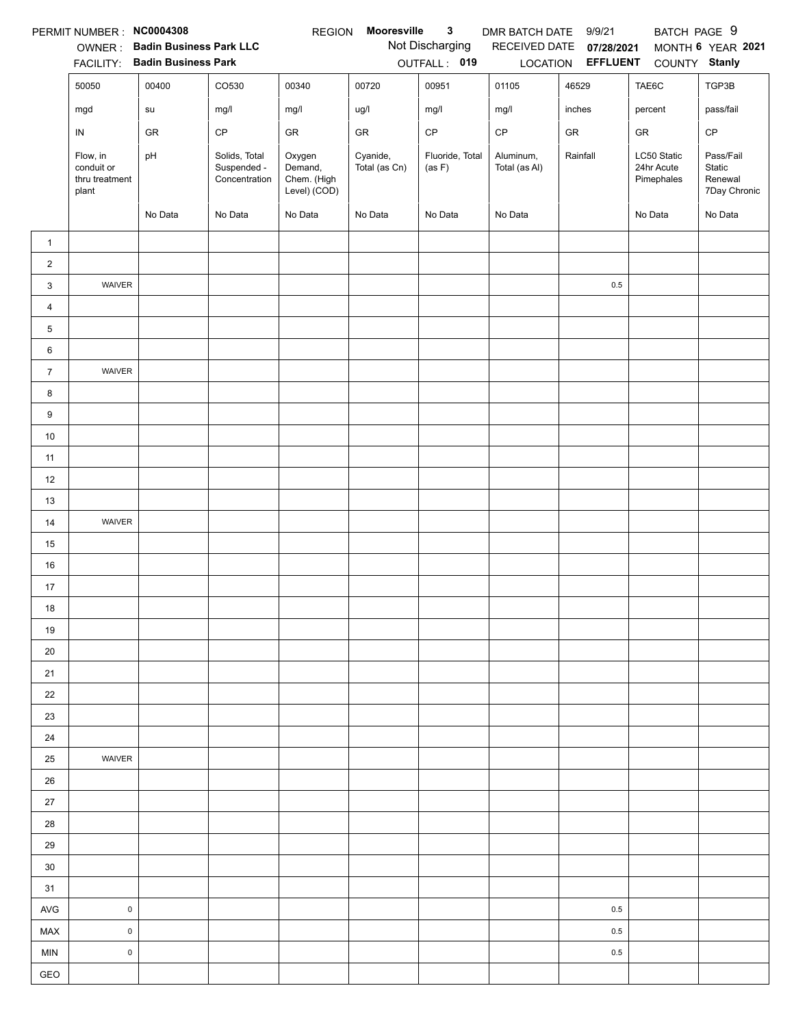|                         | PERMIT NUMBER: NC0004308                          |                                |                                               | <b>REGION</b>                                    | Mooresville               | 3                         | DMR BATCH DATE             | 9/9/21                   | BATCH PAGE 9                            |                                                |
|-------------------------|---------------------------------------------------|--------------------------------|-----------------------------------------------|--------------------------------------------------|---------------------------|---------------------------|----------------------------|--------------------------|-----------------------------------------|------------------------------------------------|
|                         | OWNER:                                            | <b>Badin Business Park LLC</b> |                                               |                                                  |                           | Not Discharging           |                            | RECEIVED DATE 07/28/2021 |                                         | MONTH 6 YEAR 2021                              |
|                         | <b>FACILITY:</b>                                  | <b>Badin Business Park</b>     |                                               |                                                  |                           | OUTFALL: 019              |                            | LOCATION <b>EFFLUENT</b> | COUNTY Stanly                           |                                                |
|                         | 50050                                             | 00400                          | CO530                                         | 00340                                            | 00720                     | 00951                     | 01105                      | 46529                    | TAE6C                                   | TGP3B                                          |
|                         | mgd                                               | su                             | mg/l                                          | mg/l                                             | ug/l                      | mg/l                      | mg/l                       | inches                   | percent                                 | pass/fail                                      |
|                         | IN                                                | GR                             | CP                                            | GR                                               | GR                        | CP                        | CP                         | GR                       | GR                                      | $\mathsf{CP}$                                  |
|                         | Flow, in<br>conduit or<br>thru treatment<br>plant | pH                             | Solids, Total<br>Suspended -<br>Concentration | Oxygen<br>Demand,<br>Chem. (High<br>Level) (COD) | Cyanide,<br>Total (as Cn) | Fluoride, Total<br>(as F) | Aluminum,<br>Total (as Al) | Rainfall                 | LC50 Static<br>24hr Acute<br>Pimephales | Pass/Fail<br>Static<br>Renewal<br>7Day Chronic |
|                         |                                                   | No Data                        | No Data                                       | No Data                                          | No Data                   | No Data                   | No Data                    |                          | No Data                                 | No Data                                        |
| $\mathbf{1}$            |                                                   |                                |                                               |                                                  |                           |                           |                            |                          |                                         |                                                |
| $\overline{\mathbf{c}}$ |                                                   |                                |                                               |                                                  |                           |                           |                            |                          |                                         |                                                |
| 3                       | WAIVER                                            |                                |                                               |                                                  |                           |                           |                            | $0.5\,$                  |                                         |                                                |
| $\overline{4}$          |                                                   |                                |                                               |                                                  |                           |                           |                            |                          |                                         |                                                |
| 5                       |                                                   |                                |                                               |                                                  |                           |                           |                            |                          |                                         |                                                |
| 6                       |                                                   |                                |                                               |                                                  |                           |                           |                            |                          |                                         |                                                |
| $\overline{7}$          | WAIVER                                            |                                |                                               |                                                  |                           |                           |                            |                          |                                         |                                                |
| 8                       |                                                   |                                |                                               |                                                  |                           |                           |                            |                          |                                         |                                                |
| 9                       |                                                   |                                |                                               |                                                  |                           |                           |                            |                          |                                         |                                                |
| 10                      |                                                   |                                |                                               |                                                  |                           |                           |                            |                          |                                         |                                                |
| 11                      |                                                   |                                |                                               |                                                  |                           |                           |                            |                          |                                         |                                                |
| 12                      |                                                   |                                |                                               |                                                  |                           |                           |                            |                          |                                         |                                                |
| 13                      |                                                   |                                |                                               |                                                  |                           |                           |                            |                          |                                         |                                                |
| 14                      | WAIVER                                            |                                |                                               |                                                  |                           |                           |                            |                          |                                         |                                                |
| 15                      |                                                   |                                |                                               |                                                  |                           |                           |                            |                          |                                         |                                                |
| 16                      |                                                   |                                |                                               |                                                  |                           |                           |                            |                          |                                         |                                                |
| 17                      |                                                   |                                |                                               |                                                  |                           |                           |                            |                          |                                         |                                                |
| 18                      |                                                   |                                |                                               |                                                  |                           |                           |                            |                          |                                         |                                                |
| 19                      |                                                   |                                |                                               |                                                  |                           |                           |                            |                          |                                         |                                                |
| 20                      |                                                   |                                |                                               |                                                  |                           |                           |                            |                          |                                         |                                                |
| 21                      |                                                   |                                |                                               |                                                  |                           |                           |                            |                          |                                         |                                                |
| 22                      |                                                   |                                |                                               |                                                  |                           |                           |                            |                          |                                         |                                                |
| 23                      |                                                   |                                |                                               |                                                  |                           |                           |                            |                          |                                         |                                                |
| 24                      |                                                   |                                |                                               |                                                  |                           |                           |                            |                          |                                         |                                                |
| 25                      | WAIVER                                            |                                |                                               |                                                  |                           |                           |                            |                          |                                         |                                                |
| $26\,$                  |                                                   |                                |                                               |                                                  |                           |                           |                            |                          |                                         |                                                |
| 27                      |                                                   |                                |                                               |                                                  |                           |                           |                            |                          |                                         |                                                |
| 28                      |                                                   |                                |                                               |                                                  |                           |                           |                            |                          |                                         |                                                |
| 29                      |                                                   |                                |                                               |                                                  |                           |                           |                            |                          |                                         |                                                |
| 30                      |                                                   |                                |                                               |                                                  |                           |                           |                            |                          |                                         |                                                |
| 31                      |                                                   |                                |                                               |                                                  |                           |                           |                            |                          |                                         |                                                |
| <b>AVG</b>              | $\mathsf 0$                                       |                                |                                               |                                                  |                           |                           |                            | 0.5                      |                                         |                                                |
| MAX                     | $\mathsf 0$                                       |                                |                                               |                                                  |                           |                           |                            | 0.5                      |                                         |                                                |
| MIN                     | $\pmb{0}$                                         |                                |                                               |                                                  |                           |                           |                            | $0.5\,$                  |                                         |                                                |
| GEO                     |                                                   |                                |                                               |                                                  |                           |                           |                            |                          |                                         |                                                |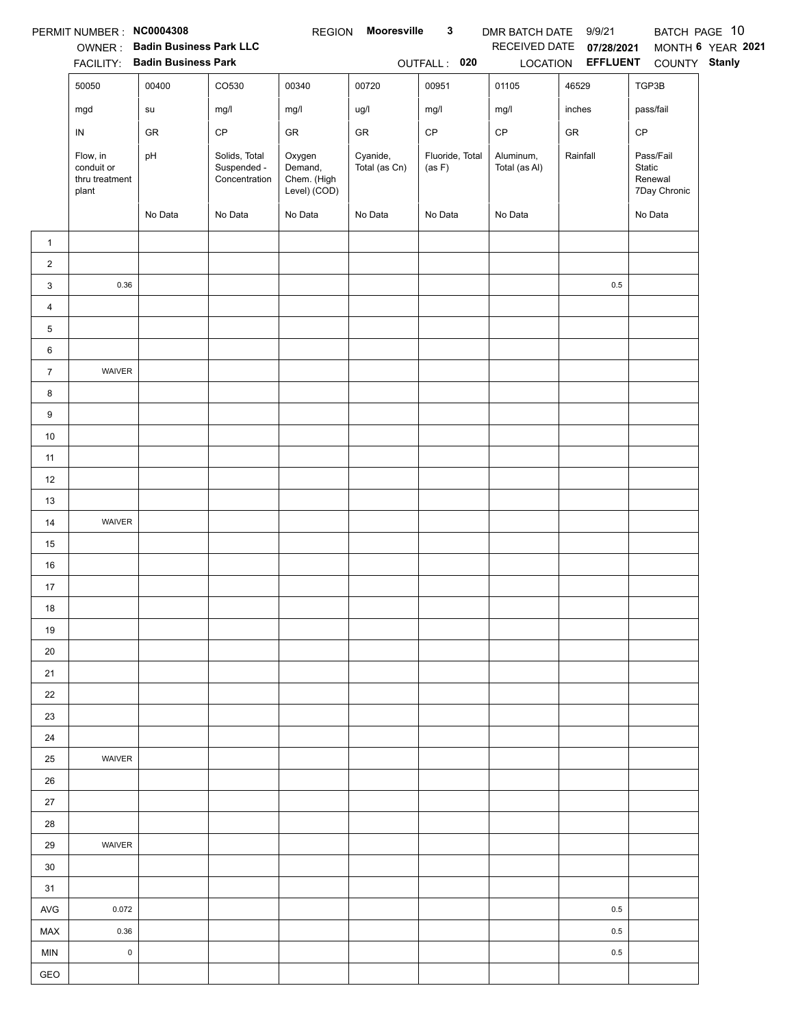|                | PERMIT NUMBER : NC0004308                         |                                |                                               | <b>REGION</b>                                    | Mooresville               | $\mathbf{3}$              | DMR BATCH DATE 9/9/21      |                          |                                                | BATCH PAGE 10     |
|----------------|---------------------------------------------------|--------------------------------|-----------------------------------------------|--------------------------------------------------|---------------------------|---------------------------|----------------------------|--------------------------|------------------------------------------------|-------------------|
|                |                                                   | OWNER: Badin Business Park LLC |                                               |                                                  |                           |                           |                            | RECEIVED DATE 07/28/2021 |                                                | MONTH 6 YEAR 2021 |
|                |                                                   | FACILITY: Badin Business Park  |                                               |                                                  |                           | OUTFALL: 020              |                            |                          | LOCATION EFFLUENT COUNTY Stanly                |                   |
|                | 50050                                             | 00400                          | CO530                                         | 00340                                            | 00720                     | 00951                     | 01105                      | 46529                    | TGP3B                                          |                   |
|                | mgd                                               | su                             | mg/l                                          | mg/l                                             | ug/l                      | mg/l                      | mg/l                       | inches                   | pass/fail                                      |                   |
|                | IN                                                | GR                             | $\mathsf{CP}$                                 | GR                                               | ${\sf GR}$                | $\mathsf{CP}$             | $\mathsf{CP}$              | ${\sf GR}$               | CP                                             |                   |
|                | Flow, in<br>conduit or<br>thru treatment<br>plant | pH                             | Solids, Total<br>Suspended -<br>Concentration | Oxygen<br>Demand,<br>Chem. (High<br>Level) (COD) | Cyanide,<br>Total (as Cn) | Fluoride, Total<br>(as F) | Aluminum,<br>Total (as Al) | Rainfall                 | Pass/Fail<br>Static<br>Renewal<br>7Day Chronic |                   |
|                |                                                   | No Data                        | No Data                                       | No Data                                          | No Data                   | No Data                   | No Data                    |                          | No Data                                        |                   |
| $\mathbf{1}$   |                                                   |                                |                                               |                                                  |                           |                           |                            |                          |                                                |                   |
| $\overline{a}$ |                                                   |                                |                                               |                                                  |                           |                           |                            |                          |                                                |                   |
| 3              | 0.36                                              |                                |                                               |                                                  |                           |                           |                            | 0.5                      |                                                |                   |
| $\overline{4}$ |                                                   |                                |                                               |                                                  |                           |                           |                            |                          |                                                |                   |
| 5              |                                                   |                                |                                               |                                                  |                           |                           |                            |                          |                                                |                   |
| 6              |                                                   |                                |                                               |                                                  |                           |                           |                            |                          |                                                |                   |
| $\overline{7}$ | WAIVER                                            |                                |                                               |                                                  |                           |                           |                            |                          |                                                |                   |
| 8              |                                                   |                                |                                               |                                                  |                           |                           |                            |                          |                                                |                   |
| 9              |                                                   |                                |                                               |                                                  |                           |                           |                            |                          |                                                |                   |
| $10\,$         |                                                   |                                |                                               |                                                  |                           |                           |                            |                          |                                                |                   |
| 11             |                                                   |                                |                                               |                                                  |                           |                           |                            |                          |                                                |                   |
| 12             |                                                   |                                |                                               |                                                  |                           |                           |                            |                          |                                                |                   |
| 13             |                                                   |                                |                                               |                                                  |                           |                           |                            |                          |                                                |                   |
| $14$           | WAIVER                                            |                                |                                               |                                                  |                           |                           |                            |                          |                                                |                   |
| 15             |                                                   |                                |                                               |                                                  |                           |                           |                            |                          |                                                |                   |
| $16\,$         |                                                   |                                |                                               |                                                  |                           |                           |                            |                          |                                                |                   |
| 17             |                                                   |                                |                                               |                                                  |                           |                           |                            |                          |                                                |                   |
| 18             |                                                   |                                |                                               |                                                  |                           |                           |                            |                          |                                                |                   |
| 19             |                                                   |                                |                                               |                                                  |                           |                           |                            |                          |                                                |                   |
| 20             |                                                   |                                |                                               |                                                  |                           |                           |                            |                          |                                                |                   |
| 21             |                                                   |                                |                                               |                                                  |                           |                           |                            |                          |                                                |                   |
| 22             |                                                   |                                |                                               |                                                  |                           |                           |                            |                          |                                                |                   |
| 23             |                                                   |                                |                                               |                                                  |                           |                           |                            |                          |                                                |                   |
| 24<br>25       | WAIVER                                            |                                |                                               |                                                  |                           |                           |                            |                          |                                                |                   |
| 26             |                                                   |                                |                                               |                                                  |                           |                           |                            |                          |                                                |                   |
| $27\,$         |                                                   |                                |                                               |                                                  |                           |                           |                            |                          |                                                |                   |
| 28             |                                                   |                                |                                               |                                                  |                           |                           |                            |                          |                                                |                   |
| 29             | WAIVER                                            |                                |                                               |                                                  |                           |                           |                            |                          |                                                |                   |
| 30             |                                                   |                                |                                               |                                                  |                           |                           |                            |                          |                                                |                   |
| 31             |                                                   |                                |                                               |                                                  |                           |                           |                            |                          |                                                |                   |
| AVG            | 0.072                                             |                                |                                               |                                                  |                           |                           |                            | 0.5                      |                                                |                   |
| MAX            | 0.36                                              |                                |                                               |                                                  |                           |                           |                            | 0.5                      |                                                |                   |
| MIN            | $\pmb{0}$                                         |                                |                                               |                                                  |                           |                           |                            | 0.5                      |                                                |                   |
| GEO            |                                                   |                                |                                               |                                                  |                           |                           |                            |                          |                                                |                   |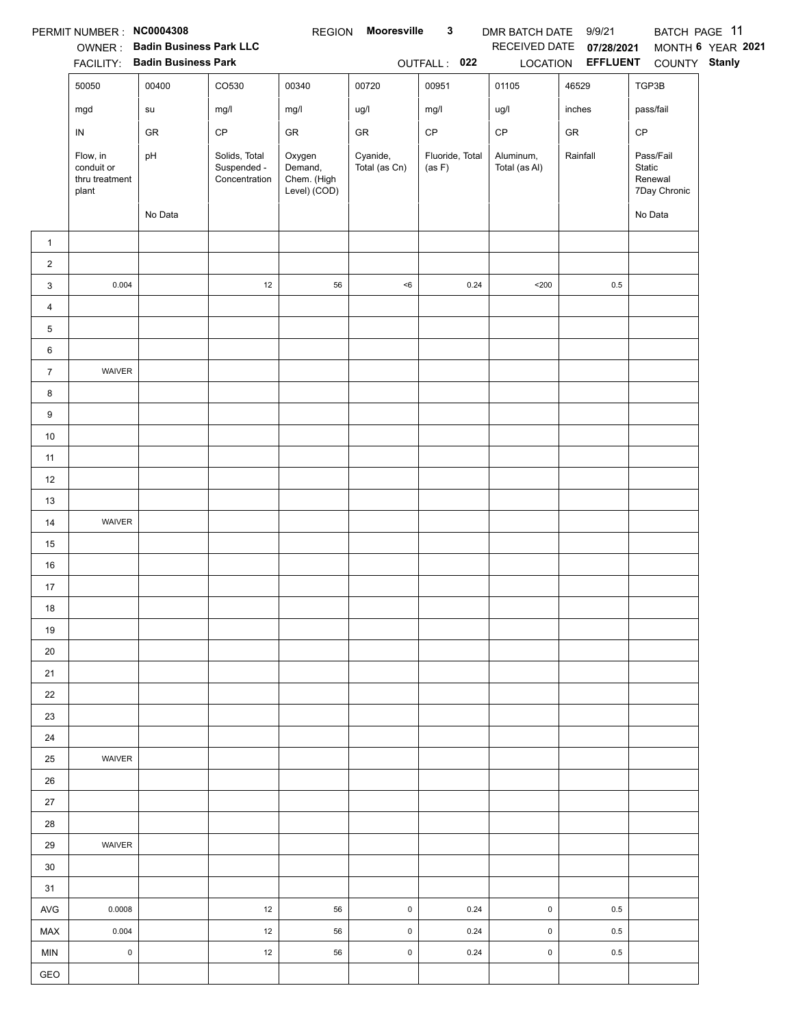|                | PERMIT NUMBER : NC0004308                         |                                        |                                               | <b>REGION</b>                                    | Mooresville               | $\mathbf{3}$              | DMR BATCH DATE 9/9/21      |                          | BATCH PAGE 11                                  |                   |
|----------------|---------------------------------------------------|----------------------------------------|-----------------------------------------------|--------------------------------------------------|---------------------------|---------------------------|----------------------------|--------------------------|------------------------------------------------|-------------------|
|                |                                                   | OWNER: Badin Business Park LLC         |                                               |                                                  |                           |                           |                            | RECEIVED DATE 07/28/2021 |                                                | MONTH 6 YEAR 2021 |
|                |                                                   | FACILITY: Badin Business Park<br>00400 | CO530                                         |                                                  |                           | OUTFALL: 022<br>00951     |                            | LOCATION <b>EFFLUENT</b> | COUNTY Stanly                                  |                   |
|                | 50050                                             |                                        |                                               | 00340                                            | 00720                     |                           | 01105                      | 46529                    | TGP3B                                          |                   |
|                | mgd                                               | su                                     | mg/l                                          | mg/l                                             | ug/l                      | mg/l                      | ug/l                       | inches                   | pass/fail                                      |                   |
|                | IN                                                | GR                                     | $\mathsf{CP}$                                 | GR                                               | ${\sf GR}$                | $\mathsf{CP}$             | $\mathsf{CP}$              | ${\sf GR}$               | CP                                             |                   |
|                | Flow, in<br>conduit or<br>thru treatment<br>plant | pH                                     | Solids, Total<br>Suspended -<br>Concentration | Oxygen<br>Demand,<br>Chem. (High<br>Level) (COD) | Cyanide,<br>Total (as Cn) | Fluoride, Total<br>(as F) | Aluminum,<br>Total (as Al) | Rainfall                 | Pass/Fail<br>Static<br>Renewal<br>7Day Chronic |                   |
|                |                                                   | No Data                                |                                               |                                                  |                           |                           |                            |                          | No Data                                        |                   |
| $\mathbf{1}$   |                                                   |                                        |                                               |                                                  |                           |                           |                            |                          |                                                |                   |
| $\overline{a}$ |                                                   |                                        |                                               |                                                  |                           |                           |                            |                          |                                                |                   |
| 3              | 0.004                                             |                                        | 12                                            | 56                                               | $<\!6$                    | 0.24                      | $200$                      | 0.5                      |                                                |                   |
| 4              |                                                   |                                        |                                               |                                                  |                           |                           |                            |                          |                                                |                   |
| 5              |                                                   |                                        |                                               |                                                  |                           |                           |                            |                          |                                                |                   |
| 6              |                                                   |                                        |                                               |                                                  |                           |                           |                            |                          |                                                |                   |
| $\overline{7}$ | WAIVER                                            |                                        |                                               |                                                  |                           |                           |                            |                          |                                                |                   |
| 8              |                                                   |                                        |                                               |                                                  |                           |                           |                            |                          |                                                |                   |
| 9              |                                                   |                                        |                                               |                                                  |                           |                           |                            |                          |                                                |                   |
| $10\,$         |                                                   |                                        |                                               |                                                  |                           |                           |                            |                          |                                                |                   |
| 11             |                                                   |                                        |                                               |                                                  |                           |                           |                            |                          |                                                |                   |
| 12             |                                                   |                                        |                                               |                                                  |                           |                           |                            |                          |                                                |                   |
| 13<br>$14$     | WAIVER                                            |                                        |                                               |                                                  |                           |                           |                            |                          |                                                |                   |
| 15             |                                                   |                                        |                                               |                                                  |                           |                           |                            |                          |                                                |                   |
| 16             |                                                   |                                        |                                               |                                                  |                           |                           |                            |                          |                                                |                   |
| 17             |                                                   |                                        |                                               |                                                  |                           |                           |                            |                          |                                                |                   |
| 18             |                                                   |                                        |                                               |                                                  |                           |                           |                            |                          |                                                |                   |
| 19             |                                                   |                                        |                                               |                                                  |                           |                           |                            |                          |                                                |                   |
| 20             |                                                   |                                        |                                               |                                                  |                           |                           |                            |                          |                                                |                   |
| 21             |                                                   |                                        |                                               |                                                  |                           |                           |                            |                          |                                                |                   |
| 22             |                                                   |                                        |                                               |                                                  |                           |                           |                            |                          |                                                |                   |
| 23             |                                                   |                                        |                                               |                                                  |                           |                           |                            |                          |                                                |                   |
| 24             |                                                   |                                        |                                               |                                                  |                           |                           |                            |                          |                                                |                   |
| 25             | WAIVER                                            |                                        |                                               |                                                  |                           |                           |                            |                          |                                                |                   |
| 26             |                                                   |                                        |                                               |                                                  |                           |                           |                            |                          |                                                |                   |
| 27             |                                                   |                                        |                                               |                                                  |                           |                           |                            |                          |                                                |                   |
| 28             |                                                   |                                        |                                               |                                                  |                           |                           |                            |                          |                                                |                   |
| 29             | WAIVER                                            |                                        |                                               |                                                  |                           |                           |                            |                          |                                                |                   |
| 30             |                                                   |                                        |                                               |                                                  |                           |                           |                            |                          |                                                |                   |
| 31             |                                                   |                                        |                                               |                                                  |                           |                           |                            |                          |                                                |                   |
| $\mathsf{AVG}$ | 0.0008                                            |                                        | 12                                            | 56                                               | $\pmb{0}$                 | 0.24                      | $\mathsf 0$                | 0.5                      |                                                |                   |
| MAX            | 0.004                                             |                                        | 12                                            | 56                                               | $\pmb{0}$                 | 0.24                      | $\mathsf 0$                | 0.5                      |                                                |                   |
| MIN            | $\pmb{0}$                                         |                                        | 12                                            | 56                                               | $\mathsf 0$               | 0.24                      | $\mathsf 0$                | 0.5                      |                                                |                   |
| GEO            |                                                   |                                        |                                               |                                                  |                           |                           |                            |                          |                                                |                   |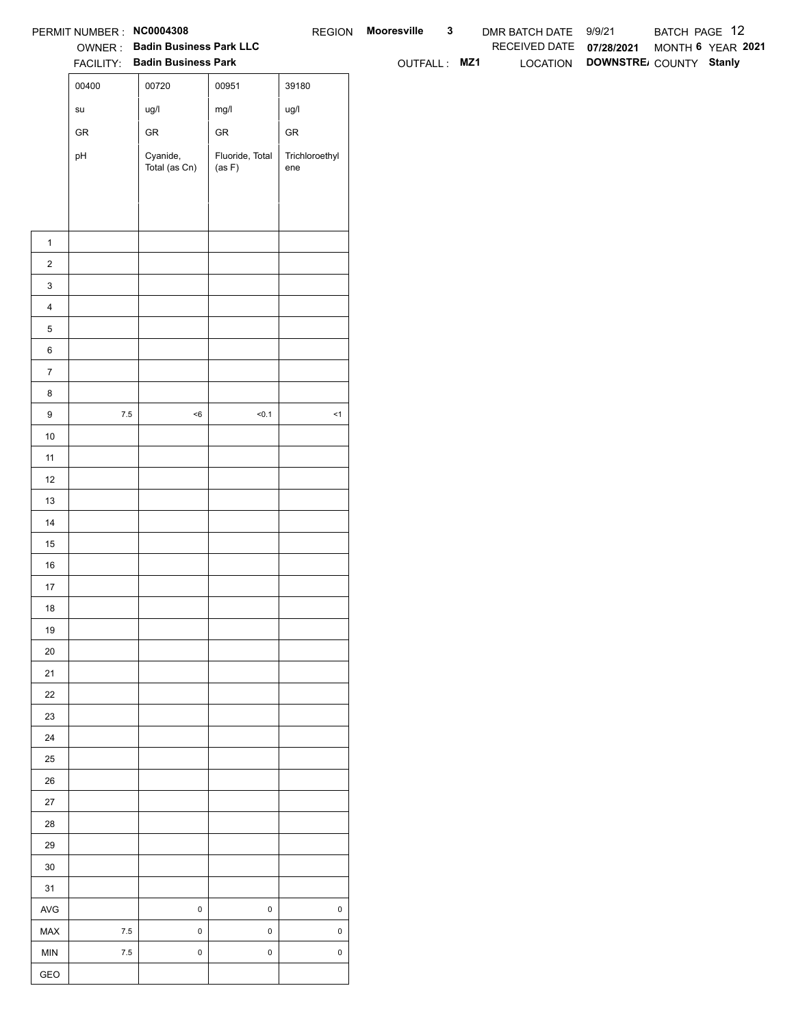| RECEIVED DATE 07/28/2021<br>OWNER: Badin Business Park LLC<br>LOCATION DOWNSTRE COUNTY Stanly<br>FACILITY: Badin Business Park<br>OUTFALL: MZ1<br>00400<br>00720<br>00951<br>39180<br>ug/l<br>mg/l<br>ug/l<br>$\operatorname{\mathsf{su}}\nolimits$<br>${\sf GR}$<br>${\sf GR}$<br>${\sf GR}$<br>${\sf GR}$<br>Cyanide,<br>Fluoride, Total<br>Trichloroethyl<br>pH<br>Total (as Cn)<br>(as F)<br>ene<br>$\mathbf{1}$<br>$\overline{2}$<br>$\mathbf{3}$<br>$\overline{4}$<br>$\,$ 5 $\,$<br>$\,6$<br>$\overline{7}$<br>$\bf8$<br>$7.5\,$<br>$<\!6$<br>50.1<br>$\boldsymbol{9}$<br>$\leq$ 1<br>10<br>11<br>12<br>13<br>14<br>15<br>16<br>$17$<br>18<br>19<br>$20\,$<br>21<br>$22\,$<br>23<br>24<br>$25\,$<br>26<br>27<br>28<br>29<br>$30\,$<br>31<br>$\mathsf 0$<br>$\mathbf 0$<br>$\pmb{0}$<br>AVG<br>$\pmb{0}$<br>$\mathsf 0$<br>$\mathsf 0$<br>$7.5\,$<br>MAX<br>$\mathbf 0$<br>$\mathsf 0$<br>$\mathsf 0$<br>$7.5\,$<br>MIN |     | PERMIT NUMBER : NC0004308 |  | REGION Mooresville | $\mathbf{3}$ | DMR BATCH DATE 9/9/21 |  |  |  |  | BATCH PAGE 12     |
|-------------------------------------------------------------------------------------------------------------------------------------------------------------------------------------------------------------------------------------------------------------------------------------------------------------------------------------------------------------------------------------------------------------------------------------------------------------------------------------------------------------------------------------------------------------------------------------------------------------------------------------------------------------------------------------------------------------------------------------------------------------------------------------------------------------------------------------------------------------------------------------------------------------------------------|-----|---------------------------|--|--------------------|--------------|-----------------------|--|--|--|--|-------------------|
|                                                                                                                                                                                                                                                                                                                                                                                                                                                                                                                                                                                                                                                                                                                                                                                                                                                                                                                               |     |                           |  |                    |              |                       |  |  |  |  | MONTH 6 YEAR 2021 |
|                                                                                                                                                                                                                                                                                                                                                                                                                                                                                                                                                                                                                                                                                                                                                                                                                                                                                                                               |     |                           |  |                    |              |                       |  |  |  |  |                   |
|                                                                                                                                                                                                                                                                                                                                                                                                                                                                                                                                                                                                                                                                                                                                                                                                                                                                                                                               |     |                           |  |                    |              |                       |  |  |  |  |                   |
|                                                                                                                                                                                                                                                                                                                                                                                                                                                                                                                                                                                                                                                                                                                                                                                                                                                                                                                               |     |                           |  |                    |              |                       |  |  |  |  |                   |
|                                                                                                                                                                                                                                                                                                                                                                                                                                                                                                                                                                                                                                                                                                                                                                                                                                                                                                                               |     |                           |  |                    |              |                       |  |  |  |  |                   |
|                                                                                                                                                                                                                                                                                                                                                                                                                                                                                                                                                                                                                                                                                                                                                                                                                                                                                                                               |     |                           |  |                    |              |                       |  |  |  |  |                   |
|                                                                                                                                                                                                                                                                                                                                                                                                                                                                                                                                                                                                                                                                                                                                                                                                                                                                                                                               |     |                           |  |                    |              |                       |  |  |  |  |                   |
|                                                                                                                                                                                                                                                                                                                                                                                                                                                                                                                                                                                                                                                                                                                                                                                                                                                                                                                               |     |                           |  |                    |              |                       |  |  |  |  |                   |
|                                                                                                                                                                                                                                                                                                                                                                                                                                                                                                                                                                                                                                                                                                                                                                                                                                                                                                                               |     |                           |  |                    |              |                       |  |  |  |  |                   |
|                                                                                                                                                                                                                                                                                                                                                                                                                                                                                                                                                                                                                                                                                                                                                                                                                                                                                                                               |     |                           |  |                    |              |                       |  |  |  |  |                   |
|                                                                                                                                                                                                                                                                                                                                                                                                                                                                                                                                                                                                                                                                                                                                                                                                                                                                                                                               |     |                           |  |                    |              |                       |  |  |  |  |                   |
|                                                                                                                                                                                                                                                                                                                                                                                                                                                                                                                                                                                                                                                                                                                                                                                                                                                                                                                               |     |                           |  |                    |              |                       |  |  |  |  |                   |
|                                                                                                                                                                                                                                                                                                                                                                                                                                                                                                                                                                                                                                                                                                                                                                                                                                                                                                                               |     |                           |  |                    |              |                       |  |  |  |  |                   |
|                                                                                                                                                                                                                                                                                                                                                                                                                                                                                                                                                                                                                                                                                                                                                                                                                                                                                                                               |     |                           |  |                    |              |                       |  |  |  |  |                   |
|                                                                                                                                                                                                                                                                                                                                                                                                                                                                                                                                                                                                                                                                                                                                                                                                                                                                                                                               |     |                           |  |                    |              |                       |  |  |  |  |                   |
|                                                                                                                                                                                                                                                                                                                                                                                                                                                                                                                                                                                                                                                                                                                                                                                                                                                                                                                               |     |                           |  |                    |              |                       |  |  |  |  |                   |
|                                                                                                                                                                                                                                                                                                                                                                                                                                                                                                                                                                                                                                                                                                                                                                                                                                                                                                                               |     |                           |  |                    |              |                       |  |  |  |  |                   |
|                                                                                                                                                                                                                                                                                                                                                                                                                                                                                                                                                                                                                                                                                                                                                                                                                                                                                                                               |     |                           |  |                    |              |                       |  |  |  |  |                   |
|                                                                                                                                                                                                                                                                                                                                                                                                                                                                                                                                                                                                                                                                                                                                                                                                                                                                                                                               |     |                           |  |                    |              |                       |  |  |  |  |                   |
|                                                                                                                                                                                                                                                                                                                                                                                                                                                                                                                                                                                                                                                                                                                                                                                                                                                                                                                               |     |                           |  |                    |              |                       |  |  |  |  |                   |
|                                                                                                                                                                                                                                                                                                                                                                                                                                                                                                                                                                                                                                                                                                                                                                                                                                                                                                                               |     |                           |  |                    |              |                       |  |  |  |  |                   |
|                                                                                                                                                                                                                                                                                                                                                                                                                                                                                                                                                                                                                                                                                                                                                                                                                                                                                                                               |     |                           |  |                    |              |                       |  |  |  |  |                   |
|                                                                                                                                                                                                                                                                                                                                                                                                                                                                                                                                                                                                                                                                                                                                                                                                                                                                                                                               |     |                           |  |                    |              |                       |  |  |  |  |                   |
|                                                                                                                                                                                                                                                                                                                                                                                                                                                                                                                                                                                                                                                                                                                                                                                                                                                                                                                               |     |                           |  |                    |              |                       |  |  |  |  |                   |
|                                                                                                                                                                                                                                                                                                                                                                                                                                                                                                                                                                                                                                                                                                                                                                                                                                                                                                                               |     |                           |  |                    |              |                       |  |  |  |  |                   |
|                                                                                                                                                                                                                                                                                                                                                                                                                                                                                                                                                                                                                                                                                                                                                                                                                                                                                                                               |     |                           |  |                    |              |                       |  |  |  |  |                   |
|                                                                                                                                                                                                                                                                                                                                                                                                                                                                                                                                                                                                                                                                                                                                                                                                                                                                                                                               |     |                           |  |                    |              |                       |  |  |  |  |                   |
|                                                                                                                                                                                                                                                                                                                                                                                                                                                                                                                                                                                                                                                                                                                                                                                                                                                                                                                               |     |                           |  |                    |              |                       |  |  |  |  |                   |
|                                                                                                                                                                                                                                                                                                                                                                                                                                                                                                                                                                                                                                                                                                                                                                                                                                                                                                                               |     |                           |  |                    |              |                       |  |  |  |  |                   |
|                                                                                                                                                                                                                                                                                                                                                                                                                                                                                                                                                                                                                                                                                                                                                                                                                                                                                                                               |     |                           |  |                    |              |                       |  |  |  |  |                   |
|                                                                                                                                                                                                                                                                                                                                                                                                                                                                                                                                                                                                                                                                                                                                                                                                                                                                                                                               |     |                           |  |                    |              |                       |  |  |  |  |                   |
|                                                                                                                                                                                                                                                                                                                                                                                                                                                                                                                                                                                                                                                                                                                                                                                                                                                                                                                               |     |                           |  |                    |              |                       |  |  |  |  |                   |
|                                                                                                                                                                                                                                                                                                                                                                                                                                                                                                                                                                                                                                                                                                                                                                                                                                                                                                                               |     |                           |  |                    |              |                       |  |  |  |  |                   |
|                                                                                                                                                                                                                                                                                                                                                                                                                                                                                                                                                                                                                                                                                                                                                                                                                                                                                                                               |     |                           |  |                    |              |                       |  |  |  |  |                   |
|                                                                                                                                                                                                                                                                                                                                                                                                                                                                                                                                                                                                                                                                                                                                                                                                                                                                                                                               |     |                           |  |                    |              |                       |  |  |  |  |                   |
|                                                                                                                                                                                                                                                                                                                                                                                                                                                                                                                                                                                                                                                                                                                                                                                                                                                                                                                               |     |                           |  |                    |              |                       |  |  |  |  |                   |
|                                                                                                                                                                                                                                                                                                                                                                                                                                                                                                                                                                                                                                                                                                                                                                                                                                                                                                                               |     |                           |  |                    |              |                       |  |  |  |  |                   |
|                                                                                                                                                                                                                                                                                                                                                                                                                                                                                                                                                                                                                                                                                                                                                                                                                                                                                                                               |     |                           |  |                    |              |                       |  |  |  |  |                   |
|                                                                                                                                                                                                                                                                                                                                                                                                                                                                                                                                                                                                                                                                                                                                                                                                                                                                                                                               |     |                           |  |                    |              |                       |  |  |  |  |                   |
|                                                                                                                                                                                                                                                                                                                                                                                                                                                                                                                                                                                                                                                                                                                                                                                                                                                                                                                               |     |                           |  |                    |              |                       |  |  |  |  |                   |
|                                                                                                                                                                                                                                                                                                                                                                                                                                                                                                                                                                                                                                                                                                                                                                                                                                                                                                                               |     |                           |  |                    |              |                       |  |  |  |  |                   |
|                                                                                                                                                                                                                                                                                                                                                                                                                                                                                                                                                                                                                                                                                                                                                                                                                                                                                                                               | GEO |                           |  |                    |              |                       |  |  |  |  |                   |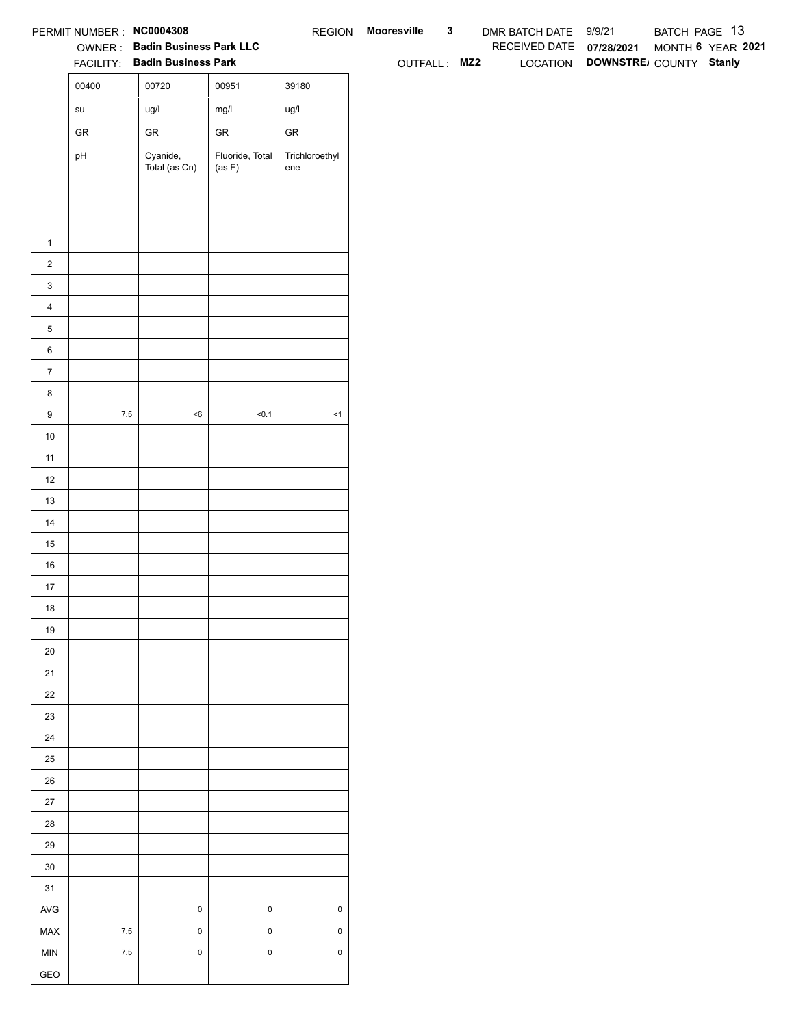|                  | PERMIT NUMBER : NC0004308             |                                                                 |                           |                       | REGION Mooresville | $\mathbf{3}$ | DMR BATCH DATE 9/9/21    |                                 | BATCH PAGE 13     |  |
|------------------|---------------------------------------|-----------------------------------------------------------------|---------------------------|-----------------------|--------------------|--------------|--------------------------|---------------------------------|-------------------|--|
|                  |                                       | OWNER: Badin Business Park LLC<br>FACILITY: Badin Business Park |                           |                       |                    |              | RECEIVED DATE 07/28/2021 | LOCATION DOWNSTRE COUNTY Stanly | MONTH 6 YEAR 2021 |  |
|                  | 00400                                 |                                                                 |                           |                       | OUTFALL: MZ2       |              |                          |                                 |                   |  |
|                  |                                       | 00720                                                           | 00951                     | 39180                 |                    |              |                          |                                 |                   |  |
|                  | $\operatorname{\mathsf{su}}\nolimits$ | ug/l                                                            | mg/l                      | ug/l                  |                    |              |                          |                                 |                   |  |
|                  | ${\sf GR}$                            | ${\sf GR}$                                                      | ${\sf GR}$                | ${\sf GR}$            |                    |              |                          |                                 |                   |  |
|                  | pH                                    | Cyanide,<br>Total (as Cn)                                       | Fluoride, Total<br>(as F) | Trichloroethyl<br>ene |                    |              |                          |                                 |                   |  |
|                  |                                       |                                                                 |                           |                       |                    |              |                          |                                 |                   |  |
|                  |                                       |                                                                 |                           |                       |                    |              |                          |                                 |                   |  |
|                  |                                       |                                                                 |                           |                       |                    |              |                          |                                 |                   |  |
| $\mathbf{1}$     |                                       |                                                                 |                           |                       |                    |              |                          |                                 |                   |  |
| $\overline{2}$   |                                       |                                                                 |                           |                       |                    |              |                          |                                 |                   |  |
| $\mathbf{3}$     |                                       |                                                                 |                           |                       |                    |              |                          |                                 |                   |  |
| $\overline{4}$   |                                       |                                                                 |                           |                       |                    |              |                          |                                 |                   |  |
| $\mathbf 5$      |                                       |                                                                 |                           |                       |                    |              |                          |                                 |                   |  |
| $\,6\,$          |                                       |                                                                 |                           |                       |                    |              |                          |                                 |                   |  |
| $\overline{7}$   |                                       |                                                                 |                           |                       |                    |              |                          |                                 |                   |  |
| 8                |                                       |                                                                 |                           |                       |                    |              |                          |                                 |                   |  |
| $\boldsymbol{9}$ | $7.5\,$                               | $<\!6$                                                          | 50.1                      | $\leq$ 1              |                    |              |                          |                                 |                   |  |
| 10               |                                       |                                                                 |                           |                       |                    |              |                          |                                 |                   |  |
| 11               |                                       |                                                                 |                           |                       |                    |              |                          |                                 |                   |  |
| 12<br>13         |                                       |                                                                 |                           |                       |                    |              |                          |                                 |                   |  |
| 14               |                                       |                                                                 |                           |                       |                    |              |                          |                                 |                   |  |
| 15               |                                       |                                                                 |                           |                       |                    |              |                          |                                 |                   |  |
| $16\,$           |                                       |                                                                 |                           |                       |                    |              |                          |                                 |                   |  |
| 17               |                                       |                                                                 |                           |                       |                    |              |                          |                                 |                   |  |
| 18               |                                       |                                                                 |                           |                       |                    |              |                          |                                 |                   |  |
| 19               |                                       |                                                                 |                           |                       |                    |              |                          |                                 |                   |  |
| $20\,$           |                                       |                                                                 |                           |                       |                    |              |                          |                                 |                   |  |
| 21               |                                       |                                                                 |                           |                       |                    |              |                          |                                 |                   |  |
| 22               |                                       |                                                                 |                           |                       |                    |              |                          |                                 |                   |  |
| 23               |                                       |                                                                 |                           |                       |                    |              |                          |                                 |                   |  |
| 24               |                                       |                                                                 |                           |                       |                    |              |                          |                                 |                   |  |
| 25               |                                       |                                                                 |                           |                       |                    |              |                          |                                 |                   |  |
| $26\,$           |                                       |                                                                 |                           |                       |                    |              |                          |                                 |                   |  |
| $27\,$           |                                       |                                                                 |                           |                       |                    |              |                          |                                 |                   |  |
| 28               |                                       |                                                                 |                           |                       |                    |              |                          |                                 |                   |  |
| 29               |                                       |                                                                 |                           |                       |                    |              |                          |                                 |                   |  |
| $30\,$           |                                       |                                                                 |                           |                       |                    |              |                          |                                 |                   |  |
| 31               |                                       |                                                                 |                           |                       |                    |              |                          |                                 |                   |  |
| $\mathsf{AVG}$   |                                       | $\,0\,$                                                         | $\mathbf 0$               | $\mathsf{O}\xspace$   |                    |              |                          |                                 |                   |  |
| MAX              | $7.5\,$                               | $\mathbf 0$                                                     | $\mathbf 0$               | $\mathsf 0$           |                    |              |                          |                                 |                   |  |
| MIN              | $7.5\,$                               | $\pmb{0}$                                                       | $\mathsf{O}\xspace$       | $\mathsf 0$           |                    |              |                          |                                 |                   |  |
| GEO              |                                       |                                                                 |                           |                       |                    |              |                          |                                 |                   |  |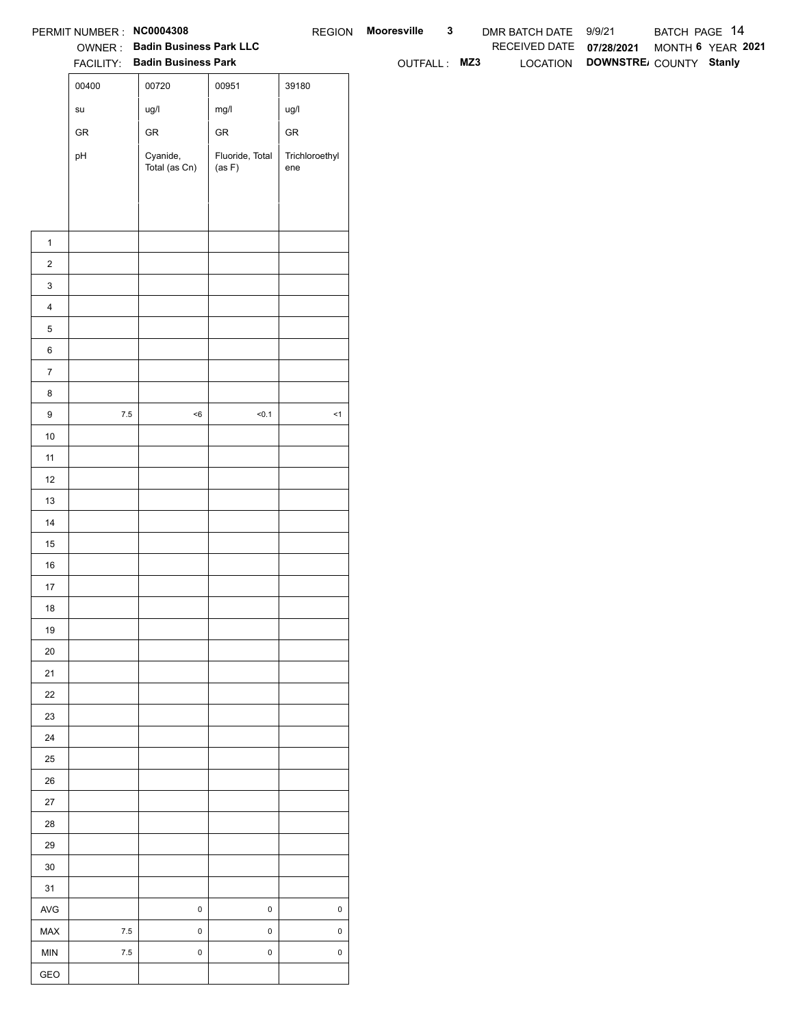|                       | PERMIT NUMBER : NC0004308             |                                                                 |                           |                       | REGION Mooresville | $\mathbf{3}$ | DMR BATCH DATE 9/9/21    |                                 | BATCH PAGE 14     |  |
|-----------------------|---------------------------------------|-----------------------------------------------------------------|---------------------------|-----------------------|--------------------|--------------|--------------------------|---------------------------------|-------------------|--|
|                       |                                       | OWNER: Badin Business Park LLC<br>FACILITY: Badin Business Park |                           |                       | OUTFALL: MZ3       |              | RECEIVED DATE 07/28/2021 | LOCATION DOWNSTRE COUNTY Stanly | MONTH 6 YEAR 2021 |  |
|                       | 00400                                 | 00720                                                           | 00951                     | 39180                 |                    |              |                          |                                 |                   |  |
|                       |                                       |                                                                 |                           |                       |                    |              |                          |                                 |                   |  |
|                       | $\operatorname{\mathsf{su}}\nolimits$ | ug/l                                                            | mg/l                      | ug/l                  |                    |              |                          |                                 |                   |  |
|                       | ${\sf GR}$                            | ${\sf GR}$                                                      | ${\sf GR}$                | ${\sf GR}$            |                    |              |                          |                                 |                   |  |
|                       | pH                                    | Cyanide,<br>Total (as Cn)                                       | Fluoride, Total<br>(as F) | Trichloroethyl<br>ene |                    |              |                          |                                 |                   |  |
|                       |                                       |                                                                 |                           |                       |                    |              |                          |                                 |                   |  |
|                       |                                       |                                                                 |                           |                       |                    |              |                          |                                 |                   |  |
|                       |                                       |                                                                 |                           |                       |                    |              |                          |                                 |                   |  |
| $\mathbf{1}$          |                                       |                                                                 |                           |                       |                    |              |                          |                                 |                   |  |
| $\overline{2}$        |                                       |                                                                 |                           |                       |                    |              |                          |                                 |                   |  |
| $\mathbf{3}$          |                                       |                                                                 |                           |                       |                    |              |                          |                                 |                   |  |
| $\overline{4}$        |                                       |                                                                 |                           |                       |                    |              |                          |                                 |                   |  |
| $\mathbf 5$           |                                       |                                                                 |                           |                       |                    |              |                          |                                 |                   |  |
| $\,6\,$               |                                       |                                                                 |                           |                       |                    |              |                          |                                 |                   |  |
| $\overline{7}$        |                                       |                                                                 |                           |                       |                    |              |                          |                                 |                   |  |
| 8<br>$\boldsymbol{9}$ | $7.5\,$                               | $<\!6$                                                          | 50.1                      | $\leq$ 1              |                    |              |                          |                                 |                   |  |
| 10                    |                                       |                                                                 |                           |                       |                    |              |                          |                                 |                   |  |
| 11                    |                                       |                                                                 |                           |                       |                    |              |                          |                                 |                   |  |
| 12                    |                                       |                                                                 |                           |                       |                    |              |                          |                                 |                   |  |
| 13                    |                                       |                                                                 |                           |                       |                    |              |                          |                                 |                   |  |
| 14                    |                                       |                                                                 |                           |                       |                    |              |                          |                                 |                   |  |
| 15                    |                                       |                                                                 |                           |                       |                    |              |                          |                                 |                   |  |
| $16\,$                |                                       |                                                                 |                           |                       |                    |              |                          |                                 |                   |  |
| 17                    |                                       |                                                                 |                           |                       |                    |              |                          |                                 |                   |  |
| 18                    |                                       |                                                                 |                           |                       |                    |              |                          |                                 |                   |  |
| 19                    |                                       |                                                                 |                           |                       |                    |              |                          |                                 |                   |  |
| $20\,$                |                                       |                                                                 |                           |                       |                    |              |                          |                                 |                   |  |
| 21                    |                                       |                                                                 |                           |                       |                    |              |                          |                                 |                   |  |
| $22\,$                |                                       |                                                                 |                           |                       |                    |              |                          |                                 |                   |  |
| 23                    |                                       |                                                                 |                           |                       |                    |              |                          |                                 |                   |  |
| 24                    |                                       |                                                                 |                           |                       |                    |              |                          |                                 |                   |  |
| $25\,$                |                                       |                                                                 |                           |                       |                    |              |                          |                                 |                   |  |
| $26\,$                |                                       |                                                                 |                           |                       |                    |              |                          |                                 |                   |  |
| $27\,$                |                                       |                                                                 |                           |                       |                    |              |                          |                                 |                   |  |
| 28                    |                                       |                                                                 |                           |                       |                    |              |                          |                                 |                   |  |
| 29                    |                                       |                                                                 |                           |                       |                    |              |                          |                                 |                   |  |
| $30\,$                |                                       |                                                                 |                           |                       |                    |              |                          |                                 |                   |  |
| 31                    |                                       |                                                                 |                           |                       |                    |              |                          |                                 |                   |  |
| $\mathsf{AVG}$        |                                       | $\,0\,$                                                         | $\mathsf 0$               | $\mathsf{O}\xspace$   |                    |              |                          |                                 |                   |  |
| MAX                   | $7.5\,$                               | $\mathbf 0$                                                     | $\mathbf 0$               | $\mathsf 0$           |                    |              |                          |                                 |                   |  |
| MIN                   | $7.5\,$                               | $\pmb{0}$                                                       | $\mathsf{O}\xspace$       | $\mathsf 0$           |                    |              |                          |                                 |                   |  |
| GEO                   |                                       |                                                                 |                           |                       |                    |              |                          |                                 |                   |  |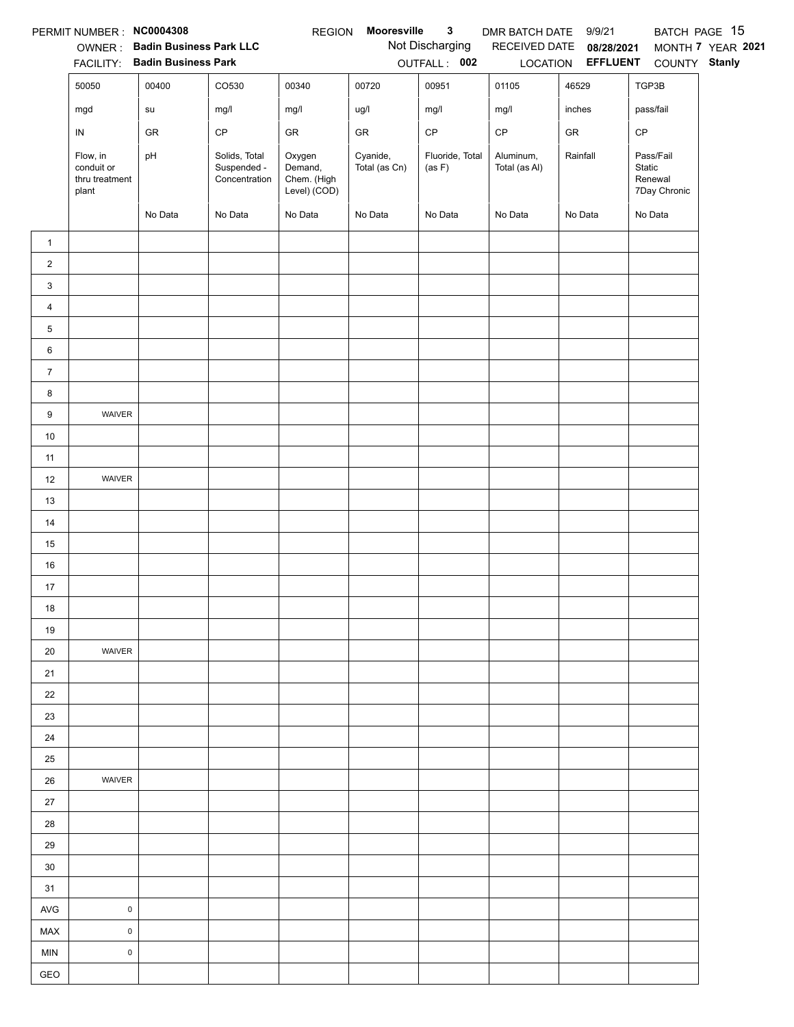|                | PERMIT NUMBER : NC0004308                         |                                |                                               | <b>REGION</b>                                    | Mooresville               | $\mathbf{3}$              | DMR BATCH DATE 9/9/21      |                          | BATCH PAGE 15                                  |                   |
|----------------|---------------------------------------------------|--------------------------------|-----------------------------------------------|--------------------------------------------------|---------------------------|---------------------------|----------------------------|--------------------------|------------------------------------------------|-------------------|
|                |                                                   | OWNER: Badin Business Park LLC |                                               |                                                  |                           | Not Discharging           |                            | RECEIVED DATE 08/28/2021 |                                                | MONTH 7 YEAR 2021 |
|                |                                                   | FACILITY: Badin Business Park  |                                               |                                                  |                           | OUTFALL: 002              |                            | LOCATION EFFLUENT        | COUNTY Stanly                                  |                   |
|                | 50050                                             | 00400                          | CO530                                         | 00340                                            | 00720                     | 00951                     | 01105                      | 46529                    | TGP3B                                          |                   |
|                | mgd                                               | su                             | mg/l                                          | mg/l                                             | ug/l                      | mg/l                      | mg/l                       | inches                   | pass/fail                                      |                   |
|                | IN                                                | GR                             | CP                                            | GR                                               | GR                        | CP                        | $\mathsf{CP}$              | ${\sf GR}$               | CP                                             |                   |
|                | Flow, in<br>conduit or<br>thru treatment<br>plant | pH                             | Solids, Total<br>Suspended -<br>Concentration | Oxygen<br>Demand,<br>Chem. (High<br>Level) (COD) | Cyanide,<br>Total (as Cn) | Fluoride, Total<br>(as F) | Aluminum,<br>Total (as Al) | Rainfall                 | Pass/Fail<br>Static<br>Renewal<br>7Day Chronic |                   |
|                |                                                   | No Data                        | No Data                                       | No Data                                          | No Data                   | No Data                   | No Data                    | No Data                  | No Data                                        |                   |
| $\mathbf{1}$   |                                                   |                                |                                               |                                                  |                           |                           |                            |                          |                                                |                   |
| $\overline{c}$ |                                                   |                                |                                               |                                                  |                           |                           |                            |                          |                                                |                   |
| $\mathbf{3}$   |                                                   |                                |                                               |                                                  |                           |                           |                            |                          |                                                |                   |
| $\overline{4}$ |                                                   |                                |                                               |                                                  |                           |                           |                            |                          |                                                |                   |
| 5              |                                                   |                                |                                               |                                                  |                           |                           |                            |                          |                                                |                   |
| 6              |                                                   |                                |                                               |                                                  |                           |                           |                            |                          |                                                |                   |
| $\overline{7}$ |                                                   |                                |                                               |                                                  |                           |                           |                            |                          |                                                |                   |
| 8              |                                                   |                                |                                               |                                                  |                           |                           |                            |                          |                                                |                   |
| 9              | WAIVER                                            |                                |                                               |                                                  |                           |                           |                            |                          |                                                |                   |
| $10$           |                                                   |                                |                                               |                                                  |                           |                           |                            |                          |                                                |                   |
| 11             |                                                   |                                |                                               |                                                  |                           |                           |                            |                          |                                                |                   |
| 12             | WAIVER                                            |                                |                                               |                                                  |                           |                           |                            |                          |                                                |                   |
| 13             |                                                   |                                |                                               |                                                  |                           |                           |                            |                          |                                                |                   |
| 14             |                                                   |                                |                                               |                                                  |                           |                           |                            |                          |                                                |                   |
| 15             |                                                   |                                |                                               |                                                  |                           |                           |                            |                          |                                                |                   |
| 16             |                                                   |                                |                                               |                                                  |                           |                           |                            |                          |                                                |                   |
| 17             |                                                   |                                |                                               |                                                  |                           |                           |                            |                          |                                                |                   |
| 18             |                                                   |                                |                                               |                                                  |                           |                           |                            |                          |                                                |                   |
| 19             |                                                   |                                |                                               |                                                  |                           |                           |                            |                          |                                                |                   |
| 20             | WAIVER                                            |                                |                                               |                                                  |                           |                           |                            |                          |                                                |                   |
| 21             |                                                   |                                |                                               |                                                  |                           |                           |                            |                          |                                                |                   |
| 22             |                                                   |                                |                                               |                                                  |                           |                           |                            |                          |                                                |                   |
| 23             |                                                   |                                |                                               |                                                  |                           |                           |                            |                          |                                                |                   |
| 24             |                                                   |                                |                                               |                                                  |                           |                           |                            |                          |                                                |                   |
| 25             |                                                   |                                |                                               |                                                  |                           |                           |                            |                          |                                                |                   |
| 26             | WAIVER                                            |                                |                                               |                                                  |                           |                           |                            |                          |                                                |                   |
| 27             |                                                   |                                |                                               |                                                  |                           |                           |                            |                          |                                                |                   |
| 28             |                                                   |                                |                                               |                                                  |                           |                           |                            |                          |                                                |                   |
| 29             |                                                   |                                |                                               |                                                  |                           |                           |                            |                          |                                                |                   |
| 30             |                                                   |                                |                                               |                                                  |                           |                           |                            |                          |                                                |                   |
| 31             |                                                   |                                |                                               |                                                  |                           |                           |                            |                          |                                                |                   |
| <b>AVG</b>     | $\pmb{0}$                                         |                                |                                               |                                                  |                           |                           |                            |                          |                                                |                   |
| MAX            | 0                                                 |                                |                                               |                                                  |                           |                           |                            |                          |                                                |                   |
| <b>MIN</b>     | $\pmb{0}$                                         |                                |                                               |                                                  |                           |                           |                            |                          |                                                |                   |
| GEO            |                                                   |                                |                                               |                                                  |                           |                           |                            |                          |                                                |                   |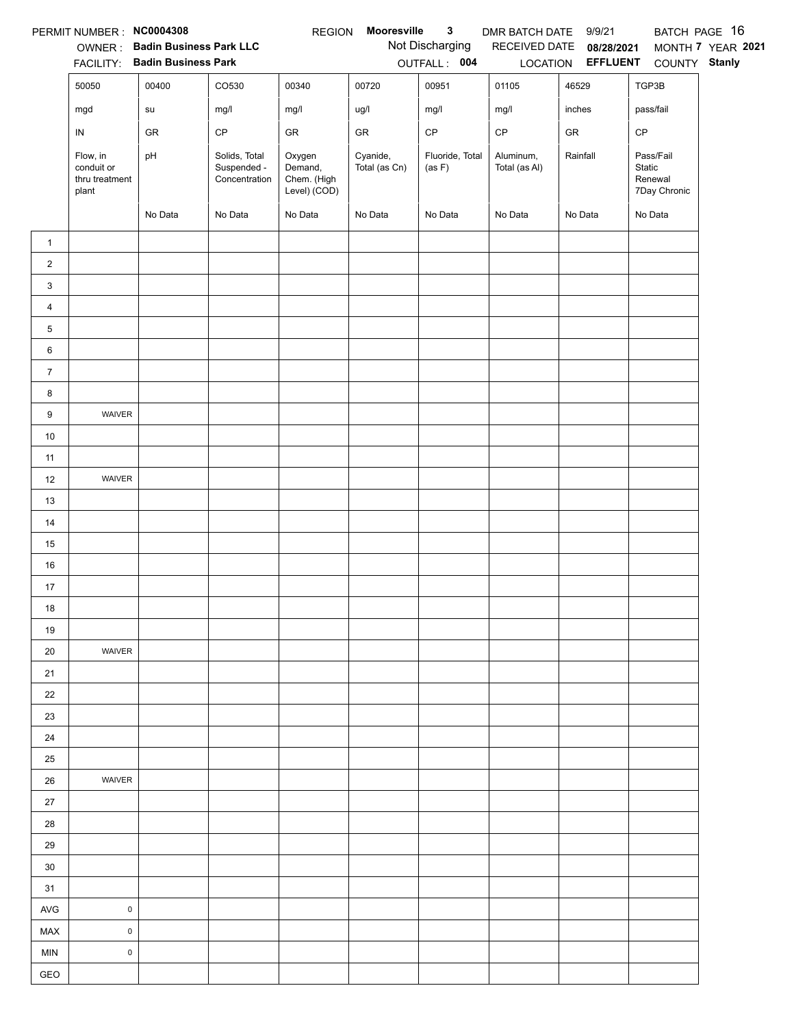|                | PERMIT NUMBER: NC0004308                          |                                                                 |                                               | <b>REGION</b>                                    | Mooresville               | $\mathbf{3}$              | DMR BATCH DATE 9/9/21      |                                   | BATCH PAGE 16                                  |                   |
|----------------|---------------------------------------------------|-----------------------------------------------------------------|-----------------------------------------------|--------------------------------------------------|---------------------------|---------------------------|----------------------------|-----------------------------------|------------------------------------------------|-------------------|
|                |                                                   | OWNER: Badin Business Park LLC<br>FACILITY: Badin Business Park |                                               |                                                  |                           | Not Discharging           |                            | RECEIVED DATE 08/28/2021          |                                                | MONTH 7 YEAR 2021 |
|                | 50050                                             | 00400                                                           | CO530                                         | 00340                                            | 00720                     | OUTFALL: 004<br>00951     | 01105                      | LOCATION <b>EFFLUENT</b><br>46529 | COUNTY Stanly<br>TGP3B                         |                   |
|                |                                                   |                                                                 |                                               |                                                  |                           |                           |                            |                                   |                                                |                   |
|                | mgd                                               | ${\sf su}$                                                      | mg/l                                          | mg/l                                             | ug/l                      | mg/l                      | mg/l                       | inches                            | pass/fail                                      |                   |
|                | IN                                                | GR                                                              | CP                                            | GR                                               | GR                        | CP                        | $\mathsf{CP}$              | ${\sf GR}$                        | CP                                             |                   |
|                | Flow, in<br>conduit or<br>thru treatment<br>plant | pH                                                              | Solids, Total<br>Suspended -<br>Concentration | Oxygen<br>Demand,<br>Chem. (High<br>Level) (COD) | Cyanide,<br>Total (as Cn) | Fluoride, Total<br>(as F) | Aluminum,<br>Total (as Al) | Rainfall                          | Pass/Fail<br>Static<br>Renewal<br>7Day Chronic |                   |
|                |                                                   | No Data                                                         | No Data                                       | No Data                                          | No Data                   | No Data                   | No Data                    | No Data                           | No Data                                        |                   |
| $\mathbf{1}$   |                                                   |                                                                 |                                               |                                                  |                           |                           |                            |                                   |                                                |                   |
| $\overline{2}$ |                                                   |                                                                 |                                               |                                                  |                           |                           |                            |                                   |                                                |                   |
| 3              |                                                   |                                                                 |                                               |                                                  |                           |                           |                            |                                   |                                                |                   |
| $\overline{4}$ |                                                   |                                                                 |                                               |                                                  |                           |                           |                            |                                   |                                                |                   |
| 5              |                                                   |                                                                 |                                               |                                                  |                           |                           |                            |                                   |                                                |                   |
| 6              |                                                   |                                                                 |                                               |                                                  |                           |                           |                            |                                   |                                                |                   |
| $\overline{7}$ |                                                   |                                                                 |                                               |                                                  |                           |                           |                            |                                   |                                                |                   |
| 8              |                                                   |                                                                 |                                               |                                                  |                           |                           |                            |                                   |                                                |                   |
| $9\,$          | WAIVER                                            |                                                                 |                                               |                                                  |                           |                           |                            |                                   |                                                |                   |
| $10$           |                                                   |                                                                 |                                               |                                                  |                           |                           |                            |                                   |                                                |                   |
| 11             |                                                   |                                                                 |                                               |                                                  |                           |                           |                            |                                   |                                                |                   |
| 12             | WAIVER                                            |                                                                 |                                               |                                                  |                           |                           |                            |                                   |                                                |                   |
| 13             |                                                   |                                                                 |                                               |                                                  |                           |                           |                            |                                   |                                                |                   |
| 14             |                                                   |                                                                 |                                               |                                                  |                           |                           |                            |                                   |                                                |                   |
| 15             |                                                   |                                                                 |                                               |                                                  |                           |                           |                            |                                   |                                                |                   |
| 16             |                                                   |                                                                 |                                               |                                                  |                           |                           |                            |                                   |                                                |                   |
| 17             |                                                   |                                                                 |                                               |                                                  |                           |                           |                            |                                   |                                                |                   |
| 18             |                                                   |                                                                 |                                               |                                                  |                           |                           |                            |                                   |                                                |                   |
| 19             |                                                   |                                                                 |                                               |                                                  |                           |                           |                            |                                   |                                                |                   |
| 20             | WAIVER                                            |                                                                 |                                               |                                                  |                           |                           |                            |                                   |                                                |                   |
| 21             |                                                   |                                                                 |                                               |                                                  |                           |                           |                            |                                   |                                                |                   |
| 22             |                                                   |                                                                 |                                               |                                                  |                           |                           |                            |                                   |                                                |                   |
| 23             |                                                   |                                                                 |                                               |                                                  |                           |                           |                            |                                   |                                                |                   |
| 24             |                                                   |                                                                 |                                               |                                                  |                           |                           |                            |                                   |                                                |                   |
| 25             |                                                   |                                                                 |                                               |                                                  |                           |                           |                            |                                   |                                                |                   |
| 26             | WAIVER                                            |                                                                 |                                               |                                                  |                           |                           |                            |                                   |                                                |                   |
| 27             |                                                   |                                                                 |                                               |                                                  |                           |                           |                            |                                   |                                                |                   |
| 28             |                                                   |                                                                 |                                               |                                                  |                           |                           |                            |                                   |                                                |                   |
| 29             |                                                   |                                                                 |                                               |                                                  |                           |                           |                            |                                   |                                                |                   |
| 30             |                                                   |                                                                 |                                               |                                                  |                           |                           |                            |                                   |                                                |                   |
| 31             |                                                   |                                                                 |                                               |                                                  |                           |                           |                            |                                   |                                                |                   |
| <b>AVG</b>     | $\pmb{0}$                                         |                                                                 |                                               |                                                  |                           |                           |                            |                                   |                                                |                   |
| MAX            | $\pmb{0}$                                         |                                                                 |                                               |                                                  |                           |                           |                            |                                   |                                                |                   |
| MIN            | $\pmb{0}$                                         |                                                                 |                                               |                                                  |                           |                           |                            |                                   |                                                |                   |
| GEO            |                                                   |                                                                 |                                               |                                                  |                           |                           |                            |                                   |                                                |                   |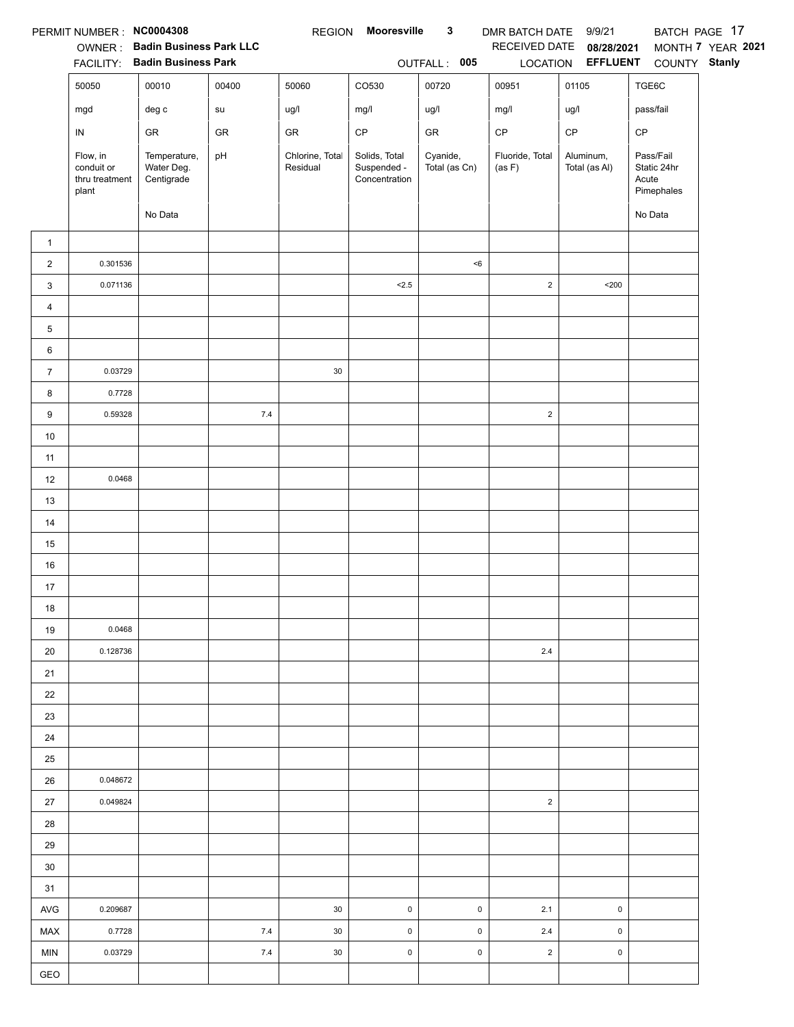|                | PERMIT NUMBER: NC0004308                          |                                          |       | <b>REGION</b>               | <b>Mooresville</b>                            | $\mathbf{3}$              | DMR BATCH DATE 9/9/21     |                            |                                                 | BATCH PAGE 17     |
|----------------|---------------------------------------------------|------------------------------------------|-------|-----------------------------|-----------------------------------------------|---------------------------|---------------------------|----------------------------|-------------------------------------------------|-------------------|
|                |                                                   | OWNER: Badin Business Park LLC           |       |                             |                                               |                           | RECEIVED DATE             | 08/28/2021                 |                                                 | MONTH 7 YEAR 2021 |
|                |                                                   | FACILITY: Badin Business Park            |       |                             |                                               | OUTFALL: 005              |                           | LOCATION EFFLUENT          | COUNTY Stanly                                   |                   |
|                | 50050                                             | 00010                                    | 00400 | 50060                       | CO530                                         | 00720                     | 00951                     | 01105                      | TGE6C                                           |                   |
|                | mgd                                               | deg c                                    | su    | ug/l                        | mg/l                                          | ug/l                      | mg/l                      | ug/l                       | pass/fail                                       |                   |
|                | IN                                                | GR                                       | GR    | GR                          | $\mathsf{CP}$                                 | ${\sf GR}$                | $\mathsf{CP}$             | CP                         | CP                                              |                   |
|                | Flow, in<br>conduit or<br>thru treatment<br>plant | Temperature,<br>Water Deg.<br>Centigrade | pH    | Chlorine, Total<br>Residual | Solids, Total<br>Suspended -<br>Concentration | Cyanide,<br>Total (as Cn) | Fluoride, Total<br>(as F) | Aluminum,<br>Total (as Al) | Pass/Fail<br>Static 24hr<br>Acute<br>Pimephales |                   |
|                |                                                   | No Data                                  |       |                             |                                               |                           |                           |                            | No Data                                         |                   |
| $\mathbf{1}$   |                                                   |                                          |       |                             |                                               |                           |                           |                            |                                                 |                   |
| $\overline{2}$ | 0.301536                                          |                                          |       |                             |                                               | < 6                       |                           |                            |                                                 |                   |
| 3              | 0.071136                                          |                                          |       |                             | < 2.5                                         |                           | $\overline{2}$            | $200$                      |                                                 |                   |
| 4              |                                                   |                                          |       |                             |                                               |                           |                           |                            |                                                 |                   |
| 5              |                                                   |                                          |       |                             |                                               |                           |                           |                            |                                                 |                   |
| 6              |                                                   |                                          |       |                             |                                               |                           |                           |                            |                                                 |                   |
| $\overline{7}$ | 0.03729                                           |                                          |       | $30\,$                      |                                               |                           |                           |                            |                                                 |                   |
| 8              | 0.7728                                            |                                          |       |                             |                                               |                           |                           |                            |                                                 |                   |
| 9              | 0.59328                                           |                                          | 7.4   |                             |                                               |                           | $\sqrt{2}$                |                            |                                                 |                   |
| $10\,$         |                                                   |                                          |       |                             |                                               |                           |                           |                            |                                                 |                   |
| 11             |                                                   |                                          |       |                             |                                               |                           |                           |                            |                                                 |                   |
| 12             | 0.0468                                            |                                          |       |                             |                                               |                           |                           |                            |                                                 |                   |
| 13             |                                                   |                                          |       |                             |                                               |                           |                           |                            |                                                 |                   |
| 14             |                                                   |                                          |       |                             |                                               |                           |                           |                            |                                                 |                   |
| 15             |                                                   |                                          |       |                             |                                               |                           |                           |                            |                                                 |                   |
| 16             |                                                   |                                          |       |                             |                                               |                           |                           |                            |                                                 |                   |
| 17             |                                                   |                                          |       |                             |                                               |                           |                           |                            |                                                 |                   |
| 18             |                                                   |                                          |       |                             |                                               |                           |                           |                            |                                                 |                   |
| 19             | 0.0468                                            |                                          |       |                             |                                               |                           |                           |                            |                                                 |                   |
| 20             | 0.128736                                          |                                          |       |                             |                                               |                           | $2.4\,$                   |                            |                                                 |                   |
| 21             |                                                   |                                          |       |                             |                                               |                           |                           |                            |                                                 |                   |
| 22             |                                                   |                                          |       |                             |                                               |                           |                           |                            |                                                 |                   |
| 23             |                                                   |                                          |       |                             |                                               |                           |                           |                            |                                                 |                   |
| 24             |                                                   |                                          |       |                             |                                               |                           |                           |                            |                                                 |                   |
| 25<br>26       | 0.048672                                          |                                          |       |                             |                                               |                           |                           |                            |                                                 |                   |
| 27             | 0.049824                                          |                                          |       |                             |                                               |                           | $\overline{2}$            |                            |                                                 |                   |
| 28             |                                                   |                                          |       |                             |                                               |                           |                           |                            |                                                 |                   |
| 29             |                                                   |                                          |       |                             |                                               |                           |                           |                            |                                                 |                   |
| 30             |                                                   |                                          |       |                             |                                               |                           |                           |                            |                                                 |                   |
| 31             |                                                   |                                          |       |                             |                                               |                           |                           |                            |                                                 |                   |
| AVG            | 0.209687                                          |                                          |       | 30                          | $\pmb{0}$                                     | $\pmb{0}$                 | 2.1                       | $\pmb{0}$                  |                                                 |                   |
| MAX            | 0.7728                                            |                                          | 7.4   | 30                          | $\pmb{0}$                                     | $\mathsf 0$               | $2.4\,$                   | $\pmb{0}$                  |                                                 |                   |
| MIN            | 0.03729                                           |                                          | $7.4$ | 30                          | $\pmb{0}$                                     | 0                         | $\overline{2}$            | $\pmb{0}$                  |                                                 |                   |
| GEO            |                                                   |                                          |       |                             |                                               |                           |                           |                            |                                                 |                   |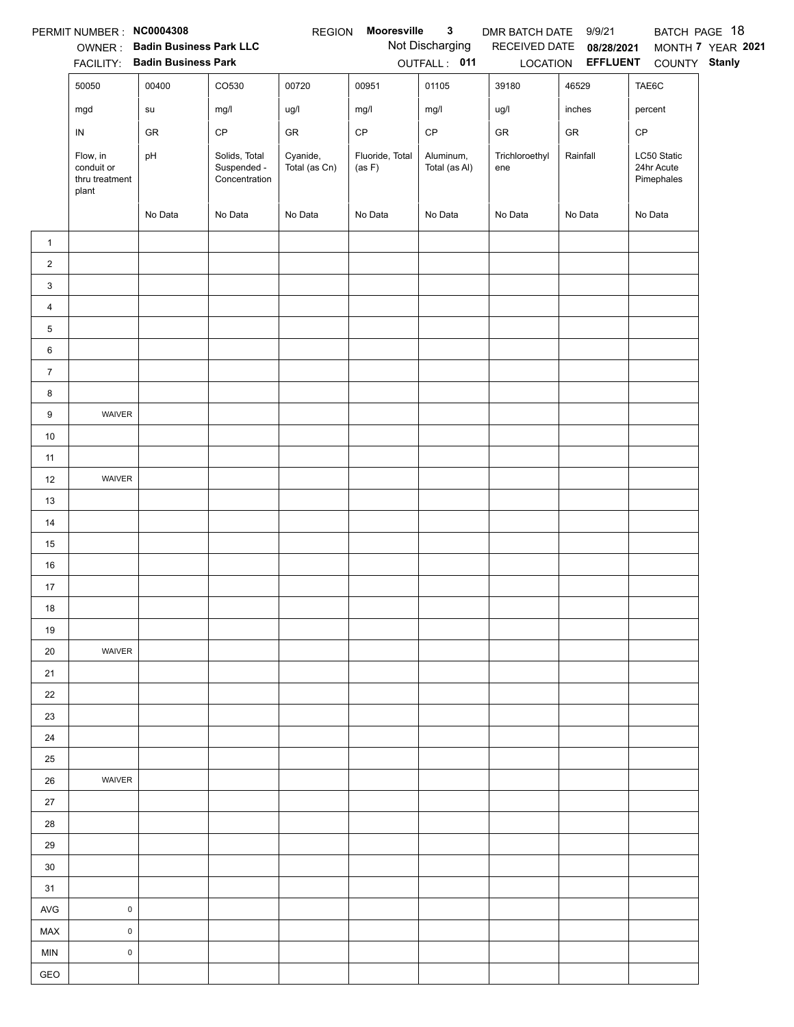|                | PERMIT NUMBER : NC0004308                         |                                        |                                               | <b>REGION</b>             | Mooresville               | $\mathbf{3}$               | DMR BATCH DATE 9/9/21 |                                   |                                         | BATCH PAGE 18     |
|----------------|---------------------------------------------------|----------------------------------------|-----------------------------------------------|---------------------------|---------------------------|----------------------------|-----------------------|-----------------------------------|-----------------------------------------|-------------------|
|                |                                                   | OWNER: Badin Business Park LLC         |                                               |                           |                           | Not Discharging            |                       | RECEIVED DATE 08/28/2021          |                                         | MONTH 7 YEAR 2021 |
|                | 50050                                             | FACILITY: Badin Business Park<br>00400 | CO530                                         | 00720                     | 00951                     | OUTFALL: 011<br>01105      | 39180                 | LOCATION <b>EFFLUENT</b><br>46529 | COUNTY Stanly<br>TAE6C                  |                   |
|                |                                                   |                                        |                                               |                           |                           |                            |                       |                                   |                                         |                   |
|                | mgd                                               | su                                     | mg/l                                          | ug/l                      | mg/l                      | mg/l                       | ug/l                  | inches                            | percent                                 |                   |
|                | ${\sf IN}$                                        | GR                                     | $\mathsf{CP}$                                 | GR                        | $\mathsf{CP}$             | $\mathsf{CP}$              | GR                    | GR                                | CP                                      |                   |
|                | Flow, in<br>conduit or<br>thru treatment<br>plant | pH                                     | Solids, Total<br>Suspended -<br>Concentration | Cyanide,<br>Total (as Cn) | Fluoride, Total<br>(as F) | Aluminum,<br>Total (as Al) | Trichloroethyl<br>ene | Rainfall                          | LC50 Static<br>24hr Acute<br>Pimephales |                   |
|                |                                                   | No Data                                | No Data                                       | No Data                   | No Data                   | No Data                    | No Data               | No Data                           | No Data                                 |                   |
| $\mathbf{1}$   |                                                   |                                        |                                               |                           |                           |                            |                       |                                   |                                         |                   |
| $\overline{2}$ |                                                   |                                        |                                               |                           |                           |                            |                       |                                   |                                         |                   |
| 3              |                                                   |                                        |                                               |                           |                           |                            |                       |                                   |                                         |                   |
| $\overline{4}$ |                                                   |                                        |                                               |                           |                           |                            |                       |                                   |                                         |                   |
| 5              |                                                   |                                        |                                               |                           |                           |                            |                       |                                   |                                         |                   |
| 6              |                                                   |                                        |                                               |                           |                           |                            |                       |                                   |                                         |                   |
| $\overline{7}$ |                                                   |                                        |                                               |                           |                           |                            |                       |                                   |                                         |                   |
| 8              |                                                   |                                        |                                               |                           |                           |                            |                       |                                   |                                         |                   |
| 9              | WAIVER                                            |                                        |                                               |                           |                           |                            |                       |                                   |                                         |                   |
| $10\,$         |                                                   |                                        |                                               |                           |                           |                            |                       |                                   |                                         |                   |
| 11             |                                                   |                                        |                                               |                           |                           |                            |                       |                                   |                                         |                   |
| 12             | WAIVER                                            |                                        |                                               |                           |                           |                            |                       |                                   |                                         |                   |
| 13             |                                                   |                                        |                                               |                           |                           |                            |                       |                                   |                                         |                   |
| 14             |                                                   |                                        |                                               |                           |                           |                            |                       |                                   |                                         |                   |
| 15             |                                                   |                                        |                                               |                           |                           |                            |                       |                                   |                                         |                   |
| 16             |                                                   |                                        |                                               |                           |                           |                            |                       |                                   |                                         |                   |
| 17             |                                                   |                                        |                                               |                           |                           |                            |                       |                                   |                                         |                   |
| 18             |                                                   |                                        |                                               |                           |                           |                            |                       |                                   |                                         |                   |
| 19             |                                                   |                                        |                                               |                           |                           |                            |                       |                                   |                                         |                   |
| 20             | WAIVER                                            |                                        |                                               |                           |                           |                            |                       |                                   |                                         |                   |
| 21             |                                                   |                                        |                                               |                           |                           |                            |                       |                                   |                                         |                   |
| 22             |                                                   |                                        |                                               |                           |                           |                            |                       |                                   |                                         |                   |
| 23             |                                                   |                                        |                                               |                           |                           |                            |                       |                                   |                                         |                   |
| 24             |                                                   |                                        |                                               |                           |                           |                            |                       |                                   |                                         |                   |
| 25             |                                                   |                                        |                                               |                           |                           |                            |                       |                                   |                                         |                   |
| 26             | WAIVER                                            |                                        |                                               |                           |                           |                            |                       |                                   |                                         |                   |
| 27             |                                                   |                                        |                                               |                           |                           |                            |                       |                                   |                                         |                   |
| 28             |                                                   |                                        |                                               |                           |                           |                            |                       |                                   |                                         |                   |
| 29             |                                                   |                                        |                                               |                           |                           |                            |                       |                                   |                                         |                   |
| 30             |                                                   |                                        |                                               |                           |                           |                            |                       |                                   |                                         |                   |
| 31             |                                                   |                                        |                                               |                           |                           |                            |                       |                                   |                                         |                   |
| AVG            | $\pmb{0}$                                         |                                        |                                               |                           |                           |                            |                       |                                   |                                         |                   |
| MAX            | $\mathsf 0$                                       |                                        |                                               |                           |                           |                            |                       |                                   |                                         |                   |
| <b>MIN</b>     | $\mathsf 0$                                       |                                        |                                               |                           |                           |                            |                       |                                   |                                         |                   |
| GEO            |                                                   |                                        |                                               |                           |                           |                            |                       |                                   |                                         |                   |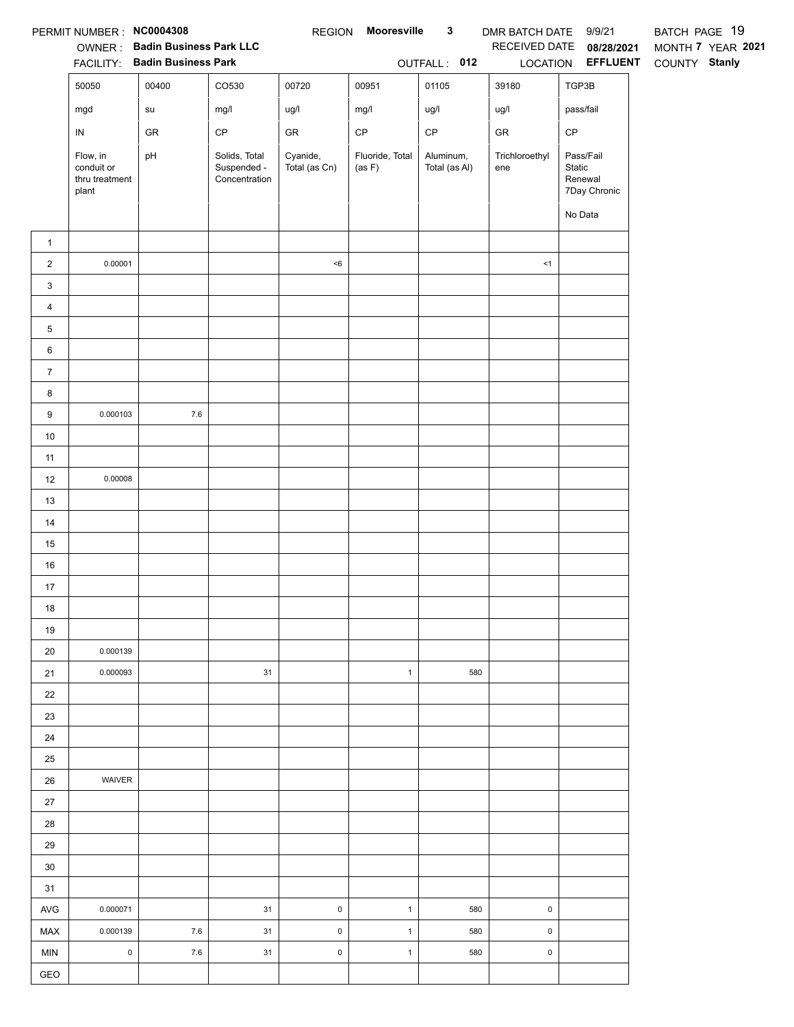|                | PERMIT NUMBER: NC0004308                          | OWNER: Badin Business Park LLC<br>FACILITY: Badin Business Park |                                               |                           | REGION Mooresville        | $\mathbf{3}$<br>OUTFALL: 012 | DMR BATCH DATE 9/9/21 | RECEIVED DATE 08/28/2021<br>LOCATION <b>EFFLUENT</b>      | BATCH PAGE 19<br>MONTH 7 YEAR 2021<br>COUNTY Stanly |
|----------------|---------------------------------------------------|-----------------------------------------------------------------|-----------------------------------------------|---------------------------|---------------------------|------------------------------|-----------------------|-----------------------------------------------------------|-----------------------------------------------------|
|                | 50050                                             | 00400                                                           | CO530                                         | 00720                     | 00951                     | 01105                        | 39180                 | TGP3B                                                     |                                                     |
|                | mgd                                               | su                                                              | mg/l                                          | ug/l                      | mg/l                      | ug/l                         | ug/l                  | pass/fail                                                 |                                                     |
|                | IN                                                | GR                                                              | $\mathsf{CP}$                                 | GR                        | $\mathsf{CP}$             | $\mathsf{CP}$                | GR                    | $\mathsf{CP}$                                             |                                                     |
|                | Flow, in<br>conduit or<br>thru treatment<br>plant | pH                                                              | Solids, Total<br>Suspended -<br>Concentration | Cyanide,<br>Total (as Cn) | Fluoride, Total<br>(as F) | Aluminum,<br>Total (as Al)   | Trichloroethyl<br>ene | Pass/Fail<br>Static<br>Renewal<br>7Day Chronic<br>No Data |                                                     |
| $\mathbf{1}$   |                                                   |                                                                 |                                               |                           |                           |                              |                       |                                                           |                                                     |
| $\overline{2}$ | 0.00001                                           |                                                                 |                                               | $6$                       |                           |                              | <1                    |                                                           |                                                     |
| 3              |                                                   |                                                                 |                                               |                           |                           |                              |                       |                                                           |                                                     |
| 4              |                                                   |                                                                 |                                               |                           |                           |                              |                       |                                                           |                                                     |
| 5              |                                                   |                                                                 |                                               |                           |                           |                              |                       |                                                           |                                                     |
| 6              |                                                   |                                                                 |                                               |                           |                           |                              |                       |                                                           |                                                     |
| $\overline{7}$ |                                                   |                                                                 |                                               |                           |                           |                              |                       |                                                           |                                                     |
| 8              |                                                   |                                                                 |                                               |                           |                           |                              |                       |                                                           |                                                     |
| 9              | 0.000103                                          | $7.6\,$                                                         |                                               |                           |                           |                              |                       |                                                           |                                                     |
| 10             |                                                   |                                                                 |                                               |                           |                           |                              |                       |                                                           |                                                     |
| 11             |                                                   |                                                                 |                                               |                           |                           |                              |                       |                                                           |                                                     |
| 12             | 0.00008                                           |                                                                 |                                               |                           |                           |                              |                       |                                                           |                                                     |
| 13             |                                                   |                                                                 |                                               |                           |                           |                              |                       |                                                           |                                                     |
| 14             |                                                   |                                                                 |                                               |                           |                           |                              |                       |                                                           |                                                     |
| 15             |                                                   |                                                                 |                                               |                           |                           |                              |                       |                                                           |                                                     |
| 16             |                                                   |                                                                 |                                               |                           |                           |                              |                       |                                                           |                                                     |
| 17             |                                                   |                                                                 |                                               |                           |                           |                              |                       |                                                           |                                                     |
| 18             |                                                   |                                                                 |                                               |                           |                           |                              |                       |                                                           |                                                     |
| 19             |                                                   |                                                                 |                                               |                           |                           |                              |                       |                                                           |                                                     |
| 20             | 0.000139                                          |                                                                 |                                               |                           |                           |                              |                       |                                                           |                                                     |
| 21             | 0.000093                                          |                                                                 | 31                                            |                           | $\mathbf{1}$              | 580                          |                       |                                                           |                                                     |
| 22             |                                                   |                                                                 |                                               |                           |                           |                              |                       |                                                           |                                                     |
| 23             |                                                   |                                                                 |                                               |                           |                           |                              |                       |                                                           |                                                     |
| 24             |                                                   |                                                                 |                                               |                           |                           |                              |                       |                                                           |                                                     |
| 25             | WAIVER                                            |                                                                 |                                               |                           |                           |                              |                       |                                                           |                                                     |
| 26<br>27       |                                                   |                                                                 |                                               |                           |                           |                              |                       |                                                           |                                                     |
| 28             |                                                   |                                                                 |                                               |                           |                           |                              |                       |                                                           |                                                     |
| 29             |                                                   |                                                                 |                                               |                           |                           |                              |                       |                                                           |                                                     |
| 30             |                                                   |                                                                 |                                               |                           |                           |                              |                       |                                                           |                                                     |
| 31             |                                                   |                                                                 |                                               |                           |                           |                              |                       |                                                           |                                                     |
| AVG            | 0.000071                                          |                                                                 | 31                                            | $\mathsf 0$               | $\mathbf{1}$              | 580                          | $\mathsf 0$           |                                                           |                                                     |
| MAX            | 0.000139                                          | $7.6\,$                                                         | 31                                            | $\pmb{0}$                 | $\mathbf{1}$              | 580                          | $\mathsf 0$           |                                                           |                                                     |
| <b>MIN</b>     | $\pmb{0}$                                         | $7.6\,$                                                         | 31                                            | 0                         | $\mathbf{1}$              | 580                          | $\pmb{0}$             |                                                           |                                                     |
| GEO            |                                                   |                                                                 |                                               |                           |                           |                              |                       |                                                           |                                                     |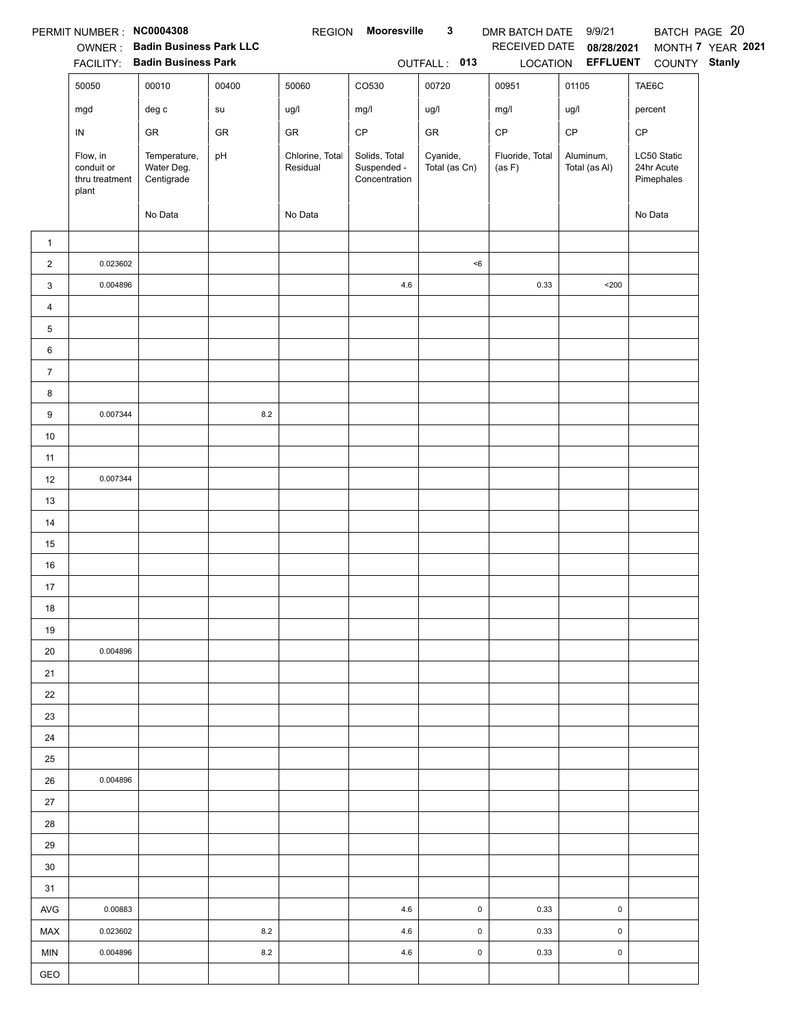|                | PERMIT NUMBER: NC0004308                          |                                          |       | <b>REGION</b>               | Mooresville                                   | $\mathbf{3}$              | DMR BATCH DATE 9/9/21     |                            | BATCH PAGE 20                           |                   |
|----------------|---------------------------------------------------|------------------------------------------|-------|-----------------------------|-----------------------------------------------|---------------------------|---------------------------|----------------------------|-----------------------------------------|-------------------|
|                |                                                   | OWNER: Badin Business Park LLC           |       |                             |                                               |                           | RECEIVED DATE             | 08/28/2021                 |                                         | MONTH 7 YEAR 2021 |
|                |                                                   | FACILITY: Badin Business Park            |       |                             |                                               | OUTFALL: 013              |                           | LOCATION EFFLUENT          | COUNTY Stanly                           |                   |
|                | 50050                                             | 00010                                    | 00400 | 50060                       | CO530                                         | 00720                     | 00951                     | 01105                      | TAE6C                                   |                   |
|                | mgd                                               | deg c                                    | su    | ug/l                        | mg/l                                          | ug/l                      | mg/l                      | ug/l                       | percent                                 |                   |
|                | IN                                                | GR                                       | GR    | GR                          | $\mathsf{CP}$                                 | ${\sf GR}$                | $\mathsf{CP}$             | CP                         | CP                                      |                   |
|                | Flow, in<br>conduit or<br>thru treatment<br>plant | Temperature,<br>Water Deg.<br>Centigrade | pH    | Chlorine, Total<br>Residual | Solids, Total<br>Suspended -<br>Concentration | Cyanide,<br>Total (as Cn) | Fluoride, Total<br>(as F) | Aluminum,<br>Total (as Al) | LC50 Static<br>24hr Acute<br>Pimephales |                   |
|                |                                                   | No Data                                  |       | No Data                     |                                               |                           |                           |                            | No Data                                 |                   |
| $\mathbf{1}$   |                                                   |                                          |       |                             |                                               |                           |                           |                            |                                         |                   |
| $\overline{2}$ | 0.023602                                          |                                          |       |                             |                                               | < 6                       |                           |                            |                                         |                   |
| 3              | 0.004896                                          |                                          |       |                             | 4.6                                           |                           | 0.33                      | $200$                      |                                         |                   |
| 4              |                                                   |                                          |       |                             |                                               |                           |                           |                            |                                         |                   |
| 5              |                                                   |                                          |       |                             |                                               |                           |                           |                            |                                         |                   |
| 6              |                                                   |                                          |       |                             |                                               |                           |                           |                            |                                         |                   |
| $\overline{7}$ |                                                   |                                          |       |                             |                                               |                           |                           |                            |                                         |                   |
| 8              |                                                   |                                          |       |                             |                                               |                           |                           |                            |                                         |                   |
| 9              | 0.007344                                          |                                          | 8.2   |                             |                                               |                           |                           |                            |                                         |                   |
| $10\,$         |                                                   |                                          |       |                             |                                               |                           |                           |                            |                                         |                   |
| 11             |                                                   |                                          |       |                             |                                               |                           |                           |                            |                                         |                   |
| 12             | 0.007344                                          |                                          |       |                             |                                               |                           |                           |                            |                                         |                   |
| 13             |                                                   |                                          |       |                             |                                               |                           |                           |                            |                                         |                   |
| 14             |                                                   |                                          |       |                             |                                               |                           |                           |                            |                                         |                   |
| 15             |                                                   |                                          |       |                             |                                               |                           |                           |                            |                                         |                   |
| 16             |                                                   |                                          |       |                             |                                               |                           |                           |                            |                                         |                   |
| 17             |                                                   |                                          |       |                             |                                               |                           |                           |                            |                                         |                   |
| 18             |                                                   |                                          |       |                             |                                               |                           |                           |                            |                                         |                   |
| 19             |                                                   |                                          |       |                             |                                               |                           |                           |                            |                                         |                   |
| 20             | 0.004896                                          |                                          |       |                             |                                               |                           |                           |                            |                                         |                   |
| 21             |                                                   |                                          |       |                             |                                               |                           |                           |                            |                                         |                   |
| 22             |                                                   |                                          |       |                             |                                               |                           |                           |                            |                                         |                   |
| 23             |                                                   |                                          |       |                             |                                               |                           |                           |                            |                                         |                   |
| 24             |                                                   |                                          |       |                             |                                               |                           |                           |                            |                                         |                   |
| 25             |                                                   |                                          |       |                             |                                               |                           |                           |                            |                                         |                   |
| 26             | 0.004896                                          |                                          |       |                             |                                               |                           |                           |                            |                                         |                   |
| $27\,$         |                                                   |                                          |       |                             |                                               |                           |                           |                            |                                         |                   |
| 28             |                                                   |                                          |       |                             |                                               |                           |                           |                            |                                         |                   |
| 29             |                                                   |                                          |       |                             |                                               |                           |                           |                            |                                         |                   |
| 30             |                                                   |                                          |       |                             |                                               |                           |                           |                            |                                         |                   |
| 31             |                                                   |                                          |       |                             |                                               |                           |                           |                            |                                         |                   |
| AVG            | 0.00883                                           |                                          |       |                             | 4.6                                           | $\pmb{0}$                 | 0.33                      | $\pmb{0}$                  |                                         |                   |
| <b>MAX</b>     | 0.023602                                          |                                          | 8.2   |                             | 4.6                                           | $\pmb{0}$                 | 0.33                      | $\pmb{0}$                  |                                         |                   |
| <b>MIN</b>     | 0.004896                                          |                                          | 8.2   |                             | 4.6                                           | $\pmb{0}$                 | 0.33                      | $\pmb{0}$                  |                                         |                   |
| GEO            |                                                   |                                          |       |                             |                                               |                           |                           |                            |                                         |                   |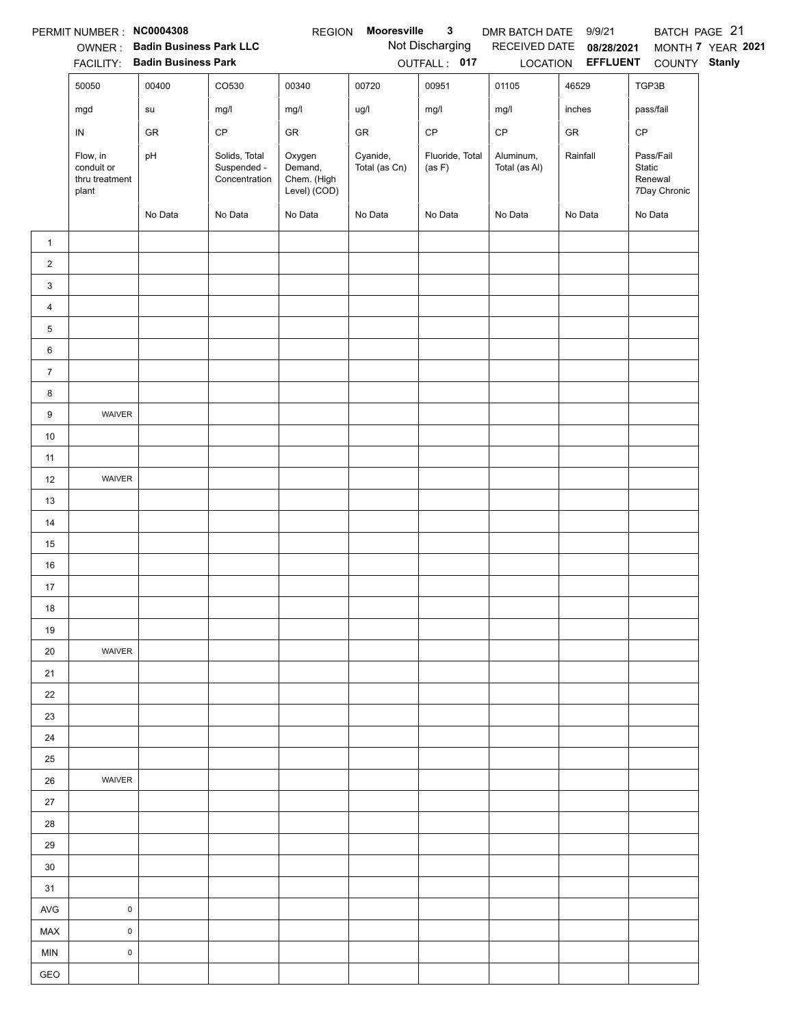|                | PERMIT NUMBER : NC0004308                         |                                                                 |                                               | <b>REGION</b>                                    | Mooresville               | $\mathbf{3}$                    | DMR BATCH DATE 9/9/21      |                                 | BATCH PAGE 21                                  |                   |
|----------------|---------------------------------------------------|-----------------------------------------------------------------|-----------------------------------------------|--------------------------------------------------|---------------------------|---------------------------------|----------------------------|---------------------------------|------------------------------------------------|-------------------|
|                |                                                   | OWNER: Badin Business Park LLC<br>FACILITY: Badin Business Park |                                               |                                                  |                           | Not Discharging<br>OUTFALL: 017 | RECEIVED DATE              | 08/28/2021<br>LOCATION EFFLUENT |                                                | MONTH 7 YEAR 2021 |
|                | 50050                                             | 00400                                                           | CO530                                         | 00340                                            | 00720                     | 00951                           | 01105                      | 46529                           | COUNTY Stanly<br>TGP3B                         |                   |
|                |                                                   |                                                                 |                                               |                                                  |                           |                                 |                            |                                 |                                                |                   |
|                | mgd                                               | su                                                              | mg/l                                          | mg/l                                             | ug/l                      | mg/l                            | mg/l                       | inches                          | pass/fail                                      |                   |
|                | ${\sf IN}$                                        | GR                                                              | CP                                            | GR                                               | ${\sf GR}$                | $\mathsf{CP}$                   | $\mathsf{CP}$              | ${\sf GR}$                      | CP                                             |                   |
|                | Flow, in<br>conduit or<br>thru treatment<br>plant | pH                                                              | Solids, Total<br>Suspended -<br>Concentration | Oxygen<br>Demand,<br>Chem. (High<br>Level) (COD) | Cyanide,<br>Total (as Cn) | Fluoride, Total<br>(as F)       | Aluminum,<br>Total (as Al) | Rainfall                        | Pass/Fail<br>Static<br>Renewal<br>7Day Chronic |                   |
|                |                                                   | No Data                                                         | No Data                                       | No Data                                          | No Data                   | No Data                         | No Data                    | No Data                         | No Data                                        |                   |
| $\mathbf{1}$   |                                                   |                                                                 |                                               |                                                  |                           |                                 |                            |                                 |                                                |                   |
| $\overline{a}$ |                                                   |                                                                 |                                               |                                                  |                           |                                 |                            |                                 |                                                |                   |
| 3              |                                                   |                                                                 |                                               |                                                  |                           |                                 |                            |                                 |                                                |                   |
| $\overline{4}$ |                                                   |                                                                 |                                               |                                                  |                           |                                 |                            |                                 |                                                |                   |
| 5              |                                                   |                                                                 |                                               |                                                  |                           |                                 |                            |                                 |                                                |                   |
| 6              |                                                   |                                                                 |                                               |                                                  |                           |                                 |                            |                                 |                                                |                   |
| $\overline{7}$ |                                                   |                                                                 |                                               |                                                  |                           |                                 |                            |                                 |                                                |                   |
| 8              |                                                   |                                                                 |                                               |                                                  |                           |                                 |                            |                                 |                                                |                   |
| 9              | WAIVER                                            |                                                                 |                                               |                                                  |                           |                                 |                            |                                 |                                                |                   |
| $10\,$         |                                                   |                                                                 |                                               |                                                  |                           |                                 |                            |                                 |                                                |                   |
| 11             |                                                   |                                                                 |                                               |                                                  |                           |                                 |                            |                                 |                                                |                   |
| 12             | WAIVER                                            |                                                                 |                                               |                                                  |                           |                                 |                            |                                 |                                                |                   |
| 13             |                                                   |                                                                 |                                               |                                                  |                           |                                 |                            |                                 |                                                |                   |
| 14             |                                                   |                                                                 |                                               |                                                  |                           |                                 |                            |                                 |                                                |                   |
| 15             |                                                   |                                                                 |                                               |                                                  |                           |                                 |                            |                                 |                                                |                   |
| 16             |                                                   |                                                                 |                                               |                                                  |                           |                                 |                            |                                 |                                                |                   |
| 17             |                                                   |                                                                 |                                               |                                                  |                           |                                 |                            |                                 |                                                |                   |
| 18             |                                                   |                                                                 |                                               |                                                  |                           |                                 |                            |                                 |                                                |                   |
| 19             |                                                   |                                                                 |                                               |                                                  |                           |                                 |                            |                                 |                                                |                   |
| 20             | WAIVER                                            |                                                                 |                                               |                                                  |                           |                                 |                            |                                 |                                                |                   |
| 21             |                                                   |                                                                 |                                               |                                                  |                           |                                 |                            |                                 |                                                |                   |
| 22             |                                                   |                                                                 |                                               |                                                  |                           |                                 |                            |                                 |                                                |                   |
| 23             |                                                   |                                                                 |                                               |                                                  |                           |                                 |                            |                                 |                                                |                   |
| 24             |                                                   |                                                                 |                                               |                                                  |                           |                                 |                            |                                 |                                                |                   |
| 25             |                                                   |                                                                 |                                               |                                                  |                           |                                 |                            |                                 |                                                |                   |
| 26             | WAIVER                                            |                                                                 |                                               |                                                  |                           |                                 |                            |                                 |                                                |                   |
| 27             |                                                   |                                                                 |                                               |                                                  |                           |                                 |                            |                                 |                                                |                   |
| 28             |                                                   |                                                                 |                                               |                                                  |                           |                                 |                            |                                 |                                                |                   |
| 29             |                                                   |                                                                 |                                               |                                                  |                           |                                 |                            |                                 |                                                |                   |
| $30\,$         |                                                   |                                                                 |                                               |                                                  |                           |                                 |                            |                                 |                                                |                   |
| 31             |                                                   |                                                                 |                                               |                                                  |                           |                                 |                            |                                 |                                                |                   |
| <b>AVG</b>     | $\mathsf 0$                                       |                                                                 |                                               |                                                  |                           |                                 |                            |                                 |                                                |                   |
| MAX            | $\mathsf 0$                                       |                                                                 |                                               |                                                  |                           |                                 |                            |                                 |                                                |                   |
| <b>MIN</b>     | $\mathsf 0$                                       |                                                                 |                                               |                                                  |                           |                                 |                            |                                 |                                                |                   |
| GEO            |                                                   |                                                                 |                                               |                                                  |                           |                                 |                            |                                 |                                                |                   |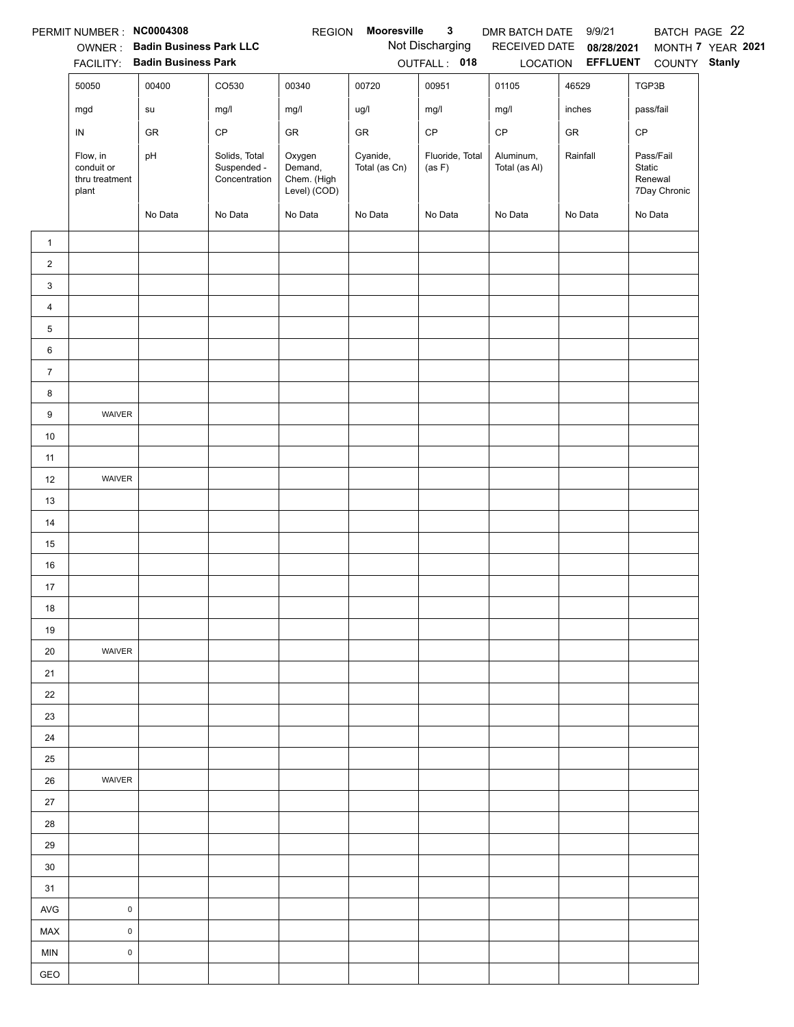|                | PERMIT NUMBER : NC0004308                         |                                |                                               | <b>REGION</b>                                    | Mooresville               | $\mathbf{3}$              | DMR BATCH DATE 9/9/21      |                          |                                                | BATCH PAGE 22     |
|----------------|---------------------------------------------------|--------------------------------|-----------------------------------------------|--------------------------------------------------|---------------------------|---------------------------|----------------------------|--------------------------|------------------------------------------------|-------------------|
|                |                                                   | OWNER: Badin Business Park LLC |                                               |                                                  |                           | Not Discharging           |                            | RECEIVED DATE 08/28/2021 |                                                | MONTH 7 YEAR 2021 |
|                |                                                   | FACILITY: Badin Business Park  |                                               |                                                  |                           | OUTFALL: 018              |                            | LOCATION EFFLUENT        | COUNTY Stanly                                  |                   |
|                | 50050                                             | 00400                          | CO530                                         | 00340                                            | 00720                     | 00951                     | 01105                      | 46529                    | TGP3B                                          |                   |
|                | mgd                                               | su                             | mg/l                                          | mg/l                                             | ug/l                      | mg/l                      | mg/l                       | inches                   | pass/fail                                      |                   |
|                | IN                                                | GR                             | CP                                            | GR                                               | GR                        | CP                        | $\mathsf{CP}$              | ${\sf GR}$               | CP                                             |                   |
|                | Flow, in<br>conduit or<br>thru treatment<br>plant | pH                             | Solids, Total<br>Suspended -<br>Concentration | Oxygen<br>Demand,<br>Chem. (High<br>Level) (COD) | Cyanide,<br>Total (as Cn) | Fluoride, Total<br>(as F) | Aluminum,<br>Total (as Al) | Rainfall                 | Pass/Fail<br>Static<br>Renewal<br>7Day Chronic |                   |
|                |                                                   | No Data                        | No Data                                       | No Data                                          | No Data                   | No Data                   | No Data                    | No Data                  | No Data                                        |                   |
| $\mathbf{1}$   |                                                   |                                |                                               |                                                  |                           |                           |                            |                          |                                                |                   |
| $\overline{c}$ |                                                   |                                |                                               |                                                  |                           |                           |                            |                          |                                                |                   |
| $\mathbf{3}$   |                                                   |                                |                                               |                                                  |                           |                           |                            |                          |                                                |                   |
| $\overline{4}$ |                                                   |                                |                                               |                                                  |                           |                           |                            |                          |                                                |                   |
| 5              |                                                   |                                |                                               |                                                  |                           |                           |                            |                          |                                                |                   |
| 6              |                                                   |                                |                                               |                                                  |                           |                           |                            |                          |                                                |                   |
| $\overline{7}$ |                                                   |                                |                                               |                                                  |                           |                           |                            |                          |                                                |                   |
| 8              |                                                   |                                |                                               |                                                  |                           |                           |                            |                          |                                                |                   |
| 9              | WAIVER                                            |                                |                                               |                                                  |                           |                           |                            |                          |                                                |                   |
| $10$           |                                                   |                                |                                               |                                                  |                           |                           |                            |                          |                                                |                   |
| 11             |                                                   |                                |                                               |                                                  |                           |                           |                            |                          |                                                |                   |
| 12             | WAIVER                                            |                                |                                               |                                                  |                           |                           |                            |                          |                                                |                   |
| 13             |                                                   |                                |                                               |                                                  |                           |                           |                            |                          |                                                |                   |
| 14             |                                                   |                                |                                               |                                                  |                           |                           |                            |                          |                                                |                   |
| 15             |                                                   |                                |                                               |                                                  |                           |                           |                            |                          |                                                |                   |
| 16             |                                                   |                                |                                               |                                                  |                           |                           |                            |                          |                                                |                   |
| 17             |                                                   |                                |                                               |                                                  |                           |                           |                            |                          |                                                |                   |
| 18             |                                                   |                                |                                               |                                                  |                           |                           |                            |                          |                                                |                   |
| 19             |                                                   |                                |                                               |                                                  |                           |                           |                            |                          |                                                |                   |
| 20             | WAIVER                                            |                                |                                               |                                                  |                           |                           |                            |                          |                                                |                   |
| 21             |                                                   |                                |                                               |                                                  |                           |                           |                            |                          |                                                |                   |
| 22             |                                                   |                                |                                               |                                                  |                           |                           |                            |                          |                                                |                   |
| 23             |                                                   |                                |                                               |                                                  |                           |                           |                            |                          |                                                |                   |
| 24             |                                                   |                                |                                               |                                                  |                           |                           |                            |                          |                                                |                   |
| 25             |                                                   |                                |                                               |                                                  |                           |                           |                            |                          |                                                |                   |
| 26             | WAIVER                                            |                                |                                               |                                                  |                           |                           |                            |                          |                                                |                   |
| 27             |                                                   |                                |                                               |                                                  |                           |                           |                            |                          |                                                |                   |
| 28             |                                                   |                                |                                               |                                                  |                           |                           |                            |                          |                                                |                   |
| 29             |                                                   |                                |                                               |                                                  |                           |                           |                            |                          |                                                |                   |
| 30             |                                                   |                                |                                               |                                                  |                           |                           |                            |                          |                                                |                   |
| 31             |                                                   |                                |                                               |                                                  |                           |                           |                            |                          |                                                |                   |
| <b>AVG</b>     | $\pmb{0}$                                         |                                |                                               |                                                  |                           |                           |                            |                          |                                                |                   |
| MAX            | 0                                                 |                                |                                               |                                                  |                           |                           |                            |                          |                                                |                   |
| <b>MIN</b>     | $\pmb{0}$                                         |                                |                                               |                                                  |                           |                           |                            |                          |                                                |                   |
| GEO            |                                                   |                                |                                               |                                                  |                           |                           |                            |                          |                                                |                   |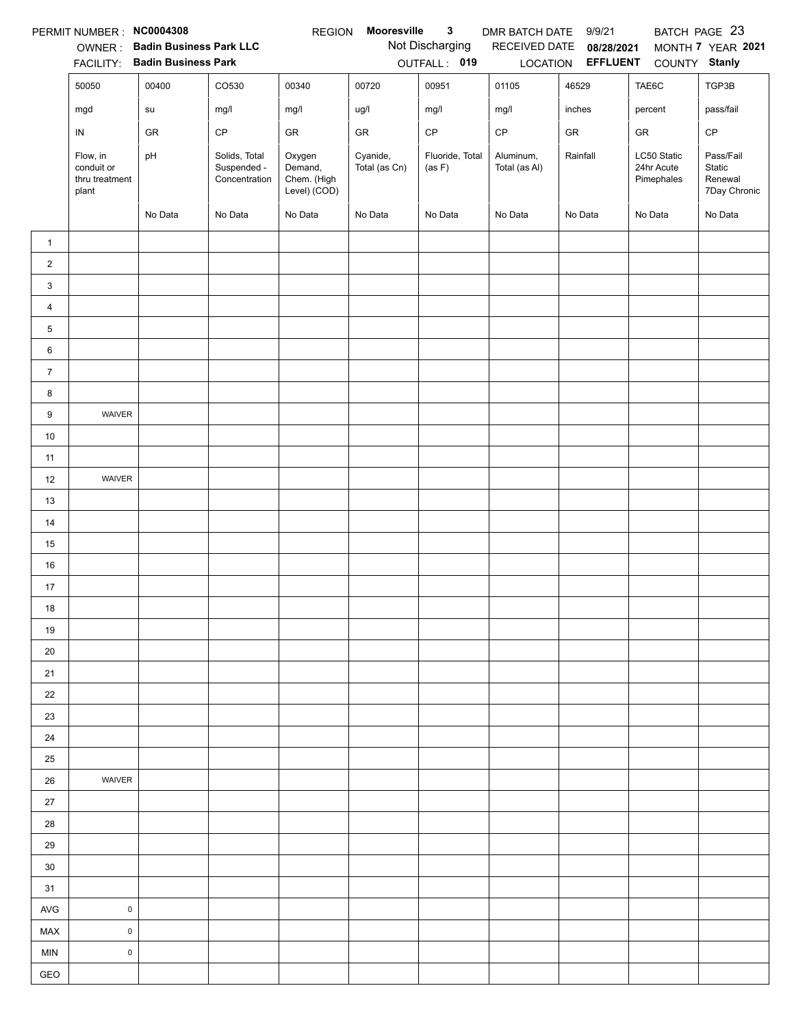|                | PERMIT NUMBER : NC0004308                         |                                |                                               | <b>REGION</b>                                    | Mooresville               | 3                         | DMR BATCH DATE             | 9/9/21          |                                         | BATCH PAGE 23                                  |
|----------------|---------------------------------------------------|--------------------------------|-----------------------------------------------|--------------------------------------------------|---------------------------|---------------------------|----------------------------|-----------------|-----------------------------------------|------------------------------------------------|
|                | OWNER:                                            | <b>Badin Business Park LLC</b> |                                               |                                                  |                           | Not Discharging           | RECEIVED DATE              | 08/28/2021      |                                         | MONTH 7 YEAR 2021                              |
|                | <b>FACILITY:</b>                                  | <b>Badin Business Park</b>     |                                               |                                                  |                           | OUTFALL: 019              | LOCATION                   | <b>EFFLUENT</b> | COUNTY Stanly                           |                                                |
|                | 50050                                             | 00400                          | CO530                                         | 00340                                            | 00720                     | 00951                     | 01105                      | 46529           | TAE6C                                   | TGP3B                                          |
|                | mgd                                               | su                             | mg/l                                          | mg/l                                             | ug/l                      | mg/l                      | mg/l                       | inches          | percent                                 | pass/fail                                      |
|                | IN                                                | GR                             | CP                                            | GR                                               | <b>GR</b>                 | $\mathsf{CP}$             | CP                         | GR              | GR                                      | $\mathsf{CP}$                                  |
|                | Flow, in<br>conduit or<br>thru treatment<br>plant | pH                             | Solids, Total<br>Suspended -<br>Concentration | Oxygen<br>Demand,<br>Chem. (High<br>Level) (COD) | Cyanide,<br>Total (as Cn) | Fluoride, Total<br>(as F) | Aluminum,<br>Total (as Al) | Rainfall        | LC50 Static<br>24hr Acute<br>Pimephales | Pass/Fail<br>Static<br>Renewal<br>7Day Chronic |
|                |                                                   | No Data                        | No Data                                       | No Data                                          | No Data                   | No Data                   | No Data                    | No Data         | No Data                                 | No Data                                        |
| $\mathbf{1}$   |                                                   |                                |                                               |                                                  |                           |                           |                            |                 |                                         |                                                |
| $\overline{c}$ |                                                   |                                |                                               |                                                  |                           |                           |                            |                 |                                         |                                                |
| 3              |                                                   |                                |                                               |                                                  |                           |                           |                            |                 |                                         |                                                |
| $\overline{4}$ |                                                   |                                |                                               |                                                  |                           |                           |                            |                 |                                         |                                                |
| 5              |                                                   |                                |                                               |                                                  |                           |                           |                            |                 |                                         |                                                |
| 6              |                                                   |                                |                                               |                                                  |                           |                           |                            |                 |                                         |                                                |
| $\overline{7}$ |                                                   |                                |                                               |                                                  |                           |                           |                            |                 |                                         |                                                |
| 8              |                                                   |                                |                                               |                                                  |                           |                           |                            |                 |                                         |                                                |
| 9              | WAIVER                                            |                                |                                               |                                                  |                           |                           |                            |                 |                                         |                                                |
| $10\,$         |                                                   |                                |                                               |                                                  |                           |                           |                            |                 |                                         |                                                |
| 11             |                                                   |                                |                                               |                                                  |                           |                           |                            |                 |                                         |                                                |
| 12             | WAIVER                                            |                                |                                               |                                                  |                           |                           |                            |                 |                                         |                                                |
| 13             |                                                   |                                |                                               |                                                  |                           |                           |                            |                 |                                         |                                                |
| 14             |                                                   |                                |                                               |                                                  |                           |                           |                            |                 |                                         |                                                |
| 15             |                                                   |                                |                                               |                                                  |                           |                           |                            |                 |                                         |                                                |
| 16             |                                                   |                                |                                               |                                                  |                           |                           |                            |                 |                                         |                                                |
| 17             |                                                   |                                |                                               |                                                  |                           |                           |                            |                 |                                         |                                                |
| 18             |                                                   |                                |                                               |                                                  |                           |                           |                            |                 |                                         |                                                |
| 19             |                                                   |                                |                                               |                                                  |                           |                           |                            |                 |                                         |                                                |
| 20             |                                                   |                                |                                               |                                                  |                           |                           |                            |                 |                                         |                                                |
| 21             |                                                   |                                |                                               |                                                  |                           |                           |                            |                 |                                         |                                                |
| 22             |                                                   |                                |                                               |                                                  |                           |                           |                            |                 |                                         |                                                |
| 23             |                                                   |                                |                                               |                                                  |                           |                           |                            |                 |                                         |                                                |
| 24             |                                                   |                                |                                               |                                                  |                           |                           |                            |                 |                                         |                                                |
| 25             |                                                   |                                |                                               |                                                  |                           |                           |                            |                 |                                         |                                                |
| 26             | <b>WAIVER</b>                                     |                                |                                               |                                                  |                           |                           |                            |                 |                                         |                                                |
| 27             |                                                   |                                |                                               |                                                  |                           |                           |                            |                 |                                         |                                                |
| 28             |                                                   |                                |                                               |                                                  |                           |                           |                            |                 |                                         |                                                |
| 29             |                                                   |                                |                                               |                                                  |                           |                           |                            |                 |                                         |                                                |
| 30             |                                                   |                                |                                               |                                                  |                           |                           |                            |                 |                                         |                                                |
| 31             |                                                   |                                |                                               |                                                  |                           |                           |                            |                 |                                         |                                                |
| AVG            | $\pmb{0}$                                         |                                |                                               |                                                  |                           |                           |                            |                 |                                         |                                                |
| MAX            | $\mathsf 0$                                       |                                |                                               |                                                  |                           |                           |                            |                 |                                         |                                                |
| <b>MIN</b>     | $\pmb{0}$                                         |                                |                                               |                                                  |                           |                           |                            |                 |                                         |                                                |
| GEO            |                                                   |                                |                                               |                                                  |                           |                           |                            |                 |                                         |                                                |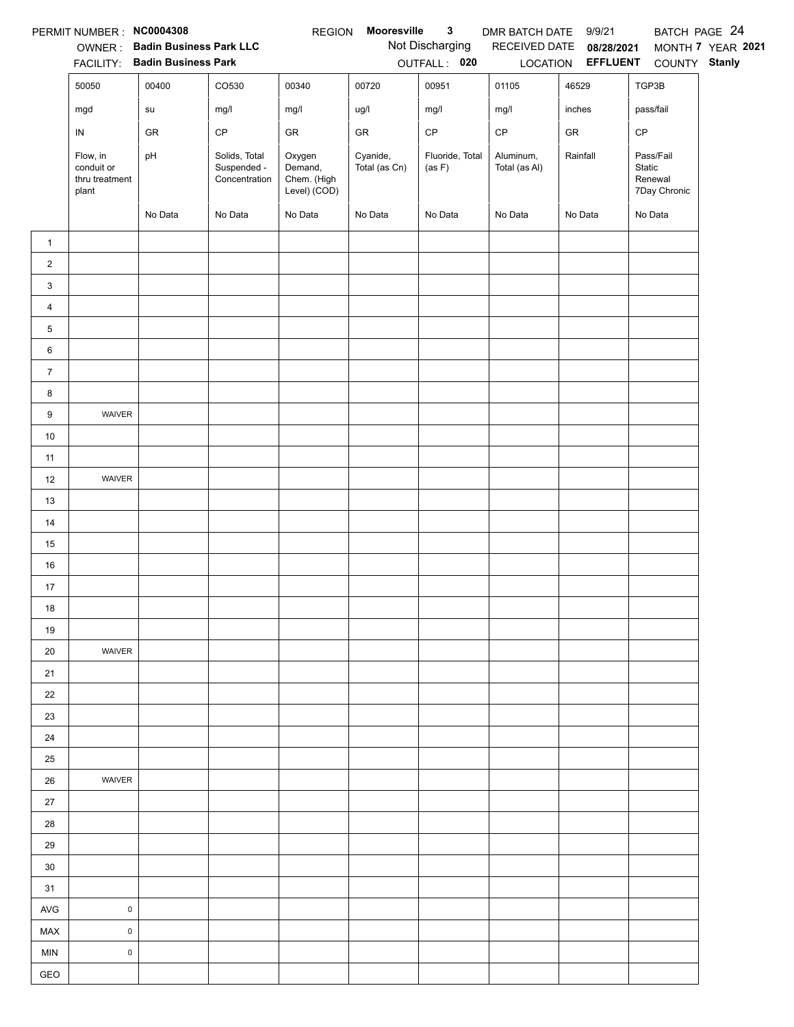|                | PERMIT NUMBER : NC0004308                         |                                |                                               | <b>REGION</b>                                    | Mooresville               | $\mathbf{3}$              | DMR BATCH DATE 9/9/21      |                   |                                                | BATCH PAGE 24     |
|----------------|---------------------------------------------------|--------------------------------|-----------------------------------------------|--------------------------------------------------|---------------------------|---------------------------|----------------------------|-------------------|------------------------------------------------|-------------------|
|                |                                                   | OWNER: Badin Business Park LLC |                                               |                                                  |                           | Not Discharging           | RECEIVED DATE              | 08/28/2021        |                                                | MONTH 7 YEAR 2021 |
|                |                                                   | FACILITY: Badin Business Park  |                                               |                                                  |                           | OUTFALL: 020              |                            | LOCATION EFFLUENT | COUNTY Stanly                                  |                   |
|                | 50050                                             | 00400                          | CO530                                         | 00340                                            | 00720                     | 00951                     | 01105                      | 46529             | TGP3B                                          |                   |
|                | mgd                                               | su                             | mg/l                                          | mg/l                                             | ug/l                      | mg/l                      | mg/l                       | inches            | pass/fail                                      |                   |
|                | ${\sf IN}$                                        | GR                             | CP                                            | GR                                               | ${\sf GR}$                | $\mathsf{CP}$             | $\mathsf{CP}$              | ${\sf GR}$        | CP                                             |                   |
|                | Flow, in<br>conduit or<br>thru treatment<br>plant | pH                             | Solids, Total<br>Suspended -<br>Concentration | Oxygen<br>Demand,<br>Chem. (High<br>Level) (COD) | Cyanide,<br>Total (as Cn) | Fluoride, Total<br>(as F) | Aluminum,<br>Total (as Al) | Rainfall          | Pass/Fail<br>Static<br>Renewal<br>7Day Chronic |                   |
|                |                                                   | No Data                        | No Data                                       | No Data                                          | No Data                   | No Data                   | No Data                    | No Data           | No Data                                        |                   |
| $\mathbf{1}$   |                                                   |                                |                                               |                                                  |                           |                           |                            |                   |                                                |                   |
| $\overline{a}$ |                                                   |                                |                                               |                                                  |                           |                           |                            |                   |                                                |                   |
| 3              |                                                   |                                |                                               |                                                  |                           |                           |                            |                   |                                                |                   |
| $\overline{4}$ |                                                   |                                |                                               |                                                  |                           |                           |                            |                   |                                                |                   |
| 5              |                                                   |                                |                                               |                                                  |                           |                           |                            |                   |                                                |                   |
| 6              |                                                   |                                |                                               |                                                  |                           |                           |                            |                   |                                                |                   |
| $\overline{7}$ |                                                   |                                |                                               |                                                  |                           |                           |                            |                   |                                                |                   |
| 8              |                                                   |                                |                                               |                                                  |                           |                           |                            |                   |                                                |                   |
| 9              | WAIVER                                            |                                |                                               |                                                  |                           |                           |                            |                   |                                                |                   |
| $10\,$         |                                                   |                                |                                               |                                                  |                           |                           |                            |                   |                                                |                   |
| 11             |                                                   |                                |                                               |                                                  |                           |                           |                            |                   |                                                |                   |
| 12             | WAIVER                                            |                                |                                               |                                                  |                           |                           |                            |                   |                                                |                   |
| 13             |                                                   |                                |                                               |                                                  |                           |                           |                            |                   |                                                |                   |
| 14             |                                                   |                                |                                               |                                                  |                           |                           |                            |                   |                                                |                   |
| 15             |                                                   |                                |                                               |                                                  |                           |                           |                            |                   |                                                |                   |
| 16             |                                                   |                                |                                               |                                                  |                           |                           |                            |                   |                                                |                   |
| 17             |                                                   |                                |                                               |                                                  |                           |                           |                            |                   |                                                |                   |
| 18             |                                                   |                                |                                               |                                                  |                           |                           |                            |                   |                                                |                   |
| 19             |                                                   |                                |                                               |                                                  |                           |                           |                            |                   |                                                |                   |
| 20             | WAIVER                                            |                                |                                               |                                                  |                           |                           |                            |                   |                                                |                   |
| 21             |                                                   |                                |                                               |                                                  |                           |                           |                            |                   |                                                |                   |
| 22             |                                                   |                                |                                               |                                                  |                           |                           |                            |                   |                                                |                   |
| 23             |                                                   |                                |                                               |                                                  |                           |                           |                            |                   |                                                |                   |
| 24             |                                                   |                                |                                               |                                                  |                           |                           |                            |                   |                                                |                   |
| 25             |                                                   |                                |                                               |                                                  |                           |                           |                            |                   |                                                |                   |
| 26             | WAIVER                                            |                                |                                               |                                                  |                           |                           |                            |                   |                                                |                   |
| 27             |                                                   |                                |                                               |                                                  |                           |                           |                            |                   |                                                |                   |
| 28             |                                                   |                                |                                               |                                                  |                           |                           |                            |                   |                                                |                   |
| 29             |                                                   |                                |                                               |                                                  |                           |                           |                            |                   |                                                |                   |
| $30\,$         |                                                   |                                |                                               |                                                  |                           |                           |                            |                   |                                                |                   |
| 31             |                                                   |                                |                                               |                                                  |                           |                           |                            |                   |                                                |                   |
| <b>AVG</b>     | $\pmb{0}$                                         |                                |                                               |                                                  |                           |                           |                            |                   |                                                |                   |
| MAX            | $\mathsf 0$                                       |                                |                                               |                                                  |                           |                           |                            |                   |                                                |                   |
| <b>MIN</b>     | $\mathsf 0$                                       |                                |                                               |                                                  |                           |                           |                            |                   |                                                |                   |
| GEO            |                                                   |                                |                                               |                                                  |                           |                           |                            |                   |                                                |                   |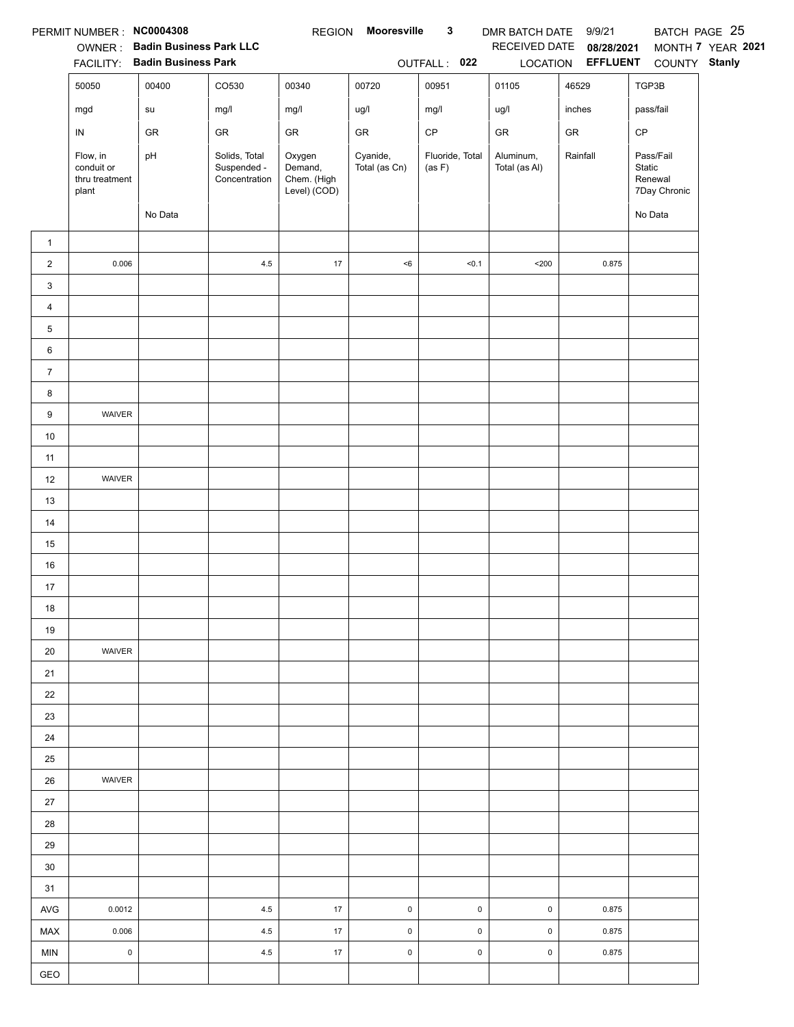|                | PERMIT NUMBER : NC0004308                         |                                |                                               | <b>REGION</b>                                    | <b>Mooresville</b>        | $\mathbf{3}$              | DMR BATCH DATE 9/9/21      |                          |                                                | BATCH PAGE 25     |
|----------------|---------------------------------------------------|--------------------------------|-----------------------------------------------|--------------------------------------------------|---------------------------|---------------------------|----------------------------|--------------------------|------------------------------------------------|-------------------|
|                |                                                   | OWNER: Badin Business Park LLC |                                               |                                                  |                           |                           | RECEIVED DATE              | 08/28/2021               |                                                | MONTH 7 YEAR 2021 |
|                |                                                   | FACILITY: Badin Business Park  |                                               |                                                  |                           | OUTFALL: 022              |                            | LOCATION <b>EFFLUENT</b> | COUNTY Stanly                                  |                   |
|                | 50050                                             | 00400                          | CO530                                         | 00340                                            | 00720                     | 00951                     | 01105                      | 46529                    | TGP3B                                          |                   |
|                | mgd                                               | su                             | mg/l                                          | mg/l                                             | ug/l                      | mg/l                      | ug/l                       | inches                   | pass/fail                                      |                   |
|                | IN                                                | GR                             | ${\sf GR}$                                    | GR                                               | ${\sf GR}$                | $\mathsf{CP}$             | ${\sf GR}$                 | ${\sf GR}$               | CP                                             |                   |
|                | Flow, in<br>conduit or<br>thru treatment<br>plant | pH                             | Solids, Total<br>Suspended -<br>Concentration | Oxygen<br>Demand,<br>Chem. (High<br>Level) (COD) | Cyanide,<br>Total (as Cn) | Fluoride, Total<br>(as F) | Aluminum,<br>Total (as Al) | Rainfall                 | Pass/Fail<br>Static<br>Renewal<br>7Day Chronic |                   |
|                |                                                   | No Data                        |                                               |                                                  |                           |                           |                            |                          | No Data                                        |                   |
| $\mathbf{1}$   |                                                   |                                |                                               |                                                  |                           |                           |                            |                          |                                                |                   |
| $\overline{a}$ | 0.006                                             |                                | 4.5                                           | $17$                                             | $<\!6$                    | < 0.1                     | $200$                      | 0.875                    |                                                |                   |
| 3              |                                                   |                                |                                               |                                                  |                           |                           |                            |                          |                                                |                   |
| 4              |                                                   |                                |                                               |                                                  |                           |                           |                            |                          |                                                |                   |
| 5              |                                                   |                                |                                               |                                                  |                           |                           |                            |                          |                                                |                   |
| 6              |                                                   |                                |                                               |                                                  |                           |                           |                            |                          |                                                |                   |
| $\overline{7}$ |                                                   |                                |                                               |                                                  |                           |                           |                            |                          |                                                |                   |
| 8              |                                                   |                                |                                               |                                                  |                           |                           |                            |                          |                                                |                   |
| 9              | WAIVER                                            |                                |                                               |                                                  |                           |                           |                            |                          |                                                |                   |
| $10\,$         |                                                   |                                |                                               |                                                  |                           |                           |                            |                          |                                                |                   |
| 11             |                                                   |                                |                                               |                                                  |                           |                           |                            |                          |                                                |                   |
| 12             | WAIVER                                            |                                |                                               |                                                  |                           |                           |                            |                          |                                                |                   |
| 13             |                                                   |                                |                                               |                                                  |                           |                           |                            |                          |                                                |                   |
| 14             |                                                   |                                |                                               |                                                  |                           |                           |                            |                          |                                                |                   |
| 15             |                                                   |                                |                                               |                                                  |                           |                           |                            |                          |                                                |                   |
| 16             |                                                   |                                |                                               |                                                  |                           |                           |                            |                          |                                                |                   |
| 17             |                                                   |                                |                                               |                                                  |                           |                           |                            |                          |                                                |                   |
| 18             |                                                   |                                |                                               |                                                  |                           |                           |                            |                          |                                                |                   |
| 19             |                                                   |                                |                                               |                                                  |                           |                           |                            |                          |                                                |                   |
| 20             | WAIVER                                            |                                |                                               |                                                  |                           |                           |                            |                          |                                                |                   |
| 21             |                                                   |                                |                                               |                                                  |                           |                           |                            |                          |                                                |                   |
| 22             |                                                   |                                |                                               |                                                  |                           |                           |                            |                          |                                                |                   |
| 23             |                                                   |                                |                                               |                                                  |                           |                           |                            |                          |                                                |                   |
| 24             |                                                   |                                |                                               |                                                  |                           |                           |                            |                          |                                                |                   |
| 25             |                                                   |                                |                                               |                                                  |                           |                           |                            |                          |                                                |                   |
| 26             | WAIVER                                            |                                |                                               |                                                  |                           |                           |                            |                          |                                                |                   |
| $27\,$         |                                                   |                                |                                               |                                                  |                           |                           |                            |                          |                                                |                   |
| 28             |                                                   |                                |                                               |                                                  |                           |                           |                            |                          |                                                |                   |
| 29             |                                                   |                                |                                               |                                                  |                           |                           |                            |                          |                                                |                   |
| 30             |                                                   |                                |                                               |                                                  |                           |                           |                            |                          |                                                |                   |
| 31             |                                                   |                                |                                               |                                                  |                           |                           |                            |                          |                                                |                   |
| $\mathsf{AVG}$ | 0.0012                                            |                                | 4.5                                           | 17                                               | $\pmb{0}$                 | $\pmb{0}$                 | $\mathsf 0$                | 0.875                    |                                                |                   |
| <b>MAX</b>     | 0.006                                             |                                | 4.5                                           | 17                                               | $\pmb{0}$                 | $\pmb{0}$                 | $\mathsf 0$                | 0.875                    |                                                |                   |
| MIN            | $\pmb{0}$                                         |                                | 4.5                                           | 17                                               | $\mathsf 0$               | $\pmb{0}$                 | $\mathsf 0$                | 0.875                    |                                                |                   |
| GEO            |                                                   |                                |                                               |                                                  |                           |                           |                            |                          |                                                |                   |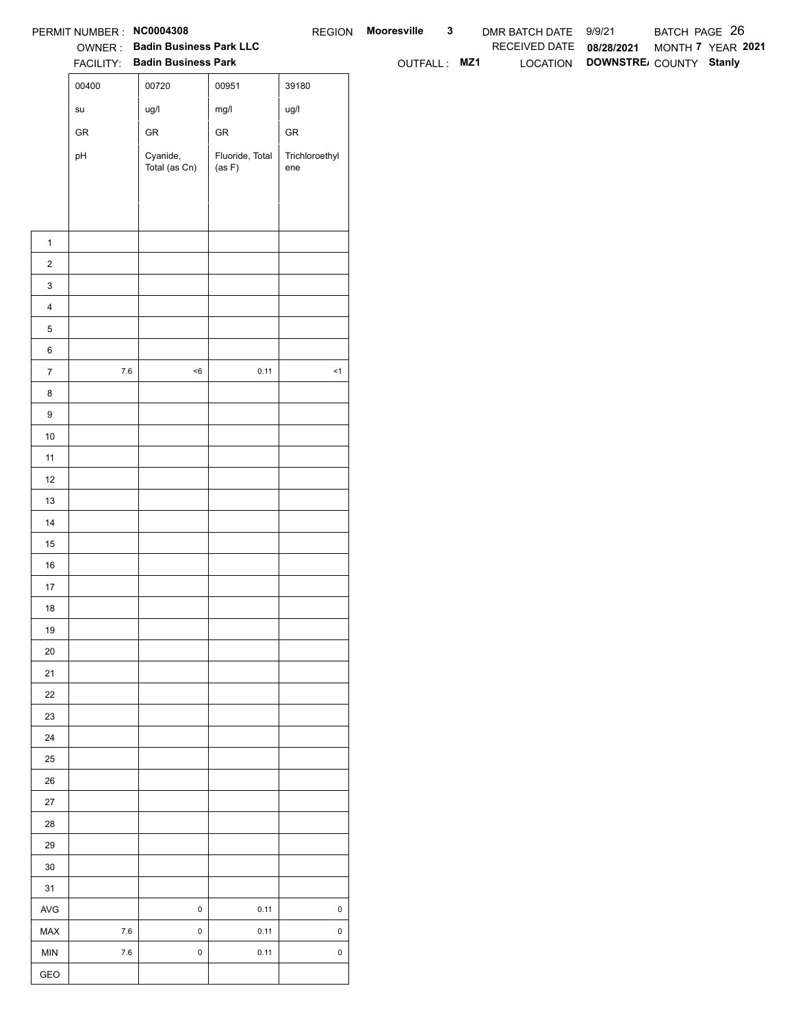|                            | PERMIT NUMBER : NC0004308<br>OWNER: Badin Business Park LLC |                               |                           |                       | REGION Mooresville | $\mathbf{3}$ | DMR BATCH DATE 9/9/21    |                                 | BATCH PAGE 26 |                   |  |
|----------------------------|-------------------------------------------------------------|-------------------------------|---------------------------|-----------------------|--------------------|--------------|--------------------------|---------------------------------|---------------|-------------------|--|
|                            |                                                             | FACILITY: Badin Business Park |                           |                       | OUTFALL: MZ1       |              | RECEIVED DATE 08/28/2021 | LOCATION DOWNSTRE COUNTY Stanly |               | MONTH 7 YEAR 2021 |  |
|                            | 00400                                                       | 00720                         | 00951                     | 39180                 |                    |              |                          |                                 |               |                   |  |
|                            |                                                             |                               |                           |                       |                    |              |                          |                                 |               |                   |  |
|                            | $\operatorname{\mathsf{su}}\nolimits$                       | ug/l                          | mg/l                      | ug/l                  |                    |              |                          |                                 |               |                   |  |
|                            | ${\sf GR}$                                                  | ${\sf GR}$                    | ${\sf GR}$                | ${\sf GR}$            |                    |              |                          |                                 |               |                   |  |
|                            | pH                                                          | Cyanide,<br>Total (as Cn)     | Fluoride, Total<br>(as F) | Trichloroethyl<br>ene |                    |              |                          |                                 |               |                   |  |
|                            |                                                             |                               |                           |                       |                    |              |                          |                                 |               |                   |  |
|                            |                                                             |                               |                           |                       |                    |              |                          |                                 |               |                   |  |
|                            |                                                             |                               |                           |                       |                    |              |                          |                                 |               |                   |  |
| $\mathbf{1}$               |                                                             |                               |                           |                       |                    |              |                          |                                 |               |                   |  |
| $\overline{2}$             |                                                             |                               |                           |                       |                    |              |                          |                                 |               |                   |  |
| $\mathbf{3}$               |                                                             |                               |                           |                       |                    |              |                          |                                 |               |                   |  |
| $\overline{4}$             |                                                             |                               |                           |                       |                    |              |                          |                                 |               |                   |  |
| $\,$ 5 $\,$                |                                                             |                               |                           |                       |                    |              |                          |                                 |               |                   |  |
| $\,6$                      |                                                             |                               |                           |                       |                    |              |                          |                                 |               |                   |  |
| $\overline{7}$             | $7.6\,$                                                     | $<\!6$                        | 0.11                      | $\leq$ 1              |                    |              |                          |                                 |               |                   |  |
| $\bf8$<br>$\boldsymbol{9}$ |                                                             |                               |                           |                       |                    |              |                          |                                 |               |                   |  |
| 10                         |                                                             |                               |                           |                       |                    |              |                          |                                 |               |                   |  |
| 11                         |                                                             |                               |                           |                       |                    |              |                          |                                 |               |                   |  |
| 12                         |                                                             |                               |                           |                       |                    |              |                          |                                 |               |                   |  |
| 13                         |                                                             |                               |                           |                       |                    |              |                          |                                 |               |                   |  |
| 14                         |                                                             |                               |                           |                       |                    |              |                          |                                 |               |                   |  |
| 15                         |                                                             |                               |                           |                       |                    |              |                          |                                 |               |                   |  |
| 16                         |                                                             |                               |                           |                       |                    |              |                          |                                 |               |                   |  |
| $17$                       |                                                             |                               |                           |                       |                    |              |                          |                                 |               |                   |  |
| 18                         |                                                             |                               |                           |                       |                    |              |                          |                                 |               |                   |  |
| 19                         |                                                             |                               |                           |                       |                    |              |                          |                                 |               |                   |  |
| $20\,$                     |                                                             |                               |                           |                       |                    |              |                          |                                 |               |                   |  |
| 21                         |                                                             |                               |                           |                       |                    |              |                          |                                 |               |                   |  |
| $22\,$                     |                                                             |                               |                           |                       |                    |              |                          |                                 |               |                   |  |
| 23                         |                                                             |                               |                           |                       |                    |              |                          |                                 |               |                   |  |
| 24                         |                                                             |                               |                           |                       |                    |              |                          |                                 |               |                   |  |
| 25                         |                                                             |                               |                           |                       |                    |              |                          |                                 |               |                   |  |
| 26                         |                                                             |                               |                           |                       |                    |              |                          |                                 |               |                   |  |
| 27                         |                                                             |                               |                           |                       |                    |              |                          |                                 |               |                   |  |
| 28                         |                                                             |                               |                           |                       |                    |              |                          |                                 |               |                   |  |
| 29                         |                                                             |                               |                           |                       |                    |              |                          |                                 |               |                   |  |
| $30\,$                     |                                                             |                               |                           |                       |                    |              |                          |                                 |               |                   |  |
| 31                         |                                                             |                               |                           |                       |                    |              |                          |                                 |               |                   |  |
| AVG                        |                                                             | $\pmb{0}$                     | 0.11                      | $\pmb{0}$             |                    |              |                          |                                 |               |                   |  |
| MAX                        | $7.6\,$                                                     | $\mathbf 0$                   | 0.11                      | $\mathsf 0$           |                    |              |                          |                                 |               |                   |  |
| <b>MIN</b>                 | $7.6\,$                                                     | $\mathbf 0$                   | 0.11                      | $\mathsf 0$           |                    |              |                          |                                 |               |                   |  |
| GEO                        |                                                             |                               |                           |                       |                    |              |                          |                                 |               |                   |  |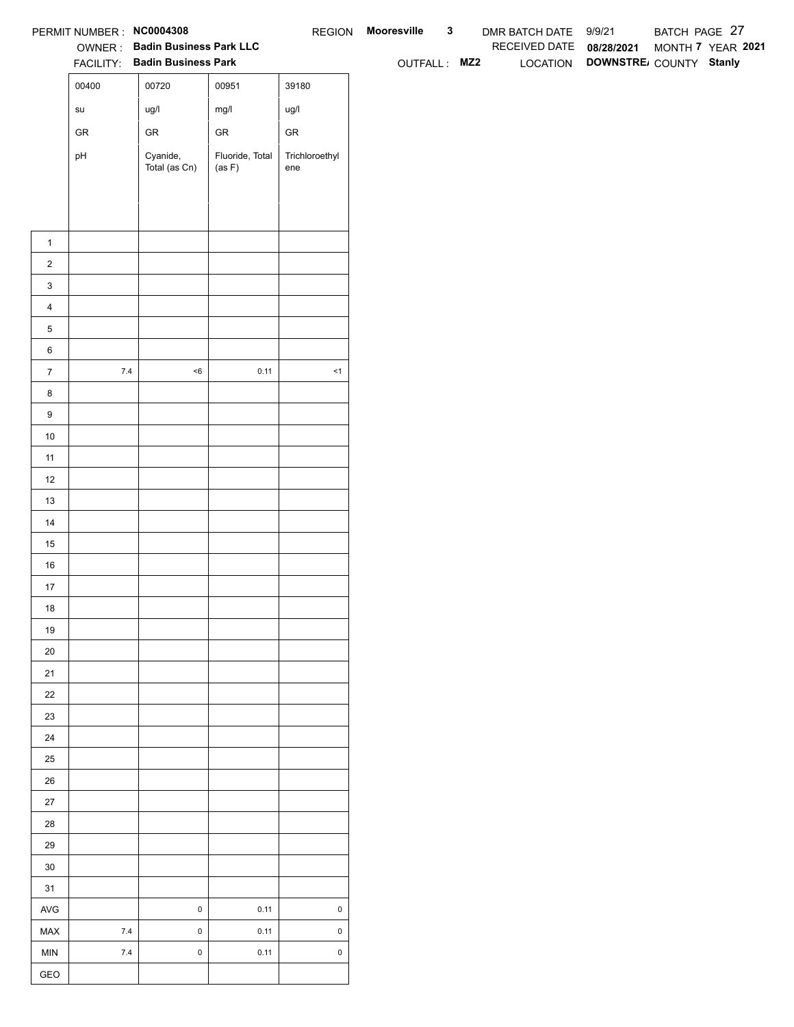|                          | PERMIT NUMBER : NC0004308             |                                                                 |                           |                       | REGION Mooresville | $\mathbf{3}$ | DMR BATCH DATE 9/9/21    |                                 | BATCH PAGE 27     |  |
|--------------------------|---------------------------------------|-----------------------------------------------------------------|---------------------------|-----------------------|--------------------|--------------|--------------------------|---------------------------------|-------------------|--|
|                          |                                       | OWNER: Badin Business Park LLC<br>FACILITY: Badin Business Park |                           |                       |                    |              | RECEIVED DATE 08/28/2021 | LOCATION DOWNSTRE COUNTY Stanly | MONTH 7 YEAR 2021 |  |
|                          | 00400                                 |                                                                 |                           |                       | OUTFALL: MZ2       |              |                          |                                 |                   |  |
|                          |                                       | 00720                                                           | 00951                     | 39180                 |                    |              |                          |                                 |                   |  |
|                          | $\operatorname{\mathsf{su}}\nolimits$ | ug/l                                                            | mg/l                      | ug/l                  |                    |              |                          |                                 |                   |  |
|                          | ${\sf GR}$                            | ${\sf GR}$                                                      | ${\sf GR}$                | ${\sf GR}$            |                    |              |                          |                                 |                   |  |
|                          | pH                                    | Cyanide,<br>Total (as Cn)                                       | Fluoride, Total<br>(as F) | Trichloroethyl<br>ene |                    |              |                          |                                 |                   |  |
|                          |                                       |                                                                 |                           |                       |                    |              |                          |                                 |                   |  |
|                          |                                       |                                                                 |                           |                       |                    |              |                          |                                 |                   |  |
|                          |                                       |                                                                 |                           |                       |                    |              |                          |                                 |                   |  |
| $\mathbf{1}$             |                                       |                                                                 |                           |                       |                    |              |                          |                                 |                   |  |
| $\overline{2}$           |                                       |                                                                 |                           |                       |                    |              |                          |                                 |                   |  |
| $\mathbf{3}$             |                                       |                                                                 |                           |                       |                    |              |                          |                                 |                   |  |
| $\overline{4}$           |                                       |                                                                 |                           |                       |                    |              |                          |                                 |                   |  |
| $\mathbf 5$              |                                       |                                                                 |                           |                       |                    |              |                          |                                 |                   |  |
| $\,6\,$                  | $7.4\,$                               | $<\!6$                                                          | 0.11                      | $\leq$ 1              |                    |              |                          |                                 |                   |  |
| $\overline{7}$<br>$\bf8$ |                                       |                                                                 |                           |                       |                    |              |                          |                                 |                   |  |
| $\boldsymbol{9}$         |                                       |                                                                 |                           |                       |                    |              |                          |                                 |                   |  |
| 10                       |                                       |                                                                 |                           |                       |                    |              |                          |                                 |                   |  |
| 11                       |                                       |                                                                 |                           |                       |                    |              |                          |                                 |                   |  |
| 12                       |                                       |                                                                 |                           |                       |                    |              |                          |                                 |                   |  |
| 13                       |                                       |                                                                 |                           |                       |                    |              |                          |                                 |                   |  |
| 14                       |                                       |                                                                 |                           |                       |                    |              |                          |                                 |                   |  |
| 15                       |                                       |                                                                 |                           |                       |                    |              |                          |                                 |                   |  |
| $16\,$                   |                                       |                                                                 |                           |                       |                    |              |                          |                                 |                   |  |
| 17                       |                                       |                                                                 |                           |                       |                    |              |                          |                                 |                   |  |
| 18                       |                                       |                                                                 |                           |                       |                    |              |                          |                                 |                   |  |
| 19                       |                                       |                                                                 |                           |                       |                    |              |                          |                                 |                   |  |
| $20\,$                   |                                       |                                                                 |                           |                       |                    |              |                          |                                 |                   |  |
| 21                       |                                       |                                                                 |                           |                       |                    |              |                          |                                 |                   |  |
| $22\,$                   |                                       |                                                                 |                           |                       |                    |              |                          |                                 |                   |  |
| 23                       |                                       |                                                                 |                           |                       |                    |              |                          |                                 |                   |  |
| 24                       |                                       |                                                                 |                           |                       |                    |              |                          |                                 |                   |  |
| $25\,$                   |                                       |                                                                 |                           |                       |                    |              |                          |                                 |                   |  |
| $26\,$                   |                                       |                                                                 |                           |                       |                    |              |                          |                                 |                   |  |
| $27\,$                   |                                       |                                                                 |                           |                       |                    |              |                          |                                 |                   |  |
| 28                       |                                       |                                                                 |                           |                       |                    |              |                          |                                 |                   |  |
| 29                       |                                       |                                                                 |                           |                       |                    |              |                          |                                 |                   |  |
| $30\,$                   |                                       |                                                                 |                           |                       |                    |              |                          |                                 |                   |  |
| 31                       |                                       |                                                                 |                           |                       |                    |              |                          |                                 |                   |  |
| $\mathsf{AVG}$           |                                       | $\pmb{0}$                                                       | 0.11                      | $\mathsf{O}\xspace$   |                    |              |                          |                                 |                   |  |
| MAX                      | $7.4$                                 | $\mathbf 0$                                                     | 0.11                      | $\pmb{0}$             |                    |              |                          |                                 |                   |  |
| <b>MIN</b>               | $7.4$                                 | $\pmb{0}$                                                       | 0.11                      | $\mathsf 0$           |                    |              |                          |                                 |                   |  |
| GEO                      |                                       |                                                                 |                           |                       |                    |              |                          |                                 |                   |  |